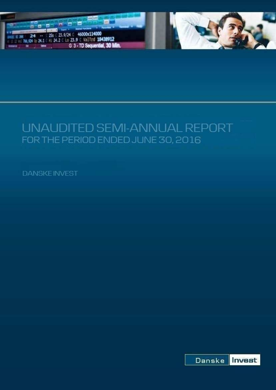



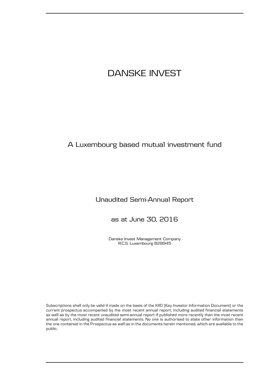## A Luxembourg based mutual investment fund

## Unaudited Semi-Annual Report

as at June 30, 2016

Danske Invest Management Company R.C.S. Luxembourg B28945

Subscriptions shall only be valid if made on the basis of the KIID (Key Investor Information Document) or the current prospectus accompanied by the most recent annual report, including audited financial statements as well as by the most recent unaudited semi-annual report if published more recently than the most recent annual report, including audited financial statements. No one is authorised to state other information than the one contained in the Prospectus as well as in the documents herein mentioned, which are available to the public.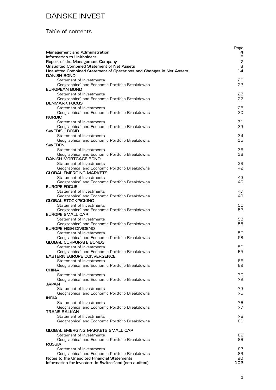## Table of contents

| Management and Administration<br>Information to Unitholders                                                        | Page<br>4<br>6 |
|--------------------------------------------------------------------------------------------------------------------|----------------|
| Report of the Management Company                                                                                   | 7              |
| Unaudited Combined Statement of Net Assets<br>Unaudited Combined Statement of Operations and Changes in Net Assets | 8<br>14        |
| <b>DANISH BOND</b>                                                                                                 |                |
| Statement of Investments                                                                                           | 20             |
| Geographical and Economic Portfolio Breakdowns                                                                     | 22             |
| EUROPEAN BOND                                                                                                      |                |
| Statement of Investments                                                                                           | 23             |
| Geographical and Economic Portfolio Breakdowns                                                                     | 27             |
| <b>DENMARK FOCUS</b>                                                                                               |                |
| Statement of Investments<br>Geographical and Economic Portfolio Breakdowns                                         | 28<br>30       |
| <b>NORDIC</b>                                                                                                      |                |
| Statement of Investments                                                                                           | 31             |
| Geographical and Economic Portfolio Breakdowns                                                                     | 33             |
| SWEDISH BOND                                                                                                       |                |
| Statement of Investments                                                                                           | 34             |
| Geographical and Economic Portfolio Breakdowns                                                                     | 35             |
| <b>SWEDEN</b>                                                                                                      |                |
| Statement of Investments                                                                                           | 36             |
| Geographical and Economic Portfolio Breakdowns<br><b>DANISH MORTGAGE BOND</b>                                      | 38             |
| Statement of Investments                                                                                           | 39             |
| Geographical and Economic Portfolio Breakdowns                                                                     | 42             |
| <b>GLOBAL EMERGING MARKETS</b>                                                                                     |                |
| Statement of Investments                                                                                           | 43             |
| Geographical and Economic Portfolio Breakdowns                                                                     | 46             |
| EUROPE FOCUS                                                                                                       |                |
| Statement of Investments                                                                                           | 47             |
| Geographical and Economic Portfolio Breakdowns                                                                     | 49             |
| <b>GLOBAL STOCKPICKING</b>                                                                                         |                |
| Statement of Investments                                                                                           | 50             |
| Geographical and Economic Portfolio Breakdowns<br><b>EUROPE SMALL CAP</b>                                          | 52             |
| Statement of Investments                                                                                           | 53             |
| Geographical and Economic Portfolio Breakdowns                                                                     | 55             |
| EUROPE HIGH DIVIDEND                                                                                               |                |
| Statement of Investments                                                                                           | 56             |
| Geographical and Economic Portfolio Breakdowns                                                                     | 58             |
| <b>GLOBAL CORPORATE BONDS</b>                                                                                      |                |
| Statement of Investments                                                                                           | 59             |
| Geographical and Economic Portfolio Breakdowns                                                                     | 65             |
| <b>EASTERN EUROPE CONVERGENCE</b><br>Statement of Investments                                                      | 66             |
| Geographical and Economic Portfolio Breakdowns                                                                     | 69             |
| <b>CHINA</b>                                                                                                       |                |
| Statement of Investments                                                                                           | 70             |
| Geographical and Economic Portfolio Breakdowns                                                                     | 72             |
| <b>JAPAN</b>                                                                                                       |                |
| Statement of Investments                                                                                           | 73             |
| Geographical and Economic Portfolio Breakdowns                                                                     | 75             |
| <b>INDIA</b>                                                                                                       |                |
| Statement of Investments<br>Geographical and Economic Portfolio Breakdowns                                         | 76<br>77       |
| <b>TRANS-BALKAN</b>                                                                                                |                |
| Statement of Investments                                                                                           | 78             |
| Geographical and Economic Portfolio Breakdowns                                                                     | 81             |
|                                                                                                                    |                |
| <b>GLOBAL EMERGING MARKETS SMALL CAP</b>                                                                           |                |
| Statement of Investments                                                                                           | 82             |
| Geographical and Economic Portfolio Breakdowns                                                                     | 86             |
| <b>RUSSIA</b>                                                                                                      |                |
| Statement of Investments                                                                                           | 87             |
| Geographical and Economic Portfolio Breakdowns<br>Notes to the Unaudited Financial Statements                      | 89<br>90       |
| Information for Investors in Switzerland (non audited)                                                             | 102            |
|                                                                                                                    |                |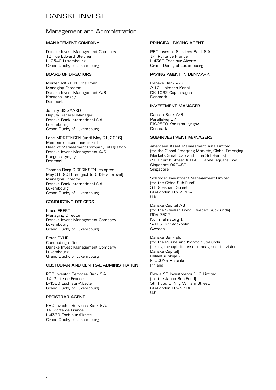### Management and Administration

#### **MANAGEMENT COMPANY**

Danske Invest Management Company 13, rue Edward Steichen L- 2540 Luxembourg Grand Duchy of Luxembourg

#### **BOARD OF DIRECTORS**

Morten RASTEN (Chairman) Managing Director Danske Invest Management A/S Kongens Lyngby Denmark

Johnny BISGAARD Deputy General Manager Danske Bank International S.A. Luxembourg Grand Duchy of Luxembourg

Lone MORTENSEN (until May 31, 2016) Member of Executive Board Head of Management Company Integration Danske Invest Management A/S Kongens Lyngby Denmark

Thomas Borg DIDERIKSEN (co-opted May 31, 2016 subject to CSSF approval) Managing Director Danske Bank International S.A. Luxembourg Grand Duchy of Luxembourg

#### **CONDUCTING OFFICERS**

Klaus EBERT Managing Director Danske Invest Management Company Luxembourg Grand Duchy of Luxembourg

Peter DYHR Conducting officer Danske Invest Management Company Luxembourg Grand Duchy of Luxembourg

#### **CUSTODIAN AND CENTRAL ADMINISTRATION**

RBC Investor Services Bank S.A. 14, Porte de France L-4360 Esch-sur-Alzette Grand Duchy of Luxembourg

#### **REGISTRAR AGENT**

RBC Investor Services Bank S.A. 14, Porte de France L-4360 Esch-sur-Alzette Grand Duchy of Luxembourg

#### **PRINCIPAL PAYING AGENT**

RBC Investor Services Bank S.A. 14, Porte de France L-4360 Esch-sur-Alzette Grand Duchy of Luxembourg

#### **PAYING AGENT IN DENMARK**

Danske Bank A/S 2-12, Holmens Kanal DK-1092 Copenhagen Denmark

#### **INVESTMENT MANAGER**

Danske Bank A/S Parallelvej 17 DK-2800 Kongens Lyngby Denmark

#### **SUB-INVESTMENT MANAGERS**

Aberdeen Asset Management Asia Limited (for the Global Emerging Markets, Global Emerging Markets Small Cap and India Sub-Funds) 21, Church Street #01-01 Capital square Two Singapore 049480 Singapore

Schroder Investment Management Limited (for the China Sub-Fund) 31, Gresham Street GB-London EC2V 7QA U.K.

Danske Capital AB (for the Swedish Bond, Sweden Sub-Funds) BOX 7523 Norrmalmstorg 1 S-103 92 Stockholm Sweden

Danske Bank plc (for the Russia and Nordic Sub-Funds) (acting through its asset management division Danske Capital) Hiililaiturinkuja 2 FI 00075 Helsinki Finland

Daiwa SB Investments (UK) Limited (for the Japan Sub-Fund) 5th floor, 5 King William Street, GB-London EC4N7JA U.K.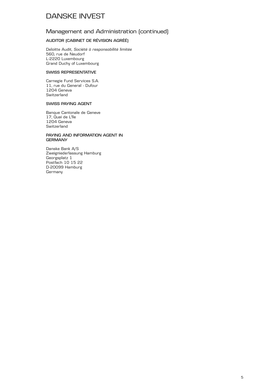### Management and Administration (continued)

#### **AUDITOR (CABINET DE RÉVISION AGRÉÉ)**

Deloitte Audit, *Société à responsabilité limitée* 560, rue de Neudorf L-2220 Luxembourg Grand Duchy of Luxembourg

#### **SWISS REPRESENTATIVE**

Carnegie Fund Services S.A. 11, rue du General - Dufour 1204 Geneva Switzerland

#### **SWISS PAYING AGENT**

Banque Cantonale de Geneve 17, Quai de L'lle 1204 Geneva **Switzerland** 

#### **PAYING AND INFORMATION AGENT IN GERMANY**

Danske Bank A/S Zweigniederlassung Hamburg Georgsplatz 1 Postfach 10 15 22 D-20099 Hamburg Germany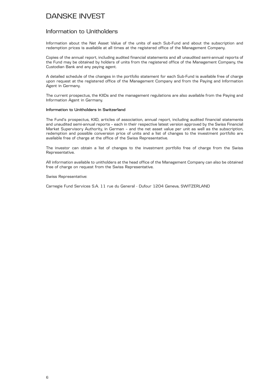### Information to Unitholders

Information about the Net Asset Value of the units of each Sub-Fund and about the subscription and redemption prices is available at all times at the registered office of the Management Company.

Copies of the annual report, including audited financial statements and all unaudited semi-annual reports of the Fund may be obtained by holders of units from the registered office of the Management Company, the Custodian Bank and any paying agent.

A detailed schedule of the changes in the portfolio statement for each Sub-Fund is available free of charge upon request at the registered office of the Management Company and from the Paying and Information Agent in Germany.

The current prospectus, the KIIDs and the management regulations are also available from the Paying and Information Agent in Germany.

#### **Information to Unitholders in Switzerland**

The Fund's prospectus, KIID, articles of association, annual report, including audited financial statements and unaudited semi-annual reports – each in their respective latest version approved by the Swiss Financial Market Supervisory Authority, in German – and the net asset value per unit as well as the subscription, redemption and possible conversion price of units and a list of changes to the investment portfolio are available free of charge at the office of the Swiss Representative.

The investor can obtain a list of changes to the investment portfolio free of charge from the Swiss Representative.

All information available to unitholders at the head office of the Management Company can also be obtained free of charge on request from the Swiss Representative.

#### Swiss Representative:

Carnegie Fund Services S.A. 11 rue du General - Dufour 1204 Geneva, SWITZERLAND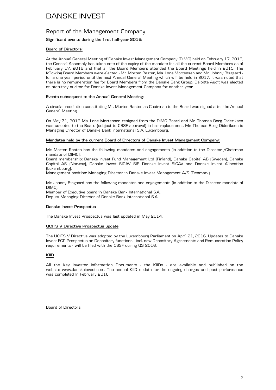### Report of the Management Company

#### **Significant events during the first half-year 2016:**

#### **Board of Directors:**

At the Annual General Meeting of Danske Invest Management Company (DIMC) held on February 17, 2016, the General Assembly has taken note of the expiry of the mandate for all the current Board Members as of February 17, 2016 and that all the Board Members attended the Board Meetings held in 2015. The following Board Members were elected - Mr. Morten Rasten, Ms. Lone Mortensen and Mr. Johnny Bisgaard for a one year period until the next Annual General Meeting which will be held in 2017. It was noted that there is no remuneration fee for Board Members from the Danske Bank Group. Deloitte Audit was elected as statutory auditor for Danske Invest Management Company for another year.

#### **Events subsequent to the Annual General Meeting:**

A circular resolution constituting Mr. Morten Rasten as Chairman to the Board was signed after the Annual General Meeting.

On May 31, 2016 Ms. Lone Mortensen resigned from the DIMC Board and Mr. Thomas Borg Dideriksen was co-opted to the Board (subject to CSSF approval) in her replacement. Mr. Thomas Borg Dideriksen is Managing Director of Danske Bank International S.A. Luxembourg.

#### **Mandates held by the current Board of Directors of Danske Invest Management Company:**

Mr. Morten Rasten has the following mandates and engagements (in addition to the Director /Chairman mandate of DIMC):

Board membership: Danske Invest Fund Management Ltd (Finland), Danske Capital AB (Sweden), Danske Capital AS (Norway), Danske Invest SICAV SIF, Danske Invest SICAV and Danske Invest Allocation (Luxembourg).

Management position: Managing Director in Danske Invest Management A/S (Denmark).

Mr. Johnny Bisgaard has the following mandates and engagements (in addition to the Director mandate of DIMC):

Member of Executive board in Danske Bank International S.A. Deputy Managing Director of Danske Bank International S.A.

#### **Danske Invest Prospectus**

The Danske Invest Prospectus was last updated in May 2014.

#### **UCITS V Directive Prospectus update**

The UCITS V Directive was adopted by the Luxembourg Parliament on April 21, 2016. Updates to Danske Invest FCP Prospectus on Depositary functions - incl. new Depositary Agreements and Remuneration Policy requirements - will be filed with the CSSF during Q3 2016.

#### **KIID**

All the Key Investor Information Documents - the KIIDs - are available and published on the website www.danskeinvest.com. The annual KIID update for the ongoing charges and past performance was completed in February 2016.

Board of Directors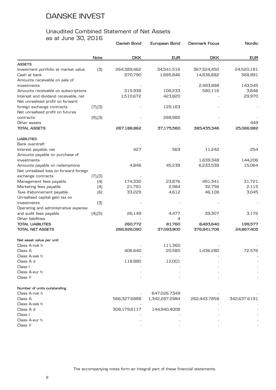# Unaudited Combined Statement of Net Assets

as at June 30, 2016

|                                        |               | Danish Bond  | European Bond  | <b>Denmark Focus</b> | Nordic       |
|----------------------------------------|---------------|--------------|----------------|----------------------|--------------|
|                                        | Note          | <b>DKK</b>   | <b>EUR</b>     | <b>DKK</b>           | <b>EUR</b>   |
| <b>ASSETS</b>                          |               |              |                |                      |              |
| Investment portfolio at market value   | (3)           | 264,389,462  | 34,541,516     | 367,524,450          | 24,520,181   |
| Cash at bank                           |               | 970,790      | 1,685,846      | 14,836,882           | 368,991      |
| Amounts receivable on sale of          |               |              |                |                      |              |
| investments                            |               |              |                | 2,493,898            | 143,545      |
| Amounts receivable on subscriptions    |               | 315,938      | 106,233        | 580,116              | 3,846        |
| Interest and dividend receivable, net  |               | 1,510,672    | 423,820        |                      | 29,970       |
| Net unrealised profit on forward       |               |              |                |                      |              |
| foreign exchange contracts             | [7],[3]       |              | 129,163        |                      |              |
| Net unrealised profit on futures       |               |              |                |                      |              |
| contracts                              | $(9)$ , $(3)$ |              | 288,982        |                      |              |
| Other assets                           |               |              |                |                      | 449          |
| <b>TOTAL ASSETS</b>                    |               | 267,186,862  | 37,175,560     | 385,435,346          | 25,066,982   |
| <b>LIABILITIES</b>                     |               |              |                |                      |              |
| Bank overdraft                         |               |              |                |                      |              |
| Interest payable, net                  |               | 427          | 569            | 11,242               | 254          |
| Amounts payable on purchase of         |               |              |                |                      |              |
| investments                            |               |              |                | 1,639,348            | 144,206      |
| Amounts payable on redemptions         |               | 4,846        | 45,238         | 6,233,538            | 15,064       |
| Net unrealised loss on forward foreign |               |              |                |                      |              |
| exchange contracts                     | (7), (3)      |              |                |                      |              |
| Management fees payable                | (4)           | 174,330      | 23,876         | 491,341              | 31,721       |
| Marketing fees payable                 | (4)           | 21,791       | 2,984          | 32,756               | 2,115        |
| Taxe d'abonnement payable              | [6]           | 33,229       | 4,612          | 46,108               | 3,045        |
| Unrealised capital gain tax on         |               |              |                |                      |              |
| investments                            | (3)           |              |                |                      |              |
| Operating and administrative expense   |               |              |                |                      |              |
| and audit fees payable                 | $(4)$ , $(5)$ | 26,149       | 4,477          | 39,307               | 3,172        |
| Other liabilities                      |               |              | 4              |                      |              |
| <b>TOTAL LIABILITIES</b>               |               | 260,772      | 81,760         | 8,493,640            | 199,577      |
| <b>TOTAL NET ASSETS</b>                |               | 266,926,090  | 37,093,800     | 376,941,706          | 24,867,405   |
| Net asset value per unit               |               |              |                |                      |              |
| Class A-nok h                          |               |              | 111.360        |                      |              |
| Class A                                |               | 406.640      | 20.585         | 1,436.280            | 72.576       |
| Class A-sek h                          |               |              |                |                      |              |
| Class A d                              |               | 118.880      | 12.001         |                      |              |
| Class I                                |               |              |                |                      |              |
| Class A-eur h                          |               |              |                |                      |              |
| Class Y                                |               |              |                |                      |              |
| Number of units outstanding            |               |              |                |                      |              |
| Class A-nok h                          |               |              | 647,026.7349   |                      |              |
| Class A                                |               | 566,327.6888 | 1,342,287.2984 | 262,443.7858         | 342,637.6191 |
| Class A-sek h                          |               |              |                |                      |              |
| Class A d                              |               | 308,179.6117 | 144,940.4008   |                      |              |
| Class I                                |               |              |                |                      |              |
| Class A-eur h                          |               |              |                |                      |              |
| Class Y                                |               |              |                |                      |              |
|                                        |               |              |                |                      |              |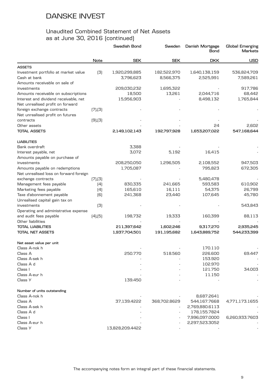|                                        |               | Swedish Bond    | Sweden       | Danish Mortgage<br>Bond | <b>Global Emerging</b><br>Markets |
|----------------------------------------|---------------|-----------------|--------------|-------------------------|-----------------------------------|
|                                        | Note          | <b>SEK</b>      | <b>SEK</b>   | <b>DKK</b>              | <b>USD</b>                        |
| <b>ASSETS</b>                          |               |                 |              |                         |                                   |
| Investment portfolio at market value   | (3)           | 1,920,299,885   | 182,522,970  | 1,640,138,159           | 536,824,709                       |
| Cash at bank                           |               | 3,796,623       | 8,566,375    | 2,525,991               | 7,589,261                         |
| Amounts receivable on sale of          |               |                 |              |                         |                                   |
| investments                            |               | 209,030,232     | 1,695,322    |                         | 917,786                           |
| Amounts receivable on subscriptions    |               | 18,500          | 13,261       | 2,044,716               | 68,442                            |
| Interest and dividend receivable, net  |               | 15,956,903      |              | 8,498,132               | 1,765,844                         |
| Net unrealised profit on forward       |               |                 |              |                         |                                   |
| foreign exchange contracts             | (7), (3)      |                 |              |                         |                                   |
| Net unrealised profit on futures       |               |                 |              |                         |                                   |
| contracts                              | $(9)$ , $(3)$ |                 |              |                         |                                   |
| Other assets                           |               |                 |              | 24                      | 2,602                             |
| <b>TOTAL ASSETS</b>                    |               | 2,149,102,143   | 192,797,928  | 1,653,207,022           | 547,168,644                       |
| <b>LIABILITIES</b>                     |               |                 |              |                         |                                   |
| Bank overdraft                         |               | 3,388           |              |                         |                                   |
| Interest payable, net                  |               | 3,072           | 5,192        | 16,415                  |                                   |
| Amounts payable on purchase of         |               |                 |              |                         |                                   |
| investments                            |               | 208,250,050     | 1,296,505    | 2,108,552               | 947,503                           |
| Amounts payable on redemptions         |               | 1,705,087       |              | 795,823                 | 672,305                           |
| Net unrealised loss on forward foreign |               |                 |              |                         |                                   |
| exchange contracts                     | (7), (3)      |                 |              | 5,480,478               |                                   |
| Management fees payable                | (4)           | 830,335         | 241,665      | 593,583                 | 610,902                           |
| Marketing fees payable                 | (4)           | 165,610         | 16,111       | 54,375                  | 26,799                            |
| Taxe d'abonnement payable              | [6]           | 241,368         | 23,440       | 107,645                 | 45,780                            |
| Unrealised capital gain tax on         |               |                 |              |                         |                                   |
| investments                            | (3)           |                 |              |                         | 543,843                           |
| Operating and administrative expense   |               |                 |              |                         |                                   |
| and audit fees payable                 | $(4)$ , $(5)$ | 198,732         | 19,333       | 160,399                 | 88,113                            |
| Other liabilities                      |               |                 |              |                         |                                   |
| <b>TOTAL LIABILITIES</b>               |               | 211,397,642     | 1,602,246    | 9,317,270               | 2,935,245                         |
| <b>TOTAL NET ASSETS</b>                |               | 1,937,704,501   | 191,195,682  | 1,643,889,752           | 544,233,399                       |
| Net asset value per unit               |               |                 |              |                         |                                   |
| Class A-nok h                          |               |                 |              | 170.110                 |                                   |
| Class A                                |               | 250.770         | 518.560      | 226.600                 | 69.447                            |
| Class A-sek h                          |               |                 |              | 153.920                 |                                   |
| Class A d                              |               |                 |              |                         |                                   |
|                                        |               |                 |              | 102.970                 |                                   |
| Class I                                |               |                 |              | 121.750<br>11.150       | 34.003                            |
| Class A-eur h<br>Class Y               |               | 139.450         |              |                         |                                   |
|                                        |               |                 |              |                         |                                   |
| Number of units outstanding            |               |                 |              |                         |                                   |
| Class A-nok h                          |               |                 |              | 8,687.2641              |                                   |
| Class A                                |               | 37,139.4222     | 368,702.8629 | 544,167.7668            | 4,771,173.1655                    |
| Class A-sek h                          |               |                 |              | 2,769,880.6113          |                                   |
| Class A d                              |               |                 |              | 178,155.7824            |                                   |
| Class I                                |               |                 |              | 7,996,097.0000          | 6,260,933.7603                    |
| Class A-eur h                          |               |                 |              | 2,297,523.3052          |                                   |
| Class Y                                |               | 13,828,209.4422 |              |                         |                                   |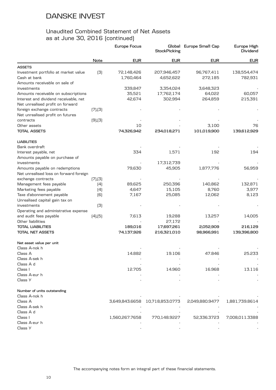|                                        |               | Europe Focus   | <b>StockPicking</b> | Global Europe Small Cap | Europe High<br>Dividend |
|----------------------------------------|---------------|----------------|---------------------|-------------------------|-------------------------|
|                                        | Note          | <b>EUR</b>     | <b>EUR</b>          | <b>EUR</b>              | <b>EUR</b>              |
| <b>ASSETS</b>                          |               |                |                     |                         |                         |
| Investment portfolio at market value   | (3)           | 72,148,426     | 207,946,457         | 96,767,411              | 138,554,474             |
| Cash at bank                           |               | 1,760,464      | 4,652,622           | 272,185                 | 782,931                 |
| Amounts receivable on sale of          |               |                |                     |                         |                         |
| investments                            |               | 339,847        | 3,354,024           | 3,648,323               |                         |
| Amounts receivable on subscriptions    |               | 35,521         | 17,762,174          | 64,022                  | 60,057                  |
| Interest and dividend receivable, net  |               | 42,674         | 302,994             | 264,859                 | 215,391                 |
| Net unrealised profit on forward       |               |                |                     |                         |                         |
| foreign exchange contracts             | (7), (3)      |                |                     |                         |                         |
| Net unrealised profit on futures       |               |                |                     |                         |                         |
| contracts                              | $(9)$ , $(3)$ |                |                     |                         |                         |
| Other assets                           |               | 10             |                     | 3,100                   | 76                      |
| <b>TOTAL ASSETS</b>                    |               | 74,326,942     | 234,018,271         | 101,019,900             | 139,612,929             |
| <b>LIABILITIES</b>                     |               |                |                     |                         |                         |
| Bank overdraft                         |               |                |                     |                         |                         |
| Interest payable, net                  |               | 334            | 1,571               | 192                     | 194                     |
| Amounts payable on purchase of         |               |                |                     |                         |                         |
| investments                            |               |                | 17,312,739          |                         |                         |
| Amounts payable on redemptions         |               | 79,630         | 45,905              | 1,877,776               | 56,959                  |
| Net unrealised loss on forward foreign |               |                |                     |                         |                         |
| exchange contracts                     | (7),(3)       |                |                     |                         |                         |
| Management fees payable                | (4)           | 89,625         | 250,396             | 140,862                 | 132,871                 |
| Marketing fees payable                 | (4)           | 4,647          | 15,105              | 8,760                   | 3,977                   |
| Taxe d'abonnement payable              | (6)           | 7,167          | 25,085              | 12,062                  | 8,123                   |
| Unrealised capital gain tax on         |               |                |                     |                         |                         |
| investments                            | (3)           |                |                     |                         |                         |
| Operating and administrative expense   |               |                |                     |                         |                         |
| and audit fees payable                 | $(4)$ , $(5)$ | 7,613          | 19,288              | 13,257                  | 14,005                  |
| Other liabilities                      |               |                | 27,172              |                         |                         |
| <b>TOTAL LIABILITIES</b>               |               | 189,016        | 17,697,261          | 2,052,909               | 216,129                 |
| <b>TOTAL NET ASSETS</b>                |               | 74,137,926     | 216,321,010         | 98,966,991              | 139,396,800             |
| Net asset value per unit               |               |                |                     |                         |                         |
| Class A-nok h                          |               |                |                     |                         |                         |
| Class A                                |               | 14.882         | 19.106              | 47.846                  | 25.233                  |
| Class A-sek h                          |               |                |                     |                         |                         |
| Class A d                              |               |                |                     |                         |                         |
| Class I                                |               | 12.705         | 14.960              | 16.968                  | 13.116                  |
| Class A-eur h                          |               |                |                     |                         |                         |
| Class Y                                |               |                |                     |                         |                         |
| Number of units outstanding            |               |                |                     |                         |                         |
| Class A-nok h                          |               |                |                     |                         |                         |
| Class A                                |               | 3,649,843.6658 | 10,718,853.0773     | 2,049,880.9477          | 1,881,739.8614          |
| Class A-sek h                          |               |                |                     |                         |                         |
| Class A d                              |               |                |                     |                         |                         |
| Class I                                |               | 1,560,267.7658 | 770,148.9227        | 52,336.3723             | 7,008,011.3388          |
| Class A-eur h                          |               |                |                     |                         |                         |
| Class Y                                |               |                |                     |                         |                         |
|                                        |               |                |                     |                         |                         |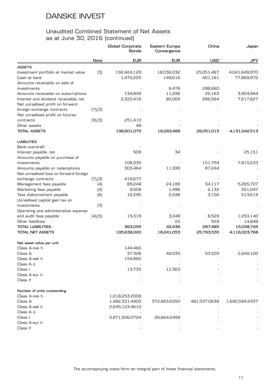|                                        |               | Global Corporate<br><b>Bonds</b> | Eastern Europe<br>Convergence | China        | Japan          |
|----------------------------------------|---------------|----------------------------------|-------------------------------|--------------|----------------|
|                                        | Note          | <b>EUR</b>                       | <b>EUR</b>                    | <b>USD</b>   | <b>JPY</b>     |
| <b>ASSETS</b>                          |               |                                  |                               |              |                |
| Investment portfolio at market value   | (3)           | 192,424,129                      | 18,036,032                    | 25,051,467   | 4,041,649,970  |
| Cash at bank                           |               | 1,470,225                        | 149,616                       | 401,161      | 77,869,972     |
| Amounts receivable on sale of          |               |                                  |                               |              |                |
| investments                            |               |                                  | 6,476                         | 286,660      |                |
| Amounts receivable on subscriptions    |               | 134,849                          | 11,296                        | 25,163       | 3,904,944      |
| Interest and dividend receivable, net  |               | 2,320,416                        | 80,069                        | 286,564      | 7,617,627      |
| Net unrealised profit on forward       |               |                                  |                               |              |                |
| foreign exchange contracts             | [7],[3]       |                                  |                               |              |                |
| Net unrealised profit on futures       |               |                                  |                               |              |                |
| contracts                              | $(9)$ , $(3)$ | 251,410                          |                               |              |                |
| Other assets                           |               | 46                               |                               |              |                |
| <b>TOTAL ASSETS</b>                    |               | 196,601,075                      | 18,283,489                    | 26,051,015   | 4,131,042,513  |
| <b>LIABILITIES</b>                     |               |                                  |                               |              |                |
| Bank overdraft                         |               |                                  |                               |              |                |
| Interest payable, net                  |               | 509                              | 34                            |              | 25,151         |
| Amounts payable on purchase of         |               |                                  |                               |              |                |
| investments                            |               | 106,035                          |                               | 151,754      | 7,815,233      |
| Amounts payable on redemptions         |               | 303,464                          | 11,399                        | 87,244       |                |
| Net unrealised loss on forward foreign |               |                                  |                               |              |                |
| exchange contracts                     | [7],[3]       | 418,677                          |                               |              |                |
| Management fees payable                | (4)           | 89,248                           | 24,189                        | 34,117       | 5,265,707      |
| Marketing fees payable                 | (4)           | 9,508                            | 1,496                         | 2,132        | 351,047        |
| Taxe d'abonnement payable              | (6)           | 16,295                           | 2,248                         | 3,156        | 513,619        |
| Unrealised capital gain tax on         |               |                                  |                               |              |                |
| investments                            | (3)           |                                  |                               |              |                |
| Operating and administrative expense   |               |                                  |                               |              |                |
| and audit fees payable                 | $(4)$ , $(5)$ | 19,319                           | 3,048                         | 8,529        | 1,053,140      |
| Other liabilities                      |               |                                  | 55                            | 553          | 14,848         |
| <b>TOTAL LIABILITIES</b>               |               | 963,055                          | 42,436                        | 287,485      | 15,038,745     |
| <b>TOTAL NET ASSETS</b>                |               | 195,638,020                      | 18,241,053                    | 25,763,530   | 4,116,003,768  |
| Net asset value per unit               |               |                                  |                               |              |                |
| Class A-nok h                          |               | 144.460                          |                               |              |                |
| Class A                                |               | 37.328                           | 48.035                        | 53.503       | 2,449.100      |
| Class A-sek h                          |               | 154.860                          |                               |              |                |
| Class A d                              |               |                                  |                               |              |                |
| Class I                                |               | 13.735                           | 12.363                        |              |                |
| Class A-eur h                          |               |                                  |                               |              |                |
| Class Y                                |               |                                  |                               |              |                |
| Number of units outstanding            |               |                                  |                               |              |                |
| Class A-nok h                          |               | 1,018,253.2008                   |                               |              |                |
| Class A                                |               | 1,492,331.4405                   | 372,883.6550                  | 481,537.0638 | 1,680,594.2437 |
| Class A-sek h                          |               | 2,645,123.4610                   |                               |              |                |
| Class A d                              |               |                                  |                               |              |                |
| Class I                                |               | 5,871,506.0724                   | 26,664.2499                   |              |                |
| Class A-eur h                          |               |                                  |                               |              |                |
| Class Y                                |               |                                  |                               |              |                |
|                                        |               |                                  |                               |              |                |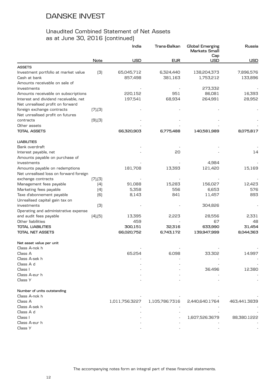|                                        |               | India          | Trans-Balkan   | <b>Global Emerging</b><br><b>Markets Small</b><br>Cap | Russia       |
|----------------------------------------|---------------|----------------|----------------|-------------------------------------------------------|--------------|
|                                        | Note          | <b>USD</b>     | <b>EUR</b>     | <b>USD</b>                                            | <b>USD</b>   |
| <b>ASSETS</b>                          |               |                |                |                                                       |              |
| Investment portfolio at market value   | (3)           | 65,045,712     | 6,324,440      | 138,204,373                                           | 7,896,576    |
| Cash at bank                           |               | 857,498        | 381,163        | 1,753,212                                             | 133,896      |
| Amounts receivable on sale of          |               |                |                |                                                       |              |
| investments                            |               |                |                | 273,332                                               |              |
| Amounts receivable on subscriptions    |               | 220,152        | 951            | 86,081                                                | 16,393       |
| Interest and dividend receivable, net  |               | 197,541        | 68,934         | 264,991                                               | 28,952       |
| Net unrealised profit on forward       |               |                |                |                                                       |              |
| foreign exchange contracts             | [7],[3]       |                |                |                                                       |              |
| Net unrealised profit on futures       |               |                |                |                                                       |              |
| contracts                              | $(9)$ , $(3)$ |                |                |                                                       |              |
| Other assets                           |               |                |                |                                                       |              |
| TOTAL ASSETS                           |               | 66,320,903     | 6,775,488      | 140,581,989                                           | 8,075,817    |
| <b>LIABILITIES</b>                     |               |                |                |                                                       |              |
| Bank overdraft                         |               |                |                |                                                       |              |
| Interest payable, net                  |               |                | 20             |                                                       | 14           |
| Amounts payable on purchase of         |               |                |                |                                                       |              |
| investments                            |               |                |                | 4,984                                                 |              |
| Amounts payable on redemptions         |               | 181,708        | 13,393         | 121,420                                               | 15,169       |
| Net unrealised loss on forward foreign |               |                |                |                                                       |              |
| exchange contracts                     | [7],[3]       |                |                |                                                       |              |
| Management fees payable                | (4)           | 91,088         | 15,283         | 156,027                                               | 12,423       |
| Marketing fees payable                 | (4)           | 5,358          | 556            | 6,653                                                 | 576          |
| Taxe d'abonnement payable              | [6]           | 8,143          | 841            | 11,457                                                | 893          |
| Unrealised capital gain tax on         |               |                |                |                                                       |              |
| investments                            | (3)           |                |                | 304,826                                               |              |
| Operating and administrative expense   |               |                |                |                                                       |              |
| and audit fees payable                 | $(4)$ , $(5)$ | 13,395         | 2,223          | 28,556                                                | 2,331        |
| Other liabilities                      |               | 459            |                | 67                                                    | 48           |
| <b>TOTAL LIABILITIES</b>               |               | 300,151        | 32,316         | 633,990                                               | 31,454       |
| <b>TOTAL NET ASSETS</b>                |               | 66,020,752     | 6,743,172      | 139,947,999                                           | 8,044,363    |
| Net asset value per unit               |               |                |                |                                                       |              |
| Class A-nok h                          |               |                |                |                                                       |              |
| Class A                                |               | 65.254         | 6.098          | 33.302                                                | 14.997       |
| Class A-sek h                          |               |                |                |                                                       |              |
| Class A d                              |               |                |                |                                                       |              |
| Class I                                |               |                |                | 36.496                                                | 12.380       |
| Class A-eur h                          |               |                |                |                                                       |              |
| Class Y                                |               |                |                |                                                       |              |
| Number of units outstanding            |               |                |                |                                                       |              |
| Class A-nok h                          |               |                |                |                                                       |              |
| Class A                                |               | 1,011,756.3227 | 1,105,786.7316 | 2,440,640.1764                                        | 463,441.3839 |
| Class A-sek h                          |               |                |                |                                                       |              |
| Class A d                              |               |                |                |                                                       |              |
| Class I                                |               |                |                | 1,607,526.3679                                        | 88,380.1222  |
| Class A-eur h                          |               |                |                |                                                       |              |
| Class Y                                |               |                |                |                                                       |              |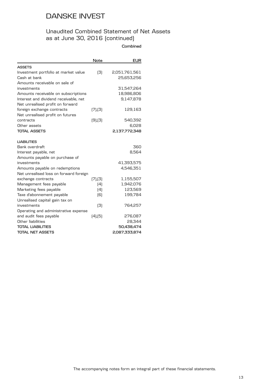## Unaudited Combined Statement of Net Assets as at June 30, 2016 (continued)

**Combined**

|                                        | Note          | <b>EUR</b>    |
|----------------------------------------|---------------|---------------|
| <b>ASSETS</b>                          |               |               |
| Investment portfolio at market value   | (3)           | 2,051,761,561 |
| Cash at bank                           |               | 25,653,256    |
| Amounts receivable on sale of          |               |               |
| investments                            |               | 31,547,264    |
| Amounts receivable on subscriptions    |               | 18,986,806    |
| Interest and dividend receivable, net  |               | 9,147,878     |
| Net unrealised profit on forward       |               |               |
| foreign exchange contracts             | (7), (3)      | 129,163       |
| Net unrealised profit on futures       |               |               |
| contracts                              | $(9)$ , $(3)$ | 540,392       |
| Other assets                           |               | 6,028         |
| <b>TOTAL ASSETS</b>                    |               | 2,137,772,348 |
| <b>LIABILITIES</b>                     |               |               |
| Bank overdraft                         |               | 360           |
| Interest payable, net                  |               | 8,564         |
| Amounts payable on purchase of         |               |               |
| investments                            |               | 41,393,575    |
| Amounts payable on redemptions         |               | 4,546,351     |
| Net unrealised loss on forward foreign |               |               |
| exchange contracts                     | (7),(3)       | 1,155,507     |
| Management fees payable                | (4)           | 1,942,076     |
| Marketing fees payable                 | (4)           | 123,569       |
| Taxe d'abonnement payable              | [6]           | 199,784       |
| Unrealised capital gain tax on         |               |               |
| investments                            | (3)           | 764,257       |
| Operating and administrative expense   |               |               |
| and audit fees payable                 | $(4)$ , $(5)$ | 276,087       |
| Other liabilities                      |               | 28,344        |
| <b>TOTAL LIABILITIES</b>               |               | 50,438,474    |
| <b>TOTAL NET ASSETS</b>                |               | 2,087,333,874 |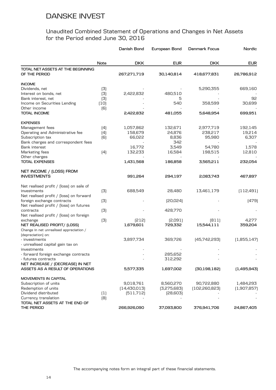|                                                    |      | Danish Bond    | European Bond | Denmark Focus   | Nordic      |
|----------------------------------------------------|------|----------------|---------------|-----------------|-------------|
|                                                    | Note | <b>DKK</b>     | <b>EUR</b>    | <b>DKK</b>      | <b>EUR</b>  |
| TOTAL NET ASSETS AT THE BEGINNING<br>OF THE PERIOD |      | 267,271,719    | 30,140,814    | 418,677,831     | 26,786,912  |
| <b>INCOME</b>                                      |      |                |               |                 |             |
| Dividends, net                                     | (3)  |                |               | 5,290,355       | 669,160     |
| Interest on bonds, net                             | (3)  | 2,422,832      | 480,510       |                 |             |
| Bank interest, net                                 | (3)  |                | 5             |                 | 92          |
| Income on Securities Lending                       | (10) |                | 540           | 358,599         | 30,699      |
| Other income                                       | (6)  |                |               |                 |             |
| <b>TOTAL INCOME</b>                                |      | 2,422,832      | 481,055       | 5,648,954       | 699,951     |
| <b>EXPENSES</b>                                    |      |                |               |                 |             |
| Management fees                                    | (4)  | 1,057,862      | 132,671       | 2,977,719       | 192,145     |
| Operating and Administrative fee                   | (4)  | 158,679        | 24,876        | 238,217         | 19,214      |
| Subscription tax                                   | (6)  | 66,022         | 8,836         | 95,980          | 6,307       |
| Bank charges and correspondent fees                |      |                | 342           |                 |             |
| Bank interest                                      |      | 16,772         | 3,549         | 54,780          | 1,578       |
| Marketing fees                                     | (4)  | 132,233        | 16,584        | 198,515         | 12,810      |
| Other charges                                      |      |                |               |                 |             |
| <b>TOTAL EXPENSES</b>                              |      | 1,431,568      | 186,858       | 3,565,211       | 232,054     |
| NET INCOME / (LOSS) FROM                           |      |                |               |                 |             |
| <b>INVESTMENTS</b>                                 |      | 991,264        | 294,197       | 2,083,743       | 467,897     |
| Net realised profit / [loss] on sale of            |      |                |               |                 |             |
| investments                                        | (3)  | 688,549        | 28,480        | 13,461,179      | (112, 491)  |
| Net realised profit / [loss] on forward            |      |                |               |                 |             |
| foreign exchange contracts                         | (3)  |                | [20,024]      |                 | (479)       |
| Net realised profit / [loss] on futures            |      |                |               |                 |             |
| contracts                                          | (3)  |                | 428,770       |                 |             |
| Net realised profit / [loss] on foreign            |      |                |               |                 |             |
| exchange                                           | (3)  | [212]          | [2,091]       | [811]           | 4,277       |
| NET REALISED PROFIT/ (LOSS)                        |      | 1,679,601      | 729,332       | 15,544,111      | 359,204     |
| Change in net unrealised appreciation /            |      |                |               |                 |             |
| (depreciation) on:                                 |      |                |               |                 |             |
| - investments<br>- unrealised capital gain tax on  |      | 3,897,734      | 369,726       | [45,742,293]    | (1,855,147) |
| investments                                        |      |                |               |                 |             |
| - forward foreign exchange contracts               |      |                | 285,652       |                 |             |
| - futures contracts                                |      |                | 312,292       |                 |             |
| NET INCREASE / (DECREASE) IN NET                   |      |                |               |                 |             |
| ASSETS AS A RESULT OF OPERATIONS                   |      | 5,577,335      | 1,697,002     | [30, 198, 182]  | (1,495,943) |
| MOVEMENTS IN CAPITAL                               |      |                |               |                 |             |
| Subscription of units                              |      | 9,018,761      | 8,560,270     | 90,722,880      | 1,484,293   |
| Redemption of units                                |      | [14, 430, 013] | [3,275,683]   | [102, 260, 823] | (1,907,857) |
| Dividend distributed                               | (1)  | [511, 712]     | [28,603]      |                 |             |
| Currency translation                               | (8)  |                |               |                 |             |
| TOTAL NET ASSETS AT THE END OF                     |      |                |               |                 |             |
| THE PERIOD                                         |      | 266,926,090    | 37,093,800    | 376,941,706     | 24,867,405  |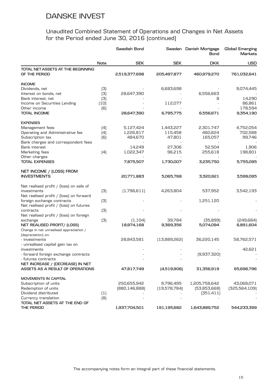|                                                    |                  | Swedish Bond    |              | Sweden Danish Mortgage<br>Bond | Global Emerging<br>Markets |
|----------------------------------------------------|------------------|-----------------|--------------|--------------------------------|----------------------------|
|                                                    | Note             | <b>SEK</b>      | <b>SEK</b>   | <b>DKK</b>                     | <b>USD</b>                 |
| TOTAL NET ASSETS AT THE BEGINNING<br>OF THE PERIOD |                  | 2,519,377,698   | 205,497,877  | 460,979,270                    | 761,032,641                |
| <b>INCOME</b>                                      |                  |                 |              |                                |                            |
| Dividends, net                                     | (3)              |                 | 6,683,698    |                                | 9,074,445                  |
| Interest on bonds, net                             | (3)              | 28,647,390      |              | 6,556,663                      |                            |
| Bank interest, net                                 | (3)              |                 |              | 8                              | 14,290                     |
| Income on Securities Lending                       | $[10]$           |                 | 112,077      |                                | 86,861                     |
| Other income                                       | (6)              |                 |              |                                | 178,594                    |
| <b>TOTAL INCOME</b>                                |                  | 28,647,390      | 6,795,775    | 6,556,671                      | 9,354,190                  |
| <b>EXPENSES</b>                                    |                  |                 |              |                                |                            |
| Management fees                                    | (4)              | 5,127,424       | 1,443,227    | 2,301,747                      | 4,752,054                  |
| Operating and Administrative fee                   | (4)              | 1,226,817       | 115,458      | 460,824                        | 702,588                    |
| Subscription tax                                   | (6)              | 484,670         | 47,801       | 165,057                        | 99,746                     |
| Bank charges and correspondent fees                |                  |                 |              |                                |                            |
| <b>Bank interest</b>                               |                  | 14,249          | 27,306       | 52,504                         | 1,906                      |
| Marketing fees                                     | (4)              | 1,022,347       | 96,215       | 255,618                        | 198,801                    |
| Other charges                                      |                  |                 |              |                                |                            |
| <b>TOTAL EXPENSES</b>                              |                  | 7,875,507       | 1,730,007    | 3,235,750                      | 5,755,095                  |
| NET INCOME / (LOSS) FROM                           |                  |                 |              |                                |                            |
| <b>INVESTMENTS</b>                                 |                  | 20,771,883      | 5,065,768    | 3,320,921                      | 3,599,095                  |
| Net realised profit / [loss] on sale of            |                  |                 |              |                                |                            |
| investments                                        | (3)              | (1,796,611)     | 4,263,804    | 537,952                        | 3,542,193                  |
| Net realised profit / [loss] on forward            |                  |                 |              |                                |                            |
| foreign exchange contracts                         | (3)              |                 |              | 1,251,120                      |                            |
| Net realised profit / [loss] on futures            |                  |                 |              |                                |                            |
| contracts                                          | (3)              |                 |              |                                |                            |
| Net realised profit / [loss] on foreign            |                  |                 |              |                                |                            |
| exchange                                           | (3)              | (1, 104)        | 39,784       | [35,899]                       | [249,684]                  |
| NET REALISED PROFIT/ [LOSS]                        |                  | 18,974,168      | 9,369,356    | 5,074,094                      | 6,891,604                  |
| Change in net unrealised appreciation /            |                  |                 |              |                                |                            |
| (depreciation) on:                                 |                  |                 |              |                                |                            |
| - investments                                      |                  | 28,843,581      | [13,889,262] | 36,220,145                     | 58,762,571                 |
| - unrealised capital gain tax on                   |                  |                 |              |                                |                            |
| investments                                        |                  |                 |              |                                | 42,621                     |
| - forward foreign exchange contracts               |                  |                 |              | (9,937,320)                    |                            |
| - futures contracts                                |                  |                 |              |                                |                            |
| NET INCREASE / (DECREASE) IN NET                   |                  |                 |              |                                |                            |
| ASSETS AS A RESULT OF OPERATIONS                   |                  | 47,817,749      | (4,519,906)  | 31,356,919                     | 65,696,796                 |
| MOVEMENTS IN CAPITAL                               |                  |                 |              |                                |                            |
| Subscription of units                              |                  | 250,655,942     | 9,796,495    | 1,205,758,642                  | 43,068,071                 |
| Redemption of units                                |                  | [880, 146, 888] | [19,578,784] | [53,853,668]                   | [325,564,109]              |
| Dividend distributed                               | $\left(1\right)$ |                 |              | (351, 411)                     |                            |
| Currency translation                               | (8)              |                 |              |                                |                            |
| TOTAL NET ASSETS AT THE END OF                     |                  |                 |              |                                |                            |
| THE PERIOD                                         |                  | 1,937,704,501   | 191,195,682  | 1,643,889,752                  | 544,233,399                |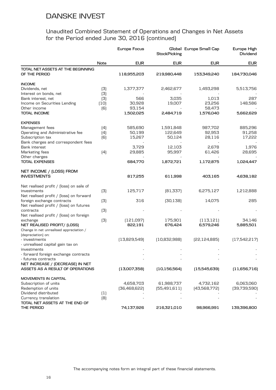|                                                    |                  | Europe Focus | <b>StockPicking</b> | Global Europe Small Cap | Europe High<br>Dividend |
|----------------------------------------------------|------------------|--------------|---------------------|-------------------------|-------------------------|
|                                                    | Note             | <b>EUR</b>   | <b>EUR</b>          | <b>EUR</b>              | <b>EUR</b>              |
| TOTAL NET ASSETS AT THE BEGINNING<br>OF THE PERIOD |                  | 118,955,203  | 219,980,448         | 153,349,240             | 184,730,046             |
| <b>INCOME</b>                                      |                  |              |                     |                         |                         |
| Dividends, net                                     | (3)              | 1,377,377    | 2,462,677           | 1,493,298               | 5,513,756               |
| Interest on bonds, net                             | (3)              |              |                     |                         |                         |
| Bank interest, net                                 | (3)              | 566          | 3,035               | 1,013                   | 287                     |
| Income on Securities Lending                       | (10)             | 30,928       | 19,007              | 23,256                  | 148,586                 |
| Other income                                       | (6)              | 93,154       |                     | 58,473                  |                         |
| TOTAL INCOME                                       |                  | 1,502,025    | 2,484,719           | 1,576,040               | 5,662,629               |
| <b>EXPENSES</b>                                    |                  |              |                     |                         |                         |
| Management fees                                    | (4)              | 585,690      | 1,591,848           | 987,702                 | 885,296                 |
| Operating and Administrative fee                   | (4)              | 50,199       | 122,649             | 92,953                  | 91,258                  |
| Subscription tax                                   | (6)              | 15,267       | 50,124              | 28,116                  | 17,222                  |
| Bank charges and correspondent fees                |                  |              |                     |                         |                         |
| <b>Bank interest</b>                               |                  | 3,729        | 12,103              | 2,678                   | 1,976                   |
| Marketing fees                                     | (4)              | 29,885       | 95,997              | 61,426                  | 28,695                  |
| Other charges                                      |                  |              |                     |                         |                         |
| <b>TOTAL EXPENSES</b>                              |                  | 684,770      | 1,872,721           | 1,172,875               | 1,024,447               |
| NET INCOME / (LOSS) FROM                           |                  |              |                     |                         |                         |
| <b>INVESTMENTS</b>                                 |                  | 817,255      | 611,998             | 403,165                 | 4,638,182               |
| Net realised profit / [loss] on sale of            |                  |              |                     |                         |                         |
| investments                                        | (3)              | 125,717      | [81, 337]           | 6,275,127               | 1,212,888               |
| Net realised profit / [loss] on forward            |                  |              |                     |                         |                         |
| foreign exchange contracts                         | (3)              | 316          | [30, 138]           | 14,075                  | 285                     |
| Net realised profit / [loss] on futures            |                  |              |                     |                         |                         |
| contracts                                          | (3)              |              |                     |                         |                         |
| Net realised profit / [loss] on foreign            |                  |              |                     |                         |                         |
| exchange                                           | (3)              | [121,097]    | 175,901             | (113, 121)              | 34,146                  |
| NET REALISED PROFIT/ [LOSS]                        |                  | 822,191      | 676,424             | 6,579,246               | 5,885,501               |
| Change in net unrealised appreciation /            |                  |              |                     |                         |                         |
| (depreciation) on:                                 |                  |              |                     |                         |                         |
| - investments                                      |                  | [13,829,549] | [10,832,988]        | [22, 124, 885]          | [17,542,217]            |
| - unrealised capital gain tax on                   |                  |              |                     |                         |                         |
| investments                                        |                  |              |                     |                         |                         |
| - forward foreign exchange contracts               |                  |              |                     |                         |                         |
| - futures contracts                                |                  |              |                     |                         |                         |
| NET INCREASE / (DECREASE) IN NET                   |                  |              |                     |                         |                         |
| ASSETS AS A RESULT OF OPERATIONS                   |                  | (13,007,358) | [10, 156, 564]      | (15,545,639)            | (11,656,716)            |
| MOVEMENTS IN CAPITAL                               |                  |              |                     |                         |                         |
| Subscription of units                              |                  | 4,658,703    | 61,988,737          | 4,732,162               | 6,063,060               |
| Redemption of units                                |                  | [36,468,622] | (55,491,611)        | [43,568,772]            | [39,739,590]            |
| Dividend distributed                               | $\left(1\right)$ |              |                     |                         |                         |
| Currency translation                               | (8)              |              |                     |                         |                         |
| TOTAL NET ASSETS AT THE END OF                     |                  |              |                     |                         |                         |
| THE PERIOD                                         |                  | 74,137,926   | 216,321,010         | 98,966,991              | 139,396,800             |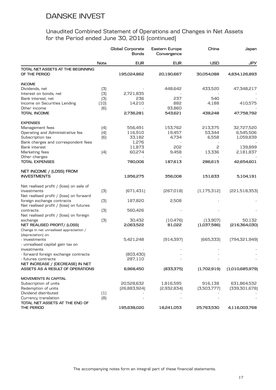|                                                    |      | Global Corporate<br>Bonds | Eastern Europe<br>Convergence | China         | Japan           |
|----------------------------------------------------|------|---------------------------|-------------------------------|---------------|-----------------|
|                                                    | Note | <b>EUR</b>                | <b>EUR</b>                    | <b>USD</b>    | <b>JPY</b>      |
| TOTAL NET ASSETS AT THE BEGINNING<br>OF THE PERIOD |      | 195,024,862               | 20,190,667                    | 30,054,088    | 4,834,126,893   |
| <b>INCOME</b>                                      |      |                           |                               |               |                 |
| Dividends, net                                     | (3)  |                           | 448,642                       | 433,520       | 47,348,217      |
| Interest on bonds, net                             | (3)  | 2,721,835                 |                               |               |                 |
| Bank interest, net                                 | (3)  | 236                       | 237                           | 540           |                 |
| Income on Securities Lending                       | (10) | 14,210                    | 882                           | 4,188         | 410,575         |
| Other income                                       | (6)  |                           | 93,860                        |               |                 |
| <b>TOTAL INCOME</b>                                |      | 2,736,281                 | 543,621                       | 438,248       | 47,758,792      |
| <b>EXPENSES</b>                                    |      |                           |                               |               |                 |
| Management fees                                    | (4)  | 556,491                   | 153,762                       | 213,375       | 32,727,520      |
| Operating and Administrative fee                   | (4)  | 116,910                   | 19,457                        | 53,344        | 6,545,506       |
| Subscription tax                                   | (6)  | 33,182                    | 4,734                         | 6,558         | 1,059,839       |
| Bank charges and correspondent fees                |      | 1,276                     |                               |               |                 |
| <b>Bank interest</b>                               |      | 11,873                    | 202                           | 2             | 139,899         |
| Marketing fees                                     | (4)  | 60,274                    | 9,458                         | 13,336        | 2,181,837       |
| Other charges                                      |      |                           |                               |               |                 |
| <b>TOTAL EXPENSES</b>                              |      | 780,006                   | 187,613                       | 286,615       | 42,654,601      |
| NET INCOME / (LOSS) FROM                           |      |                           |                               |               |                 |
| <b>INVESTMENTS</b>                                 |      | 1,956,275                 | 356,008                       | 151,633       | 5,104,191       |
| Net realised profit / [loss] on sale of            |      |                           |                               |               |                 |
| investments                                        | (3)  | (671, 431)                | [267,018]                     | [1, 175, 312] | [221,518,353]   |
| Net realised profit / [loss] on forward            |      |                           |                               |               |                 |
| foreign exchange contracts                         | (3)  | 187,820                   | 2,508                         |               |                 |
| Net realised profit / [loss] on futures            |      |                           |                               |               |                 |
| contracts                                          | (3)  | 560,426                   |                               |               |                 |
| Net realised profit / [loss] on foreign            |      |                           |                               |               |                 |
| exchange                                           | (3)  | 30,432                    | [10, 476]                     | [13,907]      | 50,132          |
| NET REALISED PROFIT/ (LOSS)                        |      | 2,063,522                 | 81,022                        | (1,037,586)   | [216,364,030]   |
| Change in net unrealised appreciation /            |      |                           |                               |               |                 |
| (depreciation) on:                                 |      |                           |                               |               |                 |
| - investments                                      |      | 5,421,248                 | [914, 397]                    | [665, 333]    | [794,321,949]   |
| - unrealised capital gain tax on                   |      |                           |                               |               |                 |
| investments                                        |      |                           |                               |               |                 |
| - forward foreign exchange contracts               |      | [803, 430]                |                               |               |                 |
| - futures contracts                                |      | 287,110                   |                               |               |                 |
| NET INCREASE / (DECREASE) IN NET                   |      |                           |                               |               |                 |
| ASSETS AS A RESULT OF OPERATIONS                   |      | 6,968,450                 | [833,375]                     | (1,702,919)   | (1,010,685,979) |
| MOVEMENTS IN CAPITAL                               |      |                           |                               |               |                 |
| Subscription of units                              |      | 20,528,632                | 1,816,595                     | 916,138       | 631,864,532     |
| Redemption of units                                |      | [26,883,924]              | [2,932,834]                   | [3,503,777]   | [339,301,678]   |
| Dividend distributed                               | (1)  |                           |                               |               |                 |
| Currency translation                               | (8)  |                           |                               |               |                 |
| TOTAL NET ASSETS AT THE END OF                     |      |                           |                               |               |                 |
| THE PERIOD                                         |      | 195,638,020               | 18,241,053                    | 25,763,530    | 4,116,003,768   |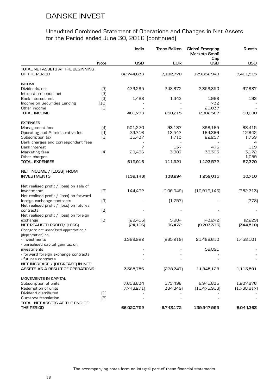|                                         |      | India       | Trans-Balkan | Global Emerging<br>Markets Small | Russia      |
|-----------------------------------------|------|-------------|--------------|----------------------------------|-------------|
|                                         | Note | <b>USD</b>  | <b>EUR</b>   | Cap<br><b>USD</b>                | <b>USD</b>  |
| TOTAL NET ASSETS AT THE BEGINNING       |      |             |              |                                  |             |
| OF THE PERIOD                           |      | 62,744,633  | 7,182,770    | 129,632,949                      | 7,461,513   |
| <b>INCOME</b>                           |      |             |              |                                  |             |
| Dividends, net                          | (3)  | 479,285     | 248,872      | 2,359,850                        | 97,887      |
| Interest on bonds, net                  | (3)  |             |              |                                  |             |
| Bank interest, net                      | (3)  | 1,488       | 1,343        | 1,968                            | 193         |
| Income on Securities Lending            | (10) |             |              | 732                              |             |
| Other income                            | (6)  |             |              | 20,037                           |             |
| <b>TOTAL INCOME</b>                     |      | 480,773     | 250,215      | 2,382,587                        | 98,080      |
| <b>EXPENSES</b>                         |      |             |              |                                  |             |
| Management fees                         | (4)  | 501,270     | 93,137       | 898,165                          | 68,415      |
| Operating and Administrative fee        | (4)  | 73,716      | 13,547       | 164,369                          | 12,842      |
| Subscription tax                        | (6)  | 15,437      | 1,713        | 22,257                           | 1,759       |
| Bank charges and correspondent fees     |      |             |              |                                  | 4           |
| <b>Bank interest</b>                    |      | 7           | 137          | 476                              | 119         |
| Marketing fees                          | (4)  | 29,486      | 3,387        | 38,305                           | 3,172       |
| Other charges                           |      |             |              |                                  | 1,059       |
| <b>TOTAL EXPENSES</b>                   |      | 619,916     | 111,921      | 1,123,572                        | 87,370      |
| NET INCOME / (LOSS) FROM                |      |             |              |                                  |             |
| <b>INVESTMENTS</b>                      |      | (139, 143)  | 138,294      | 1,259,015                        | 10,710      |
| Net realised profit / [loss] on sale of |      |             |              |                                  |             |
| investments                             | (3)  | 144,432     | [106,049]    | (10,919,146)                     | [352,713]   |
| Net realised profit / [loss] on forward |      |             |              |                                  |             |
| foreign exchange contracts              | (3)  |             | (1,757)      |                                  | [278]       |
| Net realised profit / [loss] on futures |      |             |              |                                  |             |
| contracts                               | (3)  |             |              |                                  |             |
| Net realised profit / [loss] on foreign |      |             |              |                                  |             |
| exchange                                | (3)  | [29,455]    | 5,984        | [43,242]                         | [2,229]     |
| NET REALISED PROFIT/ [LOSS]             |      | [24, 166]   | 36,472       | [9,703,373]                      | (344,510)   |
| Change in net unrealised appreciation / |      |             |              |                                  |             |
| (depreciation) on:                      |      |             |              |                                  |             |
| - investments                           |      | 3,389,922   | [265, 219]   | 21,488,610                       | 1,458,101   |
| - unrealised capital gain tax on        |      |             |              |                                  |             |
| investments                             |      |             |              | 59,891                           |             |
| - forward foreign exchange contracts    |      |             |              |                                  |             |
| - futures contracts                     |      |             |              |                                  |             |
| NET INCREASE / (DECREASE) IN NET        |      |             |              |                                  |             |
| ASSETS AS A RESULT OF OPERATIONS        |      | 3,365,756   | [228,747]    | 11,845,128                       | 1,113,591   |
| MOVEMENTS IN CAPITAL                    |      |             |              |                                  |             |
| Subscription of units                   |      | 7,658,634   | 173,498      | 9,945,835                        | 1,207,876   |
| Redemption of units                     |      | [7,748,271] | [384,349]    | (11, 475, 913)                   | (1,738,617) |
| Dividend distributed                    | (1)  |             |              |                                  |             |
| Currency translation                    | [8]  |             |              |                                  |             |
| TOTAL NET ASSETS AT THE END OF          |      |             |              |                                  |             |
| THE PERIOD                              |      | 66,020,752  | 6,743,172    | 139,947,999                      | 8,044,363   |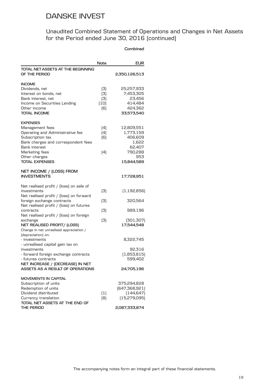### Unaudited Combined Statement of Operations and Changes in Net Assets for the Period ended June 30, 2016 (continued)

#### **Combined**

|                                                                                                                                                                                                                                                                                                                                                                                                                                                                                                                                                           | Note                             | <b>EUR</b>                                                                                                                     |
|-----------------------------------------------------------------------------------------------------------------------------------------------------------------------------------------------------------------------------------------------------------------------------------------------------------------------------------------------------------------------------------------------------------------------------------------------------------------------------------------------------------------------------------------------------------|----------------------------------|--------------------------------------------------------------------------------------------------------------------------------|
| TOTAL NET ASSETS AT THE BEGINNING<br>OF THE PERIOD                                                                                                                                                                                                                                                                                                                                                                                                                                                                                                        |                                  | 2,350,126,513                                                                                                                  |
| <b>INCOME</b><br>Dividends, net<br>Interest on bonds, net<br>Bank interest, net<br>Income on Securities Lending<br>Other income<br><b>TOTAL INCOME</b>                                                                                                                                                                                                                                                                                                                                                                                                    | (3)<br>(3)<br>(3)<br>(10)<br>(6) | 25,257,933<br>7,453,305<br>23,456<br>414,484<br>424,362<br>33,573,540                                                          |
| <b>EXPENSES</b><br>Management fees<br>Operating and Administrative fee<br>Subscription tax<br>Bank charges and correspondent fees<br>Bank interest<br>Marketing fees<br>Other charges<br><b>TOTAL EXPENSES</b>                                                                                                                                                                                                                                                                                                                                            | (4)<br>(4)<br>(6)<br>(4)         | 12,809,551<br>1,773,159<br>406,609<br>1,622<br>62,407<br>790,288<br>953<br>15,844,589                                          |
| NET INCOME / (LOSS) FROM<br><b>INVESTMENTS</b>                                                                                                                                                                                                                                                                                                                                                                                                                                                                                                            |                                  | 17,728,951                                                                                                                     |
| Net realised profit / [loss] on sale of<br>investments<br>Net realised profit / [loss] on forward<br>foreign exchange contracts<br>Net realised profit / [loss] on futures<br>contracts<br>Net realised profit / [loss] on foreign<br>exchange<br>NET REALISED PROFIT/ (LOSS)<br>Change in net unrealised appreciation /<br>(depreciation) on:<br>- investments<br>- unrealised capital gain tax on<br>investments<br>- forward foreign exchange contracts<br>- futures contracts<br>NET INCREASE / (DECREASE) IN NET<br>ASSETS AS A RESULT OF OPERATIONS | (3)<br>(3)<br>(3)<br>(3)         | (1, 192, 856)<br>320,564<br>989,196<br>[301, 307]<br>17,544,548<br>8,322,745<br>92,316<br>(1,853,815)<br>599,402<br>24,705,196 |
| <b>MOVEMENTS IN CAPITAL</b><br>Subscription of units<br>Redemption of units<br>Dividend distributed<br>Currency translation<br>TOTAL NET ASSETS AT THE END OF<br>THE PERIOD                                                                                                                                                                                                                                                                                                                                                                               | $\left(1\right)$<br>(8)          | 375,294,828<br>(647,368,921)<br>[144, 647]<br>(15, 279, 095)<br>2,087,333,874                                                  |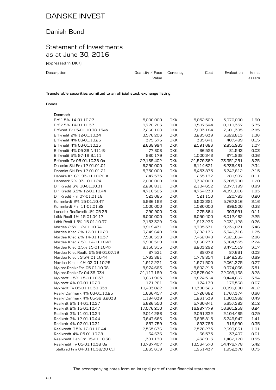## Danish Bond

### Statement of Investments as at June 30, 2016

(expressed in DKK)

| Description | Quantity / Face $C$ urrency<br>Value | Cost | Evaluation | % net<br>assets |
|-------------|--------------------------------------|------|------------|-----------------|
|             |                                      |      |            |                 |

**Transferable securities admitted to an official stock exchange listing**

#### **Bonds**

| Denmark                           |            |            |            |            |      |
|-----------------------------------|------------|------------|------------|------------|------|
| Brf 1.5% 14-01.10.27              | 5,000,000  | <b>DKK</b> | 5,052,500  | 5,070,000  | 1.90 |
| Brf 2.5% 14-01.10.37              | 9,778,703  | <b>DKK</b> | 9,507,344  | 10,019,357 | 3.75 |
| Brfkred Tv 05-01.10.38 154b       | 7,260,168  | <b>DKK</b> | 7,093,184  | 7,601,395  | 2.85 |
| Brfkredit 2% 12-01.10.34          | 3,576,206  | <b>DKK</b> | 3,285,639  | 3,629,813  | 1.36 |
| Brfkredit 4% 03-01.10.25          | 375,575    | <b>DKK</b> | 385,641    | 407,499    | 0.15 |
| Brfkredit 4% 03-01.10.35          | 2,638,994  | <b>DKK</b> | 2,591,683  | 2,855,933  | 1.07 |
| Brfkredit 4% 05-38 N411-B-        | 77,808     | <b>DKK</b> | 66,526     | 81,543     | 0.03 |
| Brfkredit 5% 97-19 S.111          | 980,179    | <b>DKK</b> | 1,000,346  | 971,838    | 0.36 |
| Brfkredit Tv 05-01.10.38 Oa       | 22,165,402 | <b>DKK</b> | 21,579,362 | 23,351,251 | 8.75 |
| Danmks Ski Frn 12-01.01.01        | 6,250,000  | <b>DKK</b> | 6,114,621  | 6,236,481  | 2.34 |
| Danmks Ski Frn 12-01.01.21        | 5,750,000  | <b>DKK</b> | 5,453,875  | 5,742,812  | 2.15 |
| Danske Kr. 6% 93-01.10.26 A       | 247,575    | <b>DKK</b> | 255,177    | 280,997    | 0.11 |
| Denmark 7% 93-10.11.24            | 2,000,000  | <b>DKK</b> | 3,302,000  | 3,205,700  | 1.20 |
| Dlr Kredit 3% 10-01.10.31         | 2,296,811  | <b>DKK</b> | 2,104,652  | 2,377,199  | 0.89 |
| Dlr Kredit 3.5% 12-01.10.44       | 4,716,505  | <b>DKK</b> | 4,754,238  | 4,891,016  | 1.83 |
| Dlr Kredit Frn 07-01.01.18        | 523,085    | <b>DKK</b> | 521,150    | 520,783    | 0.20 |
| Kommkrdt 2% 15-01.10.47           | 5,966,192  | <b>DKK</b> | 5,502,321  | 5,767,816  | 2.16 |
| Kommkrdt Frn 11-01.01.22          | 1,000,000  | <b>DKK</b> | 1,020,000  | 998,500    | 0.38 |
| Landsbk Realkredit 4% 05-35       | 290,900    | <b>DKK</b> | 275,864    | 303,991    | 0.11 |
| Ldbk Reall 1% 15-01.04.17         | 6,000,000  | <b>DKK</b> | 6,050,400  | 6,012,462  | 2.25 |
| Ldbk Reall 1.5% 15-01.10.37       | 2,153,329  | <b>DKK</b> | 1,913,233  | 2,031,128  | 0.76 |
| Nordea 2.5% 12-01.10.34           | 8,919,431  | <b>DKK</b> | 8,795,331  | 9,236,071  | 3.46 |
| Nordea Kred 2% 12-01.10.29        | 3,249,640  | <b>DKK</b> | 3,282,136  | 3,346,316  | 1.25 |
| Nordea Kred 2% 14-01.10.37        | 7,580,399  | <b>DKK</b> | 7,452,848  | 7,621,864  | 2.86 |
| Nordea Kred 2.5% 14-01.10.47      | 5,988,509  | <b>DKK</b> | 5,868,739  | 5,964,555  | 2.24 |
| Nordea Kred 3.5% 15-01.10.47      | 8,150,315  | <b>DKK</b> | 8,203,292  | 8,471,519  | 3.17 |
| Nordea Kred.Realk. 5% 98-01.07.19 | 87,531     | <b>DKK</b> | 88,078     | 87,661     | 0.03 |
| Nordea Kredit 3.5% 01.10.44       | 1,763,861  | <b>DKK</b> | 1,778,854  | 1,842,335  | 0.69 |
| Nordea Kredit 4% 03-01.10.25      | 1,912,221  | <b>DKK</b> | 1,971,500  | 2,061,375  | 0.77 |
| Nykred.Realkr.Frn 05-01.10.38     | 8,974,663  | <b>DKK</b> | 8,602,215  | 9,374,036  | 3.51 |
| Nykred.Realkr.Tv 04-38 33d        | 21,117,189 | <b>DKK</b> | 20,575,042 | 22,099,138 | 8.28 |
| Nykredit 1.5% 15-01.10.37         | 9,661,965  | <b>DKK</b> | 8,874,514  | 9,444,667  | 3.54 |
| Nykredit 4% 03-01.10.20           | 171,261    | <b>DKK</b> | 174,130    | 179,568    | 0.07 |
| Nykredit Tv 05-01.10.38 33d       | 10,483,022 | <b>DKK</b> | 10,388,326 | 10,996,690 | 4.12 |
| Realkr.Danmark 4% 03-01.10.25     | 1,636,457  | <b>DKK</b> | 1,726,682  | 1,767,374  | 0.66 |
| Realkr.Danmark 4% 05-38 S.2038    | 1,194,639  | <b>DKK</b> | 1,261,539  | 1,300,962  | 0.49 |
| Realkrdt 2% 14-01.10.37           | 5,626,550  | <b>DKK</b> | 5,730,641  | 5,657,383  | 2.12 |
| Realkrdt 2% 15-01.10.47           | 17,076,210 | <b>DKK</b> | 16,987,779 | 16,661,258 | 6.24 |
| Realkrdt 3% 11-01.10.34           | 2,014,286  | <b>DKK</b> | 2,091,332  | 2,104,465  | 0.79 |
| Realkrdt 3% 12-01.10.44           | 3,647,666  | <b>DKK</b> | 3,695,815  | 3,749,947  | 1.41 |
| Realkrdt 4% 07-01.10.31           | 857,759    | <b>DKK</b> | 893,785    | 919,990    | 0.35 |
| Realkredit 3.5% 12-01.10.44       | 2,565,676  | <b>DKK</b> | 2,578,275  | 2,693,831  | 1.01 |
| Realkredit 4% 05-01.10.28         | 34,636     | <b>DKK</b> | 36,575     | 37,407     | 0.01 |
| Realkredit Dan.Frn 05-01.10.38    | 1,391,178  | <b>DKK</b> | 1,432,913  | 1,462,128  | 0.55 |
| Realkredit Tv 05-01.10.38 Oa      | 13,787,407 | <b>DKK</b> | 13,564,570 | 14,476,778 | 5.42 |
| Totalkred Frn 04-01.10.38/30 Ccf  | 1,865,619  | <b>DKK</b> | 1,951,437  | 1,952,370  | 0.73 |

The accompanying notes form an integral part of these financial statements.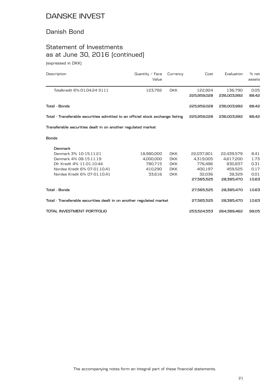### Danish Bond

# Statement of Investments as at June 30, 2016 (continued)

(expressed in DKK)

| Description                                                                    | Quantity $/$ Face<br>Value | Currency   | Cost                   | Evaluation             | % net<br>assets |
|--------------------------------------------------------------------------------|----------------------------|------------|------------------------|------------------------|-----------------|
| Totalkredit 6%-01.04.24 S111                                                   | 123.792                    | <b>DKK</b> | 122,924<br>225,959,028 | 136,790<br>236,003,992 | 0.05<br>88.42   |
| Total - Bonds                                                                  |                            |            | 225,959,028            | 236,003,992            | 88.42           |
| Total - Transferable securities admitted to an official stock exchange listing |                            |            | 225,959,028            | 236,003,992            | 88.42           |
| Transferable securities dealt in on another regulated market                   |                            |            |                        |                        |                 |
| <b>Bonds</b>                                                                   |                            |            |                        |                        |                 |
| Denmark                                                                        |                            |            |                        |                        |                 |
| Denmark 3% 10-15.11.21                                                         | 18.980.000                 | <b>DKK</b> | 22,037,801             | 22,439,579             | 8.41            |
| Denmark 4% 08-15.11.19                                                         | 4,000,000                  | <b>DKK</b> | 4,319,005              | 4,617,200              | 1.73            |
| Dlr Kredit 4% 11-01.10.44                                                      | 780,715                    | <b>DKK</b> | 776,486                | 830.837                | 0.31            |
| Nordea Kredit 6% 07-01.10.41                                                   | 410,290                    | <b>DKK</b> | 400,197                | 459,525                | 0.17            |
| Nordea Kredit 6% 07-01.10.41                                                   | 33,616                     | <b>DKK</b> | 32,036                 | 38.329                 | 0.01            |
|                                                                                |                            |            | 27,565,525             | 28,385,470             | 10.63           |
| <b>Total - Bonds</b>                                                           |                            |            | 27,565,525             | 28,385,470             | 10.63           |
| Total - Transferable securities dealt in on another regulated market           |                            |            | 27,565,525             | 28,385,470             | 10.63           |
| TOTAL INVESTMENT PORTFOLIO                                                     |                            |            | 253,524,553            | 264.389.462            | 99.05           |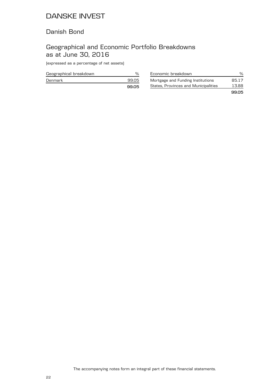### Danish Bond

## Geographical and Economic Portfolio Breakdowns as at June 30, 2016

(expressed as a percentage of net assets)

| Geographical breakdown |      |
|------------------------|------|
| Denmark                | 9905 |
|                        | 9905 |

| Economic breakdown                   | %     |
|--------------------------------------|-------|
| Mortgage and Funding Institutions    | 85.17 |
| States, Provinces and Municipalities | 13.88 |
|                                      | 9905  |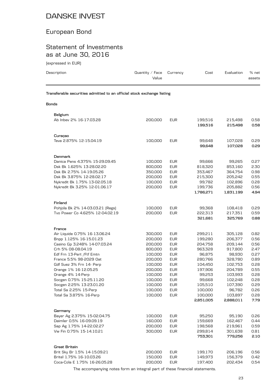# European Bond

## Statement of Investments as at June 30, 2016

(expressed in EUR)

| Description                                                            | Quantity $\angle$ Face<br>Value | Currency                 | Cost                 | Evaluation           | % net<br>assets |
|------------------------------------------------------------------------|---------------------------------|--------------------------|----------------------|----------------------|-----------------|
| Transferable securities admitted to an official stock exchange listing |                                 |                          |                      |                      |                 |
| <b>Bonds</b>                                                           |                                 |                          |                      |                      |                 |
| Belgium                                                                |                                 |                          |                      |                      |                 |
| Ab Inbey 2% 16-17.03.28                                                | 200,000                         | <b>EUR</b>               | 199,516<br>199,516   | 215,498<br>215,498   | 0.58<br>0.58    |
| Curaçao                                                                |                                 |                          |                      |                      |                 |
| Teva 2.875% 12-15.04.19                                                | 100,000                         | <b>EUR</b>               | 99,648<br>99,648     | 107,028<br>107,028   | 0.29<br>0.29    |
| Denmark                                                                |                                 |                          |                      |                      |                 |
| Danica Pens 4.375% 15-29.09.45                                         | 100,000                         | <b>EUR</b>               | 99,666               | 99,265               | 0.27            |
| Dsk Bk 1.625% 13-28.02.20                                              | 800,000                         | <b>EUR</b>               | 818,320              | 853,160              | 2.30            |
| Dsk Bk 2.75% 14-19.05.26<br>Dsk Bk 3.875% 12-28.02.17                  | 350,000                         | <b>EUR</b><br><b>EUR</b> | 353,467              | 364,754<br>205,242   | 0.98<br>0.55    |
| Nykredit Bk 1.75% 13-02.05.18                                          | 200,000<br>100,000              | <b>EUR</b>               | 215,300<br>99,782    | 102,896              | 0.28            |
| Nykredit Bk 3.25% 12-01.06.17                                          | 200,000                         | <b>EUR</b>               | 199,736              | 205,882              | 0.56            |
|                                                                        |                                 |                          | 1,786,271            | 1,831,199            | 4.94            |
| Finland                                                                |                                 |                          |                      |                      |                 |
| Pohjola Bk 2% 14-03.03.21 [Regs]                                       | 100,000                         | <b>EUR</b>               | 99,368               | 108,418              | 0.29            |
| Tvo Power Co 4.625% 12-04.02.19                                        | 200,000                         | <b>EUR</b>               | 222,313              | 217,351              | 0.59            |
|                                                                        |                                 |                          | 321,681              | 325,769              | 0.88            |
| France                                                                 |                                 |                          |                      |                      |                 |
| Air Liquide 0.75% 16-13.06.24                                          | 300,000                         | <b>EUR</b>               | 299,211              | 305,128              | 0.82            |
| Bnpp 1.125% 16-15.01.23                                                | 200,000                         | <b>EUR</b>               | 199,280              | 206,377              | 0.56            |
| Casino Gp 3.248% 14-07.03.24                                           | 200,000                         | <b>EUR</b>               | 204,758<br>963,328   | 209,144              | 0.56<br>2.47    |
| Crh 5% 08-08.04.19<br>Edf Frn 13-Pert / Ftf Emtn                       | 800,000<br>100,000              | <b>EUR</b><br><b>EUR</b> | 96,875               | 917,800<br>98,930    | 0.27            |
| France 5.5% 98-2029 Oat                                                | 200,000                         | <b>EUR</b>               | 280,766              | 328,780              | 0.89            |
| Gdf Suez 3% Frn 14- Perp                                               | 100,000                         | <b>EUR</b>               | 104,450              | 102,753              | 0.28            |
| Orange 1% 16-12.05.25                                                  | 200,000                         | <b>EUR</b>               | 197,906              | 204,789              | 0.55            |
| Orange 4% 14-Perp                                                      | 100,000                         | <b>EUR</b>               | 99,253               | 103,993              | 0.28            |
| Socgen 0.75% 15-25.11.20                                               | 100,000                         | <b>EUR</b>               | 99,668               | 102,248              | 0.28            |
| Socgen 2.25% 13-23.01.20                                               | 100,000                         | <b>EUR</b>               | 105,510              | 107,390              | 0.29            |
| Total Sa 2.25% 15-Perp                                                 | 100,000                         | <b>EUR</b>               | 100,000              | 96,782               | 0.26            |
| Total Sa 3.875% 16-Perp                                                | 100,000                         | <b>EUR</b>               | 100,000<br>2,851,005 | 103,897<br>2,888,011 | 0.28<br>7.79    |
|                                                                        |                                 |                          |                      |                      |                 |
| Germany                                                                |                                 |                          |                      |                      |                 |
| Bayer Ag 2.375% 15-02.04.75                                            | 100,000                         | <b>EUR</b>               | 95,250               | 95,190               | 0.26            |
| Daimler 0.5% 16-09.09.19                                               | 160,000                         | <b>EUR</b>               | 159,669              | 162,467              | 0.44            |
| Sap Ag 1.75% 14-22.02.27<br>Vw Fin 0.75% 15-14.10.21                   | 200,000<br>300,000              | <b>EUR</b><br><b>EUR</b> | 198,568              | 219,961              | 0.59            |
|                                                                        |                                 |                          | 299,814<br>753,301   | 301,638<br>779,256   | 0.81<br>2.10    |
| Great Britain                                                          |                                 |                          |                      |                      |                 |
| Brit Sky Br 1.5% 14-15.09.21                                           | 200,000                         | <b>EUR</b>               | 199,170              | 206,196              | 0.56            |
| Britel 1.75% 16-10.03.26                                               | 150,000                         | <b>EUR</b>               | 149,973              | 156,379              | 0.42            |
| Coca-Cola E 1.75% 16-26.05.28                                          | 200,000                         | <b>EUR</b>               | 197,400              | 202,434              | 0.54            |

The accompanying notes form an integral part of these financial statements.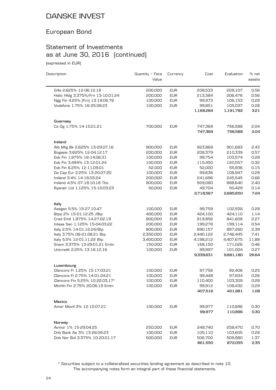## European Bond

## Statement of Investments as at June 30, 2016 (continued)

(expressed in EUR)

| Description                      | Quantity $\angle$ Face | Currency   | Cost      | Evaluation | % net  |
|----------------------------------|------------------------|------------|-----------|------------|--------|
|                                  | Value                  |            |           |            | assets |
| G4s 2.625% 12-06.12.18           | 200,000                | <b>EUR</b> | 208,533   | 209,107    | 0.56   |
| Hsbc Hldg 3.375%/Frn 13-10.01.24 | 200,000                | <b>EUR</b> | 213,384   | 206,476    | 0.56   |
| Ngg Fin 4.25% [Frn] 13-18.06.76  | 100,000                | <b>EUR</b> | 99,973    | 106,153    | 0.29   |
| Vodafone 1.75% 16-25.08.23       | 100,000                | <b>EUR</b> | 99,851    | 105,037    | 0.28   |
|                                  |                        |            | 1,168,284 | 1,191,782  | 3.21   |
| Guernsey                         |                        |            |           |            |        |
| Cs Gg 1.75% 14-15.01.21          | 700,000                | <b>EUR</b> | 747,369   | 756,588    | 2.04   |
|                                  |                        |            | 747,369   | 756,588    | 2.04   |
| Ireland                          |                        |            |           |            |        |
| Aib Mtg Bk 2.625% 13-29.07.16    | 900,000                | <b>EUR</b> | 923,868   | 901,683    | 2.43   |
| Bogaeis 3.625% 12-04.12.17       | 200,000                | <b>EUR</b> | 208,379   | 210,339    | 0.57   |
| Esb Fin 1.875% 16-14.06.31       | 100,000                | <b>EUR</b> | 99,754    | 103,574    | 0.28   |
| Esb Fin 3.494% 13-12.01.24       | 100,000                | <b>EUR</b> | 115,450   | 120,557    | 0.32   |
| Esb Fin 6.25% 12-11.09.01        | 52,000                 | <b>EUR</b> | 52,000    | 55,936     | 0.15   |
| Ge Cap Eur 2.25% 13-20.07.20     | 100,000                | <b>EUR</b> | 99,636    | 108,947    | 0.29   |
| Ireland 3.4% 14-18.03.24         | 200,000                | <b>EUR</b> | 241,696   | 245,545    | 0.66   |
| Ireland 4.5% 07-18.10.18 Tbo     | 800,000                | <b>EUR</b> | 928,080   | 888,640    | 2.40   |
| Ryanair Ltd 1.125% 15-10.03.23   | 50,000                 | <b>EUR</b> | 49,704    | 50,429     | 0.14   |
|                                  |                        |            | 2,718,567 | 2,685,650  | 7.24   |
| ltaly                            |                        |            |           |            |        |
| Assgen 5.5% 15-27.10.47          | 100,000                | <b>EUR</b> | 99,759    | 102,938    | 0.28   |
| Btps 2% 15-01.12.25 /Btp         | 400,000                | <b>EUR</b> | 424,100   | 424,110    | 1.14   |
| Cred Emil 1.875% 14-27.02.19     | 800,000                | <b>EUR</b> | 819,856   | 841,608    | 2.27   |
| Intesa San 1.125% 15-04.03.22    | 200,000                | <b>EUR</b> | 199,278   | 199,114    | 0.54   |
| Italy 2.5% 14-01.12.24/Btp       | 800,000                | <b>EUR</b> | 890,157   | 887,260    | 2.39   |
| Italy 3.75% 06-01.08.21 Btp      | 2,350,000              | <b>EUR</b> | 2,440,122 | 2,746,445  | 7.41   |
| Italy 5.5% 12-01.11.22 Btp       | 3,400,000              | <b>EUR</b> | 4,198,212 | 4,407,675  | 11.88  |
| Snam 3.375% 13-29.01.21 Emtn     | 150,000                | <b>EUR</b> | 168,150   | 171,026    | 0.46   |
| Unicredit 2.25% 13-16.12.16      | 100,000                | <b>EUR</b> | 99,997    | 101,004    | 0.27   |
|                                  |                        |            | 9,339,631 | 9,881,180  | 26.64  |
| Luxembourg                       |                        |            |           |            |        |
| Glencore Fi 1.25% 15-17.03.21    | 100,000                | <b>EUR</b> | 97,756    | 92,406     | 0.25   |
| Glencore Fi 2.75% 14-01.04.21    | 100,000                | <b>EUR</b> | 99,448    | 97,834     | 0.26   |
| Glencore Fin 5.25% 10-22.03.17*  | 100,000                | <b>EUR</b> | 110,400   | 103,309    | 0.28   |
| Michln Fin 2.75% 20.06.19 Emtn   | 100,000                | <b>EUR</b> | 99,912    | 108,432    | 0.29   |
|                                  |                        |            | 407,516   | 401,981    | 1.08   |
| Mexico                           |                        |            |           |            |        |
| Amer Movil 3% 12-12.07.21        | 100,000                | <b>EUR</b> | 99,977    | 110,896    | 0.30   |
|                                  |                        |            | 99,977    | 110,896    | 0.30   |
| Norway                           |                        |            |           |            |        |
| Avinor 1% 15-29.04.25            | 250,000                | <b>EUR</b> | 249,740   | 258,470    | 0.70   |
| Dnb Bank As 3% 13-26.09.23       | 100,000                | <b>EUR</b> | 105,110   | 103,605    | 0.28   |
| Dnb Nor Bol 3.375% 10-20.01.17   | 500,000                | <b>EUR</b> | 506,700   | 509,980    | 1.37   |
|                                  |                        |            | 861,550   | 872,055    | 2.35   |

The accompanying notes form an integral part of these financial statements. \* Securities subject to a collateralized securities lending agreement as described in note 10.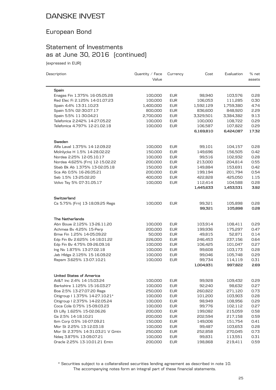# European Bond

## Statement of Investments as at June 30, 2016 (continued)

(expressed in EUR)

| Description                      | Quantity / Face<br>Value | Currency   | Cost      | Evaluation | % net<br>assets |
|----------------------------------|--------------------------|------------|-----------|------------|-----------------|
| Spain                            |                          |            |           |            |                 |
| Enagas Fin 1.375% 16-05.05.28    | 100,000                  | <b>EUR</b> | 98,940    | 103,576    | 0.28            |
| Red Elec Fi 2.125% 14-01.07.23   | 100,000                  | <b>EUR</b> | 106,053   | 111,285    | 0.30            |
| Spain 4.4% 13-31.10.23           | 1,400,000                | <b>EUR</b> | 1,592,129 | 1,759,380  | 4.74            |
| Spain 5.5% 02-30.07.17           | 800,000                  | <b>EUR</b> | 836,600   | 848,920    | 2.29            |
| Spain 5.5% 11-30.04.21           | 2,700,000                | <b>EUR</b> | 3,329,501 | 3,384,382  | 9.13            |
| Telefonica 2.242% 14-27.05.22    | 100,000                  | <b>EUR</b> | 100,000   | 108,722    | 0.29            |
| Telefonica 4.797% 12-21.02.18    | 100,000                  | <b>EUR</b> | 106,587   | 107,822    | 0.29            |
|                                  |                          |            | 6,169,810 | 6,424,087  | 17.32           |
| Sweden                           |                          |            |           |            |                 |
| Alfa Laval 1.375% 14-12.09.22    | 100,000                  | <b>EUR</b> | 99,101    | 104,157    | 0.28            |
| Molnlycke H 1.5% 14-28.02.22     | 150,000                  | <b>EUR</b> | 149,696   | 156,505    | 0.42            |
| Nordea 2.25% 12-05.10.17         | 100,000                  | <b>EUR</b> | 99,516    | 102,932    | 0.28            |
| Nordea 4.625% [Frn] 12-15.02.22  | 200,000                  | <b>EUR</b> | 213,000   | 204,814    | 0.55            |
| Sbab Bk Ab 1.375% 13-02.05.18    | 150,000                  | <b>EUR</b> | 149,884   | 153,691    | 0.42            |
| Sca Ab 0.5% 16-26.05.21          | 200,000                  | <b>EUR</b> | 199,194   | 201,794    | 0.54            |
| Seb 1.5% 13-25.02.20             | 400,000                  | <b>EUR</b> | 422,828   | 425,050    | 1.15            |
| Volvo Tsy 5% 07-31.05.17         | 100,000                  | <b>EUR</b> | 112,414   | 104,588    | 0.28            |
|                                  |                          |            | 1,445,633 | 1,453,531  | 3.92            |
| Switzerland                      |                          |            |           |            |                 |
| Cs 5.75% [Frn] 13-18.09.25 Regs  | 100,000                  | <b>EUR</b> | 99,321    | 105,898    | 0.28            |
|                                  |                          |            | 99,321    | 105,898    | 0.28            |
| <b>The Netherlands</b>           |                          |            |           |            |                 |
| Abn Bouw 2.125% 13-26.11.20      | 100,000                  | <b>EUR</b> | 103,914   | 108,411    | 0.29            |
| Achmea Bv 4.25% 15-Perp          | 200,000                  | <b>EUR</b> | 199,936   | 175,297    | 0.47            |
| Bmw Fin 1.25% 14-05.09.22        | 50,000                   | <b>EUR</b> | 49,815    | 52,871     | 0.14            |
| Edp Fin Bv 2.625% 14-18.01.22    | 226,000                  | <b>EUR</b> | 246,453   | 237,156    | 0.64            |
| Edp Fin Bv 4.75% 09-26.09.16     | 100,000                  | <b>EUR</b> | 106,425   | 101,047    | 0.27            |
| Ing Nv 1.875% 13-27.02.18        | 100,000                  | <b>EUR</b> | 99,608    | 103,173    | 0.28            |
| Jab Hldgs 2.125% 15-16.09.22     | 100,000                  | <b>EUR</b> | 99,046    | 105,748    | 0.29            |
| Repsm 3.625% 13-07.10.21         | 100,000                  | <b>EUR</b> | 99,734    | 114,119    | 0.31            |
|                                  |                          |            | 1,004,931 | 997,822    | 2.69            |
| United States of America         |                          |            |           |            |                 |
| At&T Inc 2.4% 14-15.03.24        | 100,000                  | <b>EUR</b> | 99,928    | 109,432    | 0.29            |
| Berkshire 1.125% 15-16.03.27     | 100,000                  | <b>EUR</b> | 92,240    | 98,632     | 0.27            |
| Boa 2.5% 13-27.07.20 Regs        | 250,000                  | <b>EUR</b> | 260,822   | 271,120    | 0.73            |
| Citigroup   1.375% 14-27.10.21*  | 100,000                  | <b>EUR</b> | 101,200   | 103,903    | 0.28            |
| Citigroup I 2.375% 14-22.05.24   | 100,000                  | <b>EUR</b> | 98,949    | 108,956    | 0.29            |
| Coca Cola 0.75% 15-09.03.23      | 100,000                  | <b>EUR</b> | 99,776    | 102,112    | 0.27            |
| Eli Lilly 1.625% 15-02.06.26     | 200,000                  | <b>EUR</b> | 199,082   | 215,059    | 0.58            |
| Gs 2.5% 14-18.10.21              | 200,000                  | <b>EUR</b> | 202,594   | 217,158    | 0.59            |
| Ibm Corp 0.5% 16-07.09.21        | 150,000                  | <b>EUR</b> | 149,006   | 151,754    | 0.41            |
| Mor St 2.25% 13-12.03.18         | 100,000                  | <b>EUR</b> | 99,487    | 103,653    | 0.28            |
| Mor St 2.375% 14-31.03.21 V Gmtn | 250,000                  | <b>EUR</b> | 252,858   | 270,045    | 0.73            |
| Ndaq 3.875% 13-09.07.21          | 100,000                  | <b>EUR</b> | 99,831    | 113,551    | 0.31            |
| Oracle 2.25% 13-10.01.21 Emtn    | 200,000                  | <b>EUR</b> | 198,868   | 219,411    | 0.59            |

The accompanying notes form an integral part of these financial statements. \* Securities subject to a collateralized securities lending agreement as described in note 10.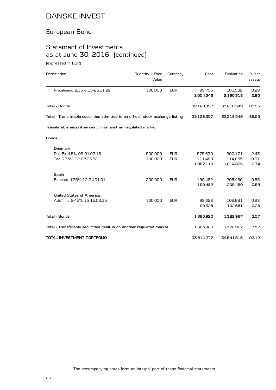# European Bond

# Statement of Investments as at June 30, 2016 (continued)

(expressed in EUR)

| Description                                                                    | Quantity $\angle$ Face<br>Value | Currency   | Cost       | Evaluation | % net<br>assets |
|--------------------------------------------------------------------------------|---------------------------------|------------|------------|------------|-----------------|
| Pricelineco 2.15% 15-25.11.22                                                  | 100,000                         | <b>EUR</b> | 99,705     | 105,532    | 0.28            |
|                                                                                |                                 |            | 2,054,346  | 2,190,318  | 5.90            |
| <b>Total - Bonds</b>                                                           |                                 |            | 32,128,357 | 33,218,549 | 89.55           |
| Total - Transferable securities admitted to an official stock exchange listing |                                 |            | 32,128,357 | 33,218,549 | 89.55           |
| Transferable securities dealt in on another regulated market                   |                                 |            |            |            |                 |
| <b>Bonds</b>                                                                   |                                 |            |            |            |                 |
| <b>Denmark</b>                                                                 |                                 |            |            |            |                 |
| Dsk Bk 4.5% 09-01.07.16                                                        | 900,000                         | <b>EUR</b> | 975,630    | 900,171    | 2.43            |
| Tdc 3.75% 12-02.03.22                                                          | 100,000                         | <b>EUR</b> | 111,480    | 114,655    | 0.31            |
|                                                                                |                                 |            | 1,087,110  | 1,014,826  | 2.74            |
| Spain                                                                          |                                 |            |            |            |                 |
| Banesto 4.75% 12-24.01.01                                                      | 200,000                         | <b>EUR</b> | 199,482    | 205,460    | 0.55            |
|                                                                                |                                 |            | 199,482    | 205,460    | 0.55            |
| <b>United States of America</b>                                                |                                 |            |            |            |                 |
| At&T Inc 2.45% 15-15.03.35                                                     | 100,000                         | <b>EUR</b> | 99,328     | 102,681    | 0.28            |
|                                                                                |                                 |            | 99,328     | 102,681    | 0.28            |
| <b>Total - Bonds</b>                                                           |                                 |            | 1,385,920  | 1,322,967  | 3.57            |
| Total - Transferable securities dealt in on another regulated market           |                                 |            | 1,385,920  | 1,322,967  | 3.57            |
| TOTAL INVESTMENT PORTFOLIO                                                     |                                 |            | 33,514,277 | 34,541,516 | 93.12           |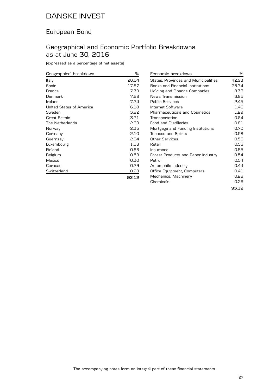## European Bond

## Geographical and Economic Portfolio Breakdowns as at June 30, 2016

(expressed as a percentage of net assets)

| Geographical breakdown   | %     |
|--------------------------|-------|
| Italy                    | 26.64 |
| Spain                    | 17.87 |
| France                   | 7.79  |
| Denmark                  | 7.68  |
| Ireland                  | 7.24  |
| United States of America | 6.18  |
| Sweden                   | 3.92  |
| Great Britain            | 3.21  |
| The Netherlands          | 2.69  |
| Norway                   | 2.35  |
| Germany                  | 2.10  |
| Guernsey                 | 2.04  |
| Luxembourg               | 1.08  |
| Finland                  | 0.88  |
| Belgium                  | 0.58  |
| Mexico                   | 0.30  |
| Curaçao                  | 0.29  |
| Switzerland              | 0.28  |
|                          | 93.12 |

| Economic breakdown                      | %     |
|-----------------------------------------|-------|
| States, Provinces and Municipalities    | 42.93 |
| <b>Banks and Financial Institutions</b> | 25.74 |
| Holding and Finance Companies           | 8.33  |
| News Transmission                       | 3.85  |
| <b>Public Services</b>                  | 2.45  |
| Internet Software                       | 1.46  |
| <b>Pharmaceuticals and Cosmetics</b>    | 1.29  |
| Transportation                          | 0.84  |
| <b>Food and Distilleries</b>            | 0.81  |
| Mortgage and Funding Institutions       | 0.70  |
| <b>Tobacco and Spirits</b>              | 0.58  |
| Other Services                          | 0.56  |
| Retail                                  | 0.56  |
| Insurance                               | 0.55  |
| Forest Products and Paper Industry      | 0.54  |
| Petrol                                  | 0.54  |
| Automobile Industry                     | 0.44  |
| Office Equipment, Computers             | 0.41  |
| Mechanics, Machinery                    | 0.28  |
| Chemicals                               | 0.26  |
|                                         | 93.12 |

The accompanying notes form an integral part of these financial statements.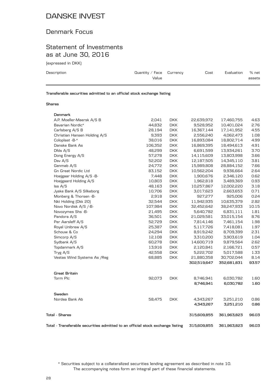## Denmark Focus

### Statement of Investments as at June 30, 2016

(expressed in DKK)

| Description | Quantity / Face $C$ urrency<br>Value | Cost | Evaluation | % net<br>assets |
|-------------|--------------------------------------|------|------------|-----------------|
|             |                                      |      |            |                 |

**Transferable securities admitted to an official stock exchange listing**

#### **Shares**

| Denmark                                                                        |         |            |             |             |       |
|--------------------------------------------------------------------------------|---------|------------|-------------|-------------|-------|
| A.P. Moeller-Maersk A/S B                                                      | 2,041   | <b>DKK</b> | 22,639,972  | 17,460,755  | 4.63  |
| Bavarian Nordic*                                                               | 44,832  | <b>DKK</b> | 9,528,952   | 10,401,024  | 2.76  |
| Carlsberg A/S B                                                                | 28,194  | <b>DKK</b> | 16,367,144  | 17,141,952  | 4.55  |
| Christian Hansen Holding A/S                                                   | 9,393   | DKK.       | 2,556,240   | 4,062,473   | 1.08  |
| Coloplast -B-*                                                                 | 38,016  | <b>DKK</b> | 16,893,084  | 18,802,714  | 4.99  |
| Danske Bank As                                                                 | 106,352 | <b>DKK</b> | 16,869,395  | 18,494,613  | 4.91  |
| Dfds A/S                                                                       | 48,299  | <b>DKK</b> | 6,691,599   | 13,934,261  | 3.70  |
| Dong Energy A/S                                                                | 57,278  | <b>DKK</b> | 14,115,609  | 13,803,998  | 3.66  |
| Dsv A/S                                                                        | 52,202  | <b>DKK</b> | 12,187,505  | 14,345,110  | 3.81  |
| Genmab A/S                                                                     | 24,772  | <b>DKK</b> | 15,989,808  | 28,884,152  | 7.66  |
| <b>Gn Great Nordic Ltd</b>                                                     | 83,152  | <b>DKK</b> | 10,562,204  | 9,936,664   | 2.64  |
| Hoejgaar Holding A/S -B-                                                       | 7,448   | <b>DKK</b> | 1,900,676   | 2,346,120   | 0.62  |
| Hoejgaard Holding A/S                                                          | 10,803  | DKK.       | 1,962,818   | 3,489,369   | 0.93  |
| Iss A/S                                                                        | 48,163  | <b>DKK</b> | 10,257,867  | 12,002,220  | 3.18  |
| Jyske Bank A/S Silkeborg                                                       | 10,706  | <b>DKK</b> | 3,017,623   | 2,663,653   | 0.71  |
| Monberg & Thorsen -B-                                                          | 2,918   | <b>DKK</b> | 927,277     | 925,006     | 0.24  |
| Nkt Holding (Dkk 20)                                                           | 32,544  | <b>DKK</b> | 11,942,935  | 10,635,379  | 2.82  |
| Novo Nordisk A/S /-B-                                                          | 107,984 | <b>DKK</b> | 32,452,642  | 38,247,933  | 10.15 |
| Novozymes Shs -B-                                                              | 21,495  | <b>DKK</b> | 5,640,782   | 6,831,111   | 1.81  |
| Pandora A/S                                                                    | 36,501  | <b>DKK</b> | 21,029,581  | 33,015,154  | 8.76  |
| Per Aarsleff A/S                                                               | 52,729  | <b>DKK</b> | 7,814,146   | 7,461,154   | 1.98  |
| Royal Unibrew A/S                                                              | 25,387  | <b>DKK</b> | 5,117,726   | 7,418,081   | 1.97  |
| Schouw & Co                                                                    | 24,294  | <b>DKK</b> | 8,919,242   | 8,709,399   | 2.31  |
| Simcorp A/S                                                                    | 12,108  | <b>DKK</b> | 3,310,200   | 3,903,619   | 1.04  |
| Sydbank A/S                                                                    | 60,278  | <b>DKK</b> | 14,600,719  | 9,879,564   | 2.62  |
| Topdanmark A/S                                                                 | 13,916  | <b>DKK</b> | 2,120,841   | 2,166,721   | 0.57  |
| Tryg $A/S$                                                                     | 42,558  | <b>DKK</b> | 5,222,702   | 5,017,588   | 1.33  |
| Vestas Wind Systems As / Reg                                                   | 68,885  | <b>DKK</b> | 21,880,358  | 30,702,044  | 8.14  |
|                                                                                |         |            | 302,519,647 | 352,681,831 | 93.57 |
| Great Britain                                                                  |         |            |             |             |       |
| Torm Plc                                                                       | 92,073  | <b>DKK</b> | 8,746,941   | 6,030,782   | 1.60  |
|                                                                                |         |            | 8,746,941   | 6,030,782   | 1.60  |
| Sweden                                                                         |         |            |             |             |       |
| Nordea Bank Ab                                                                 | 58,475  | <b>DKK</b> | 4,343,267   | 3,251,210   | 0.86  |
|                                                                                |         |            | 4,343,267   | 3,251,210   | 0.86  |
| Total - Shares                                                                 |         |            | 315,609,855 | 361,963,823 | 96.03 |
| Total - Transferable securities admitted to an official stock exchange listing |         |            | 315,609,855 | 361,963,823 | 96.03 |

The accompanying notes form an integral part of these financial statements. \* Securities subject to a collateralized securities lending agreement as described in note 10.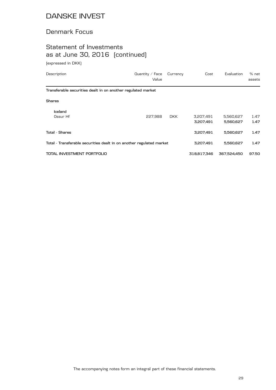## Denmark Focus

## Statement of Investments as at June 30, 2016 (continued)

(expressed in DKK)

| Description                                                          | Quantity $/$ Face<br>Value | Currency   | Cost                   | Evaluation             | % net<br>assets |
|----------------------------------------------------------------------|----------------------------|------------|------------------------|------------------------|-----------------|
| Transferable securities dealt in on another regulated market         |                            |            |                        |                        |                 |
| <b>Shares</b>                                                        |                            |            |                        |                        |                 |
| Iceland<br>Ossur Hf                                                  | 227.988                    | <b>DKK</b> | 3,207,491<br>3,207,491 | 5,560,627<br>5,560,627 | 1.47<br>1.47    |
| <b>Total - Shares</b>                                                |                            |            | 3,207,491              | 5,560,627              | 1.47            |
| Total - Transferable securities dealt in on another regulated market |                            |            | 3,207,491              | 5,560,627              | 1.47            |
| TOTAL INVESTMENT PORTFOLIO                                           |                            |            | 318.817.346            | 367.524.450            | 97.50           |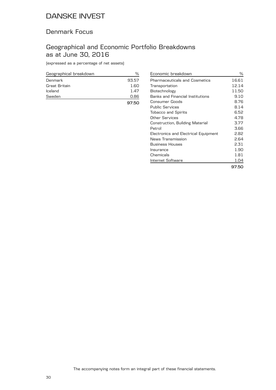### Denmark Focus

## Geographical and Economic Portfolio Breakdowns as at June 30, 2016

(expressed as a percentage of net assets)

| Geographical breakdown | ℀     |
|------------------------|-------|
| Denmark                | 93.57 |
| Great Britain          | 1.60  |
| Iceland                | 1.47  |
| Sweden                 | 0.86  |
|                        | 97.50 |

| Economic breakdown                   | ℅     |
|--------------------------------------|-------|
| <b>Pharmaceuticals and Cosmetics</b> | 16.61 |
| Transportation                       | 12.14 |
| Biotechnology                        | 11.50 |
| Banks and Financial Institutions     | 9.10  |
| Consumer Goods                       | 8.76  |
| <b>Public Services</b>               | 8.14  |
| <b>Tobacco and Spirits</b>           | 6.52  |
| Other Services                       | 4.78  |
| Construction, Building Material      | 3.77  |
| Petrol                               | 3.66  |
| Electronics and Electrical Equipment | 2.82  |
| News Transmission                    | 2.64  |
| <b>Business Houses</b>               | 2.31  |
| Insurance                            | 1.90  |
| Chemicals                            | 1.81  |
| Internet Software                    | 1.04  |
|                                      | 97.50 |

The accompanying notes form an integral part of these financial statements.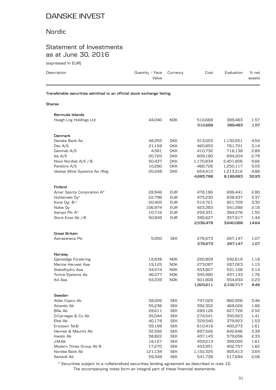### Nordic

## Statement of Investments as at June 30, 2016

(expressed in EUR)

| Description | Quantity / Face $C$ urrency<br>Value                                   | Cost | Evaluation | % net<br>assets |
|-------------|------------------------------------------------------------------------|------|------------|-----------------|
|             | Transferable securities admitted to an official stock exchange listing |      |            |                 |
| Shares      |                                                                        |      |            |                 |

| Bermuda Islands                             |                  |                          |                      |                        |              |
|---------------------------------------------|------------------|--------------------------|----------------------|------------------------|--------------|
| Hoegh Lng Holdings Ltd                      | 44,040           | <b>NOK</b>               | 510,668              | 389,483                | 1.57         |
|                                             |                  |                          | 510,668              | 389,483                | 1.57         |
|                                             |                  |                          |                      |                        |              |
| Denmark<br>Danske Bank As                   |                  |                          |                      |                        |              |
|                                             | 48,355           | <b>DKK</b>               | 913,053              | 1,130,551              | 4.54         |
| Dsv A/S                                     | 21,158           | <b>DKK</b>               | 460,853              | 781,701                | 3.14         |
| Genmab A/S                                  | 4,581            | DKK.                     | 410,732              | 718,138                | 2.89<br>2.79 |
| Iss A/S                                     | 20,720<br>50,437 | <b>DKK</b>               | 609,180              | 694,204                | 9.66         |
| Novo Nordisk A/S /-B-                       |                  | <b>DKK</b><br><b>DKK</b> | 1,170,834<br>466,726 | 2,401,856              |              |
| Pandora A/S<br>Vestas Wind Systems As / Reg | 10,280<br>20,248 | <b>DKK</b>               | 654,410              | 1,250,117<br>1,213,316 | 5.03<br>4.88 |
|                                             |                  |                          | 4,685,788            | 8,189,883              | 32.93        |
|                                             |                  |                          |                      |                        |              |
| Finland                                     |                  |                          |                      |                        |              |
| Amer Sports Corporation A*                  | 28,946           | <b>EUR</b>               | 478,186              | 696,441                | 2.80         |
| Huhtamaki Oy*                               | 22,796           | <b>EUR</b>               | 475,230              | 838,437                | 3.37         |
| Kone Oyj -B-*                               | 20,405           | <b>EUR</b>               | 514,721              | 821,709                | 3.30         |
| Nokia Oy                                    | 106,974          | <b>EUR</b>               | 423,383              | 541,288                | 2.18         |
| Sampo Plc A*                                | 10,716           | <b>EUR</b>               | 254,331              | 384,276                | 1.55         |
| Stora Enso Ab /-R-                          | 50,949           | <b>EUR</b>               | 390,627              | 357,917                | 1.44         |
|                                             |                  |                          | 2,536,478            | 3,640,068              | 14.64        |
| Great Britain                               |                  |                          |                      |                        |              |
| Astrazeneca Plc                             | 5,050            | SEK                      | 276,673              | 267,147                | 1.07         |
|                                             |                  |                          | 276,673              | 267,147                | 1.07         |
|                                             |                  |                          |                      |                        |              |
| Norway<br>Gjensidige Forsikring             | 19,838           | NOK.                     | 250,909              | 292,619                | 1.18         |
| Marine Harvest Asa                          | 19,125           | NOK.                     | 273,087              | 287,023                | 1.15         |
| Statoilhydro Asa                            | 34,574           | NOK.                     | 553,827              | 531,108                | 2.14         |
| Tomra Systems As                            | 46,077           | NOK.                     | 345,980              | 437,133                | 1.76         |
| Xxl Asa                                     | 54,339           | <b>NOK</b>               | 501,808              | 554,834                | 2.23         |
|                                             |                  |                          | 1,925,611            | 2,102,717              | 8.46         |
|                                             |                  |                          |                      |                        |              |
| Sweden                                      |                  |                          |                      |                        |              |
| Atlas Copco Ab                              | 38,026           | <b>SEK</b>               | 747,025              | 860,956                | 3.46         |
| Attendo Ab                                  | 55,236           | <b>SEK</b>               | 392,302              | 468,026                | 1.88         |
| Bilia Ab                                    | 28,611           | <b>SEK</b>               | 289,126              | 627,726                | 2.52         |
| D.Carnegie & Co Ab                          | 35,044           | <b>SEK</b>               | 274,541              | 350,923                | 1.41         |
| Eltel Ab                                    | 40,178           | <b>SEK</b>               | 329,540              | 379,923                | 1.53         |
| Ericsson Tel.B                              | 59,189           | <b>SEK</b>               | 610,418              | 400,273                | 1.61         |
| Hennes & Mauritz Ab                         | 32,592           | <b>SEK</b>               | 897,526              | 842,846                | 3.39         |
| Inwido Ab                                   | 58,822           | <b>SEK</b>               | 437,143              | 579,656                | 2.33         |
| J.M.Ab                                      | 18,127           | <b>SEK</b>               | 459,213              | 399,055                | 1.61         |
| Modern Times Group Ab B                     | 17,270           | <b>SEK</b>               | 433,951              | 402,757                | 1.62         |
| Nordea Bank Ab                              | 121,134          | <b>SEK</b>               | 1,152,325            | 905,413                | 3.64         |
| Sandvik Ab                                  | 59,349           | <b>SEK</b>               | 541,738              | 517,694                | 2.08         |

The accompanying notes form an integral part of these financial statements. \* Securities subject to a collateralized securities lending agreement as described in note 10.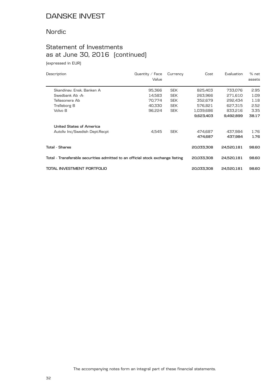## Nordic

# Statement of Investments as at June 30, 2016 (continued)

(expressed in EUR)

| Description                                                                    | Quantity $\angle$ Face<br>Value | Currency   | Cost       | Evaluation | % net<br>assets |
|--------------------------------------------------------------------------------|---------------------------------|------------|------------|------------|-----------------|
| Skandinav, Ensk, Banken A                                                      | 95,366                          | <b>SEK</b> | 825,403    | 733,076    | 2.95            |
| Swedbank Ab -A-                                                                | 14.583                          | <b>SEK</b> | 263.966    | 271.610    | 1.09            |
| Teliasonera Ab                                                                 | 70,774                          | <b>SEK</b> | 352,679    | 292,434    | 1.18            |
| Trelleborg B                                                                   | 40,330                          | <b>SEK</b> | 576,821    | 627,315    | 2.52            |
| Volvo B                                                                        | 96,224                          | <b>SEK</b> | 1,039,686  | 833,216    | 3.35            |
|                                                                                |                                 |            | 9,623,403  | 9,492,899  | 38.17           |
| United States of America                                                       |                                 |            |            |            |                 |
| Autoliv Inc/Swedish Dept.Recpt                                                 | 4,545                           | <b>SEK</b> | 474,687    | 437,984    | 1.76            |
|                                                                                |                                 |            | 474.687    | 437,984    | 1.76            |
| Total - Shares                                                                 |                                 |            | 20,033,308 | 24,520,181 | 98.60           |
| Total - Transferable securities admitted to an official stock exchange listing |                                 | 20,033,308 | 24,520,181 | 98.60      |                 |
| TOTAL INVESTMENT PORTFOLIO                                                     |                                 |            | 20.033.308 | 24,520,181 | 98.60           |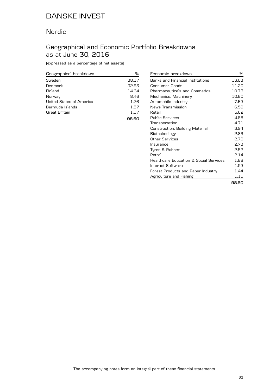### Nordic

## Geographical and Economic Portfolio Breakdowns as at June 30, 2016

(expressed as a percentage of net assets)

| Geographical breakdown   | %     |
|--------------------------|-------|
| Sweden                   | 38.17 |
| Denmark                  | 32.93 |
| Finland                  | 14.64 |
| Norway                   | 8.46  |
| United States of America | 1.76  |
| Bermuda Islands          | 1.57  |
| Great Britain            | 1.07  |
|                          |       |

| Economic breakdown                                | ℅     |
|---------------------------------------------------|-------|
| <b>Banks and Financial Institutions</b>           | 13.63 |
| Consumer Goods                                    | 11.20 |
| <b>Pharmaceuticals and Cosmetics</b>              | 10.73 |
| Mechanics, Machinery                              | 10.60 |
| Automobile Industry                               | 7.63  |
| News Transmission                                 | 6.59  |
| Retail                                            | 5.62  |
| Public Services                                   | 4.88  |
| Transportation                                    | 4.71  |
| Construction, Building Material                   | 3.94  |
| Biotechnology                                     | 2.89  |
| Other Services                                    | 2.79  |
| Insurance                                         | 2.73  |
| Tyres & Rubber                                    | 2.52  |
| Petrol                                            | 2.14  |
| <b>Healthcare Education &amp; Social Services</b> | 1.88  |
| Internet Software                                 | 1.53  |
| Forest Products and Paper Industry                | 1.44  |
| Agriculture and Fishing                           | 1.15  |
|                                                   | 98.60 |

The accompanying notes form an integral part of these financial statements.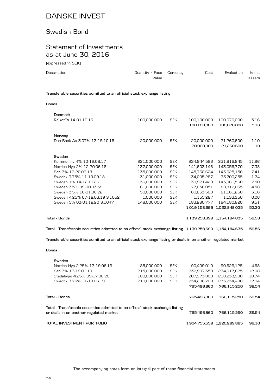### Swedish Bond

## Statement of Investments as at June 30, 2016

(expressed in SEK)

| Description                                                            | Quantity / Face $C$ urrency<br>Value | Cost | Evaluation | % net<br>assets |
|------------------------------------------------------------------------|--------------------------------------|------|------------|-----------------|
| Transferable securities admitted to an official stock exchange listing |                                      |      |            |                 |

#### **Bonds**

|               | Denmark                         |             |            |               |                             |       |
|---------------|---------------------------------|-------------|------------|---------------|-----------------------------|-------|
|               | RelkdtFn 14-01.10.16            | 100,000,000 | <b>SEK</b> | 100,100,000   | 100,076,000                 | 5.16  |
|               |                                 |             |            | 100,100,000   | 100,076,000                 | 5.16  |
|               |                                 |             |            |               |                             |       |
|               | Norway                          |             |            |               |                             |       |
|               | Dnb Bank As 3.07% 13-15.10.18   | 20,000,000  | <b>SEK</b> | 20,000,000    | 21,260,600                  | 1.10  |
|               |                                 |             |            | 20,000,000    | 21,260,600                  | 1.10  |
|               |                                 |             |            |               |                             |       |
|               | Sweden                          |             |            |               |                             |       |
|               | Kommuniny 4% 10-12.08.17        | 221,000,000 | <b>SEK</b> | 234,944,596   | 231,816,845                 | 11.96 |
|               | Nordea Hyp 2% 12-20.06.18       | 137,000,000 | <b>SEK</b> | 141,603,148   | 143,056,770                 | 7.38  |
|               | Seb 3% 12-20.06.18              | 135,000,000 | <b>SEK</b> | 145,738,624   | 143,625,150                 | 7.41  |
|               | Swedbk 3.75% 11-19.09.18        | 31,000,000  | <b>SEK</b> | 34,005,287    | 33,700,255                  | 1.74  |
|               | Sweden 1% 14-12.11.26           | 136,000,000 | <b>SEK</b> | 139,921,429   | 145,361,560                 | 7.50  |
|               | Sweden 3.5% 09-30.03.39         | 61,000,000  | <b>SEK</b> | 77,656,051    | 88,812,035                  | 4.58  |
|               | Sweden 3.5% 10-01.06.22         | 50,000,000  | <b>SEK</b> | 60,853,500    | 61,161,250                  | 3.16  |
|               | Sweden 4.25% 07-12.03.19 S.1052 | 1,000,000   | <b>SEK</b> | 1,155,287     | 1,133,350                   | 0.06  |
|               | Sweden 5% 03-01.12.20 S.1047    | 148,000,000 | <b>SEK</b> | 183,280,777   | 184,180,820                 | 9.51  |
|               |                                 |             |            | 1,019,158,699 | 1,032,848,035               | 53.30 |
| Tota1 - Bonds |                                 |             |            |               | 1.139.258.699 1.154.184.635 | 59.56 |
|               |                                 |             |            |               |                             |       |

**Total - Transferable securities admitted to an official stock exchange listing 1,139,258,699 1,154,184,635 59.56**

**Transferable securities admitted to an official stock exchange listing or dealt in on another regulated market**

#### **Bonds**

|                                                                                                                           | Sweden                       |             |                             |             |             |       |
|---------------------------------------------------------------------------------------------------------------------------|------------------------------|-------------|-----------------------------|-------------|-------------|-------|
|                                                                                                                           | Nordea Hyp 2.25% 13-19.06.19 | 85,000,000  | <b>SEK</b>                  | 90.409.010  | 90.629.125  | 4.68  |
|                                                                                                                           | Seb 3% 13-19.06.19           | 215,000,000 | <b>SEK</b>                  | 232.907.350 | 234.017.825 | 12.08 |
|                                                                                                                           | Stadshypo 4.25% 09-17.06.20  | 180.000.000 | <b>SEK</b>                  | 207.973.800 | 208.233.900 | 10.74 |
|                                                                                                                           | Swedbk 3.75% 11-19.06.19     | 210.000.000 | <b>SEK</b>                  | 234,206,700 | 233.234.400 | 12.04 |
|                                                                                                                           |                              |             |                             | 765.496.860 | 766.115.250 | 39.54 |
| Total - Bonds                                                                                                             |                              |             | 765,496,860                 | 766.115.250 | 39.54       |       |
| Total - Transferable securities admitted to an official stock exchange listing<br>or dealt in on another regulated market |                              |             | 765.496.860                 | 766.115.250 | 39.54       |       |
| TOTAL INVESTMENT PORTFOLIO                                                                                                |                              |             | 1.904.755.559 1.920.299.885 | 99.10       |             |       |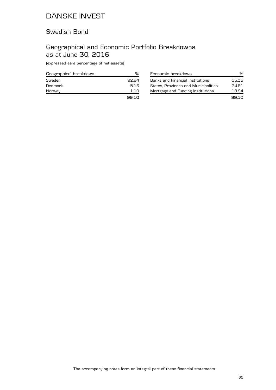### Swedish Bond

## Geographical and Economic Portfolio Breakdowns as at June 30, 2016

(expressed as a percentage of net assets)

| Geographical breakdown | %     |
|------------------------|-------|
| Sweden                 | 92.84 |
| Denmark                | 5.16  |
| Norway                 | 1.10  |
|                        | 99.10 |

| Economic breakdown                   | ℆     |
|--------------------------------------|-------|
| Banks and Financial Institutions     | 55.35 |
| States, Provinces and Municipalities | 24.81 |
| Mortgage and Funding Institutions    | 18.94 |
|                                      | 99.10 |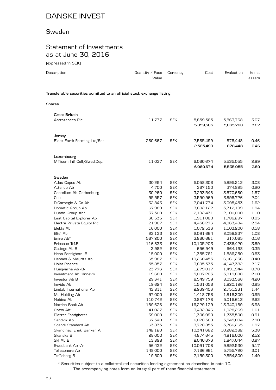### Sweden

### Statement of Investments as at June 30, 2016

(expressed in SEK)

| Description                                                            | Quantity / Face<br>Value | Currency                 | Cost                   | Evaluation             | % net<br>assets |
|------------------------------------------------------------------------|--------------------------|--------------------------|------------------------|------------------------|-----------------|
| Transferable securities admitted to an official stock exchange listing |                          |                          |                        |                        |                 |
| Shares                                                                 |                          |                          |                        |                        |                 |
| Great Britain                                                          |                          |                          |                        |                        |                 |
| Astrazeneca Plc                                                        | 11,777                   | <b>SEK</b>               | 5,859,565              | 5,863,768              | 3.07            |
|                                                                        |                          |                          | 5,859,565              | 5,863,768              | 3.07            |
| Jersey                                                                 |                          |                          |                        |                        |                 |
| Black Earth Farming Ltd/Sdr                                            | 260,667                  | <b>SEK</b>               | 2,565,499              | 878,448                | 0.46            |
|                                                                        |                          |                          | 2,565,499              | 878,448                | 0.46            |
| Luxembourg                                                             |                          |                          |                        |                        |                 |
| Millicom Intl Cell./Swed.Dep.                                          | 11,037                   | <b>SEK</b>               | 6,060,674              | 5,535,055              | 2.89            |
|                                                                        |                          |                          | 6,060,674              | 5,535,055              | 2.89            |
| Sweden                                                                 |                          |                          |                        |                        |                 |
| Atlas Copco Ab                                                         | 30,294                   | <b>SEK</b>               | 5,058,306              | 5,895,212              | 3.08            |
| Attendo Ab                                                             | 4,700                    | <b>SEK</b>               | 367,150                | 374,825                | 0.20            |
| Castellum Ab Gothenburg                                                | 30,260                   | <b>SEK</b>               | 3,293,548              | 3,570,680              | 1.87            |
| Coor                                                                   | 95,557                   | <b>SEK</b>               | 3,590,969              | 3,898,726              | 2.04            |
| D.Carnegie & Co Ab                                                     | 32,843                   | <b>SEK</b>               | 2,041,774              | 3,095,453              | 1.62            |
| Dometic Group Ab                                                       | 67,989                   | <b>SEK</b>               | 3,602,122              | 3,712,199              | 1.94            |
| Dustin Group Ab*                                                       | 37,500                   | <b>SEK</b>               | 2,192,431              | 2,100,000              | 1.10            |
| East Capital Explorer Ab                                               | 30,535                   | <b>SEK</b>               | 1,911,080              | 1,786,297              | 0.93            |
| Electra Private Equity Plc                                             | 21,967                   | <b>SEK</b>               | 4,456,276              | 4,863,494              | 2.54            |
| Elekta Ab<br>Eltel Ab                                                  | 16,000<br>23,133         | <b>SEK</b><br><b>SEK</b> | 1,072,536              | 1,103,200<br>2,058,837 | 0.58<br>1.08    |
| Eniro Ab*                                                              | 567,200                  | <b>SEK</b>               | 2,091,664<br>3,860,661 | 317,065                | 0.16            |
| Ericsson Tel.B                                                         | 116,833                  | <b>SEK</b>               | 10,105,203             | 7,436,420              | 3.89            |
| Getinge Ab B                                                           | 3,982                    | <b>SEK</b>               | 656,949                | 664,198                | 0.35            |
| Heba Fastighets -B-                                                    | 15,000                   | <b>SEK</b>               | 1,355,781              | 1,586,250              | 0.83            |
| Hennes & Mauritz Ab                                                    | 65,987                   | <b>SEK</b>               | 19,260,453             | 16,061,236             | 8.40            |
| Hoist Finance                                                          | 55,857                   | <b>SEK</b>               | 3,895,535              | 4,147,382              | 2.17            |
| Husqvarna Ab -B-                                                       | 23,776                   | <b>SEK</b>               | 1,279,017              | 1,491,944              | 0.78            |
| Investment Ab Kinnevik                                                 | 19,680                   | <b>SEK</b>               | 5,007,263              | 3,819,888              | 2.00            |
| Investor Ab B                                                          | 29,341                   | <b>SEK</b>               | 8,549,759              | 8,033,566              | 4.20            |
| Inwido Ab                                                              | 19,624                   | <b>SEK</b>               | 1,531,056              | 1,820,126              | 0.95            |
| Lindab International Ab                                                | 43,811                   | <b>SEK</b>               | 2,939,403              | 2,751,331              | 1.44            |
| Mq Holding Ab                                                          | 57,000                   | <b>SEK</b>               | 1,418,756              | 1,818,300              | 0.95            |
| Nobina Ab                                                              | 110,742                  | <b>SEK</b>               | 3,887,178              | 5,016,613              | 2.62            |
| Nordea Bank Ab                                                         | 189,626                  | <b>SEK</b>               | 16,229,129             | 13,340,189             | 6.98            |
| Orexo Ab*                                                              | 41,027                   | <b>SEK</b>               | 3,482,846              | 1,928,269              | 1.01            |
| Platzer Fastigheter                                                    | 39,000                   | <b>SEK</b>               | 1,306,990              | 1,735,500              | 0.91            |
| Sandvik Ab                                                             | 67,540                   | <b>SEK</b>               | 6,028,569              | 5,545,034              | 2.90            |
| Scandi Standard Ab                                                     | 63,835                   | <b>SEK</b>               | 3,728,855              | 3,766,265              | 1.97            |
| Skandinav. Ensk. Banken A                                              | 142,120                  | <b>SEK</b>               | 10,341,682             | 10,282,382             | 5.38            |
| Skanska B                                                              | 28,000                   | <b>SEK</b>               | 4,874,645              | 4,816,000              | 2.52            |
| Skf Ab B                                                               | 13,898                   | <b>SEK</b>               | 2,040,673              | 1,847,044              | 0.97            |
| Swedbank Ab -A-                                                        | 56,432                   | <b>SEK</b>               | 10,091,708             | 9,892,530              | 5.17            |
| Teliasonera Ab                                                         | 148,000                  | <b>SEK</b>               | 7,166,961              | 5,755,720              | 3.01            |
| Trelleborg B                                                           | 19,500                   | <b>SEK</b>               | 2,159,300              | 2,854,800              | 1.49            |

The accompanying notes form an integral part of these financial statements. \* Securities subject to a collateralized securities lending agreement as described in note 10.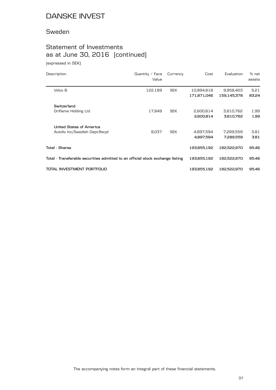### Sweden

# Statement of Investments as at June 30, 2016 (continued)

(expressed in SEK)

| Description                                                                    | Quantity $/$ Face<br>Value | Currency   | Cost                      | Evaluation               | % net<br>assets |
|--------------------------------------------------------------------------------|----------------------------|------------|---------------------------|--------------------------|-----------------|
| Volvo B                                                                        | 122,189                    | <b>SEK</b> | 10,994,818<br>171,871,046 | 9,958,403<br>159,145,378 | 5.21<br>83.24   |
| Switzerland                                                                    |                            |            |                           |                          |                 |
| Oriflame Holding Ltd                                                           | 17,849                     | <b>SEK</b> | 2,600,814                 | 3,810,762                | 1.99            |
|                                                                                |                            |            | 2,600,814                 | 3,810,762                | 1.99            |
| United States of America                                                       |                            |            |                           |                          |                 |
| Autoliv Inc/Swedish Dept.Recpt                                                 | 8,037                      | <b>SEK</b> | 4,897,594                 | 7,289,559                | 3.81            |
|                                                                                |                            |            | 4,897,594                 | 7,289,559                | 3.81            |
| Total - Shares                                                                 |                            |            | 193,855,192               | 182,522,970              | 95.46           |
| Total - Transferable securities admitted to an official stock exchange listing |                            |            | 193,855,192               | 182,522,970              | 95.46           |
| TOTAL INVESTMENT PORTFOLIO                                                     |                            |            | 193,855,192               | 182,522,970              | 95.46           |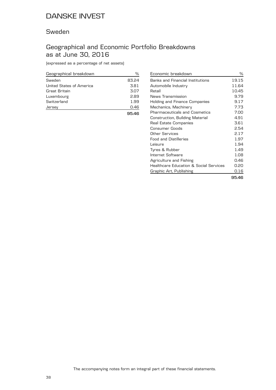#### Sweden

### Geographical and Economic Portfolio Breakdowns as at June 30, 2016

(expressed as a percentage of net assets)

| Geographical breakdown   | ℅     |
|--------------------------|-------|
| Sweden                   | 83.24 |
| United States of America | 3.81  |
| Great Britain            | 3.07  |
| Luxembourg               | 2.89  |
| Switzerland              | 1.99  |
| Jersey                   | 0.46  |
|                          | 9546  |

| Economic breakdown                                | %     |
|---------------------------------------------------|-------|
| Banks and Financial Institutions                  | 19.15 |
| Automobile Industry                               | 11.64 |
| Retail                                            | 10.45 |
| News Transmission                                 | 9.79  |
| Holding and Finance Companies                     | 9.17  |
| Mechanics, Machinery                              | 7.73  |
| Pharmaceuticals and Cosmetics                     | 7.00  |
| Construction, Building Material                   | 4.91  |
| Real Estate Companies                             | 3.61  |
| Consumer Goods                                    | 2.54  |
| Other Services                                    | 2.17  |
| <b>Food and Distilleries</b>                      | 1.97  |
| Leisure                                           | 1.94  |
| Tyres & Rubber                                    | 1.49  |
| Internet Software                                 | 1.08  |
| Agriculture and Fishing                           | 0.46  |
| <b>Healthcare Education &amp; Social Services</b> | 0.20  |
| Graphic Art, Publishing                           | 0.16  |
|                                                   | 95.46 |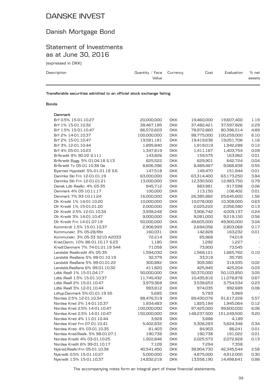## Danish Mortgage Bond

### Statement of Investments as at June 30, 2016

(expressed in DKK)

| Description | Quantity / Face $C$ urrency | Cost | Evaluation | % net  |
|-------------|-----------------------------|------|------------|--------|
|             | Value                       |      |            | assets |
|             |                             |      |            |        |

**Transferable securities admitted to an official stock exchange listing**

#### **Bonds**

| Denmark                           |             |            |                      |             |                          |
|-----------------------------------|-------------|------------|----------------------|-------------|--------------------------|
| Brf 0.5% 15-01.10.27              | 20,000,000  | <b>DKK</b> | 19,460,000           | 19,607,400  | 1.19                     |
| Brf 1% 15-01.10.32                | 38,467,185  | <b>DKK</b> | 37,482,421           | 37,597,826  | 2.29                     |
| Brf 1.5% 15-01.10.47              | 86,572,603  | <b>DKK</b> | 78,972,860           | 80,396,514  | 4.89                     |
| Brf 2% 14-01.10.37                | 100,000,000 | <b>DKK</b> | 98,775,000           | 100,259,000 | 6.10                     |
| Brf 2% 15-01.10.47                | 19,581,181  | <b>DKK</b> | 19,419,636           | 19,051,706  | 1.16                     |
| Brf 3% 12-01.10.44                | 1,895,840   | <b>DKK</b> | 1,919,019            | 1,942,288   | 0.12                     |
| Brf 4% 05-01.10.23                | 1,347,819   | <b>DKK</b> | 1,411,167            | 1,403,754   | 0.09                     |
| Brfkredit 9% 90-22 S.111          | 143,826     | <b>DKK</b> | 159,575              | 163,962     | 0.01                     |
| Brfkredit Bygg. 5% 01.04.18 S.13  | 625,522     | <b>DKK</b> | 629,901              | 642,724     | 0.04                     |
| Brfkredit Tv 05-01.10.38 Oa       | 8,606,396   | <b>DKK</b> | 8,489,467            | 9,066,838   | 0.55                     |
| Byernes Hypotekf. 5%-01.01.18 S.6 | 147,518     | <b>DKK</b> | 149,470              | 151,944     | 0.01                     |
| Danmks Ski Frn 12-01.01.19        | 63,000,000  | <b>DKK</b> | 63,314,400           | 63,173,250  | 3.84                     |
| Danmks Ski Frn 12-01.01.21        | 13,000,000  | <b>DKK</b> | 12,330,500           | 12,983,750  | 0.79                     |
| Dansk Ldb Realkr. 4% 03-35        | 845,712     | <b>DKK</b> | 883,981              | 917,598     | 0.06                     |
| Denmark 4% 05-10.11.17            | 100,000     | <b>DKK</b> | 113,150              | 106,402     | 0.01                     |
| Denmark 7% 93-10.11.24            | 16,000,000  | <b>DKK</b> | 26,385,882           | 25,645,600  | 1.56                     |
| Dlr Kredit 1% 14-01.10.20         | 10,000,000  | <b>DKK</b> | 10,078,000           | 10,308,000  | 0.63                     |
| Dlr Kredit 1% 15-01.01.20         | 2,000,000   | <b>DKK</b> | 2,025,222            | 2,056,580   | 0.13                     |
| Dlr Kredit 2.5% 12-01.10.34       | 3,938,248   | <b>DKK</b> | 3,906,742            | 4,009,137   | 0.24                     |
| Dlr Kredit 3% 14-01.10.47         | 9,000,000   | <b>DKK</b> | 9,081,000            | 9,219,150   | 0.56                     |
| Dlr Kredit Frn 14-01.07.19        | 50,000,000  | <b>DKK</b> | 49,605,000           | 49,900,000  | 3.04                     |
| Kommkrdt 1.5% 15-01.10.37         | 2,906,993   | <b>DKK</b> | 2,694,056            | 2,803,068   | 0.17                     |
| Kommunekr. 3% 05-28/Rbt           | 160,031     | <b>DKK</b> | 142,828              | 163,232     | 0.01                     |
| Kommunekr. 3% 05-33 S210 A2033    | 72,214      | <b>DKK</b> | 65,968               | 74,019      | $\overline{\phantom{a}}$ |
| Kred.Danm. 10% 86-01.10.17 S.23   | 1,180       | <b>DKK</b> | 1,292                | 1,227       |                          |
| Kredf.Danmark 7% 74-01.01.19 S44  | 71,058      | <b>DKK</b> | 73,900               | 73,545      |                          |
| Landsbk Realkredit 4% 05-35       | 1,594,030   | <b>DKK</b> | 1,568,121            | 1,665,762   | 0.10                     |
| Landsbk Reallane 5% 98-01.10.19   | 32,379      | <b>DKK</b> | 33,318               | 35,795      |                          |
| Landsbk Reallane 5% 99-01.01.22   | 300,882     | <b>DKK</b> | 309,380              | 318,935     | 0.02                     |
| Landsbk.Reallane 6% 99-01.10.32   | 411,820     | <b>DKK</b> | 425,945              | 425,204     | 0.03                     |
| Ldbk Reall 1% 15-01.04.17         | 50,000,000  | <b>DKK</b> | 50,370,000           | 50,103,850  | 3.05                     |
| Ldbk Reall 1.5% 15-01.10.37       | 11,745,432  | <b>DKK</b> | 10,435,816           | 11,078,878  | 0.67                     |
| Ldbk Reall 2% 15-01.10.47         | 3,979,368   | <b>DKK</b> | 3,538,653            | 3,754,534   | 0.23                     |
| Ldbk Reall 3% 12-01.10.44         | 993,812     | <b>DKK</b> | 974,035              | 992,689     | 0.06                     |
| Ldhyp.Danmark 5%-01.01.19 S5      | 5,685       | <b>DKK</b> | 5,783                | 5,969       |                          |
| Nordea 2.5% 12-01.10.34           | 88,476,319  | <b>DKK</b> | 89,430,076           | 91,617,228  | 5.57                     |
| Nordea Kred 2% 14-01.10.37        | 1,934,483   | <b>DKK</b> | 1,825,184            | 1,945,064   | 0.12                     |
| Nordea Kred 2.5% 14-01.10.47      | 100,000,000 | <b>DKK</b> | 97,425,000           | 99,600,000  | 6.06                     |
| Nordea Kred 2.5% 14-01.10.47      | 150,000,000 | <b>DKK</b> |                      | 151,249,500 | 9.20                     |
| Nordea Kred 4% 11-01.10.44        | 3,928       | <b>DKK</b> | 148,237,500<br>3,886 | 4,189       |                          |
| Nordea Kred Frn 07-01.10.41       |             |            |                      |             |                          |
| Nordea Kred. 4% 03-01.10.35       | 5,402,832   | <b>DKK</b> | 5,308,283            | 5,624,348   | 0.34                     |
|                                   | 81,403      | <b>DKK</b> | 84,903               | 88,241      | 0.01                     |
| Nordea Kred.Realk. 5% 98-01.07.1  | 190,738     | <b>DKK</b> | 190,738              | 191,022     | 0.01                     |
| Nordea Kredit 4% 03-01.10.25      | 1,922,846   | <b>DKK</b> | 2,025,573            | 2,072,828   | 0.13                     |
| Nordea Kredit 6% 99-01.10.17      | 7,109       | <b>DKK</b> | 7,294                | 7,358       |                          |
| Nykred.Realkr.Frn 05-01.10.38     | 40,541,450  | <b>DKK</b> | 38,904,730           | 42,345,544  | 2.58                     |
| Nykredit 0.5% 15-01.10.27         | 5,000,000   | <b>DKK</b> | 4,875,000            | 4,912,000   | 0.30                     |
| Nykredit 1.5% 15-01.10.37         | 14,832,218  | <b>DKK</b> | 13,558,190           | 14,498,641  | 0.88                     |

The accompanying notes form an integral part of these financial statements.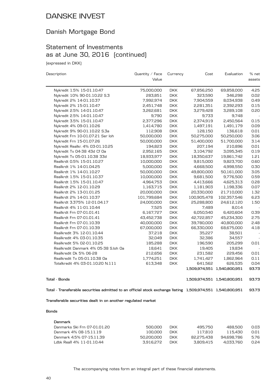### Danish Mortgage Bond

### Statement of Investments as at June 30, 2016 (continued)

(expressed in DKK)

| Description                                                                                                | Quantity / Face | Currency   | Cost        | Evaluation                  | % net  |
|------------------------------------------------------------------------------------------------------------|-----------------|------------|-------------|-----------------------------|--------|
|                                                                                                            | Value           |            |             |                             | assets |
| Nykredit 1.5% 15-01.10.47                                                                                  | 75,000,000      | <b>DKK</b> | 67,856,250  | 69,858,000                  | 4.25   |
| Nykredit 10% 90-01.10.22 S.3                                                                               | 283,851         | <b>DKK</b> | 323,590     | 346,298                     | 0.02   |
| Nykredit 2% 14-01.10.37                                                                                    | 7,992,974       | <b>DKK</b> | 7,904,559   | 8,034,938                   | 0.49   |
| Nykredit 2% 15-01.10.47                                                                                    | 2,451,748       | <b>DKK</b> | 2,281,351   | 2,392,293                   | 0.15   |
| Nykredit 2.5% 14-01.10.47                                                                                  | 3,262,681       | <b>DKK</b> | 3,279,428   | 3,289,108                   | 0.20   |
| Nykredit 2.5% 14-01.10.47                                                                                  | 9,790           | <b>DKK</b> | 9,733       | 9,748                       |        |
| Nykredit 3.5% 15-01.10.47                                                                                  | 2,377,296       | <b>DKK</b> | 2,374,919   | 2,450,564                   | 0.15   |
| Nykredit 4% 09-01.10.26                                                                                    | 1,414,780       | <b>DKK</b> | 1,497,191   | 1,491,179                   | 0.09   |
| Nykredit 9% 90-01.10.22 S.3a                                                                               | 112,908         | <b>DKK</b> | 128,150     | 136,618                     | 0.01   |
| Nykredit Frn 10-01.07.21 Ser loh                                                                           | 50,000,000      | <b>DKK</b> | 50,275,000  | 50,250,000                  | 3.06   |
| Nykredit Frn 15-01.07.26                                                                                   | 50,000,000      | <b>DKK</b> | 51,400,000  | 51,700,000                  | 3.14   |
| Nykredit Realkr. 4% 03-01.10.25                                                                            | 194,823         | <b>DKK</b> | 207,194     | 210,896                     | 0.01   |
| Nykredit Tv 04-38 43d Cf Oa                                                                                | 2,952,165       | <b>DKK</b> | 3,104,792   | 3,095,345                   | 0.19   |
| Nykredit Tv 05-01.10.38 33d                                                                                | 18,933,977      | <b>DKK</b> | 18,350,637  | 19,861,742                  | 1.21   |
| Realkrdt 0.5% 15-01.10.27                                                                                  | 10,000,000      | <b>DKK</b> | 9,815,000   | 9,823,700                   | 0.60   |
| Realkrdt 1% 14-01.04.25                                                                                    | 5,000,000       | <b>DKK</b> | 4,668,500   | 4,998,550                   | 0.30   |
| Realkrdt 1% 14-01.10.27                                                                                    | 50,000,000      | <b>DKK</b> | 49,800,000  | 50,161,000                  | 3.05   |
| Realkrdt 1.5% 15-01.10.37                                                                                  | 10,000,000      | <b>DKK</b> | 9,681,500   | 9,776,500                   | 0.59   |
| Realkrdt 1.5% 15-01.10.47                                                                                  | 4,964,753       | <b>DKK</b> | 4,413,666   | 4,625,313                   | 0.28   |
| Realkrdt 2% 12-01.10.29                                                                                    | 1,163,715       | <b>DKK</b> | 1,181,903   | 1,198,336                   | 0.07   |
| Realkrdt 2% 13-01.01.25                                                                                    | 20,000,000      | <b>DKK</b> | 20,330,000  | 21,710,000                  | 1.32   |
| Realkrdt 2% 14-01.10.37                                                                                    | 101,799,684     | <b>DKK</b> | 100,905,478 | 102,357,546                 | 6.23   |
| Realkrdt 3.375% 12-01.04.17                                                                                | 24,000,000      | <b>DKK</b> | 25,288,800  | 24,612,120                  | 1.50   |
| Realkrdt 4% 11-01.10.44                                                                                    | 7,525           | <b>DKK</b> | 7,489       | 8,014                       |        |
| Realkrdt Frn 07-01.01.41                                                                                   | 6,167,727       | <b>DKK</b> | 6,050,540   | 6,420,604                   | 0.39   |
| Realkrdt Frn 07-01.01.41                                                                                   | 43,452,738      | <b>DKK</b> | 42,722,857  | 45,234,300                  | 2.75   |
| Realkrdt Frn 07-01.10.39                                                                                   | 40,000,000      | <b>DKK</b> | 39,780,000  | 40,800,000                  | 2.48   |
| Realkrdt Frn 07-01.10.39                                                                                   | 67,000,000      | <b>DKK</b> | 66,330,000  | 68,675,000                  | 4.18   |
| Realkredit 3% 12-01.10.44                                                                                  | 37,218          | <b>DKK</b> | 35,227      | 38,501                      |        |
| Realkredit 4% 03-01.10.35                                                                                  | 32,049          | <b>DKK</b> | 32,386      | 34,557                      |        |
| Realkredit 5% 02-01.10.25                                                                                  | 185,288         | <b>DKK</b> | 196,590     | 205,299                     | 0.01   |
| Realkredit Danmark 4% 05-38 S.loh Oa                                                                       | 18,641          | <b>DKK</b> | 19,405      | 19,834                      |        |
| Realkredit Dk 5% 06-28                                                                                     | 212,656         | <b>DKK</b> | 231,582     | 229,456                     | 0.01   |
| Realkredit Tv 05-01.10.38 Oa                                                                               | 1,774,251       | <b>DKK</b> | 1,741,427   | 1,862,964                   | 0.11   |
| Totalkredit 4% 03-01.10.20 N.111                                                                           | 613,348         | <b>DKK</b> | 641,562     | 626,535                     | 0.04   |
|                                                                                                            |                 |            |             | 1,509,974,551 1,540,800,951 | 93.73  |
| Total - Bonds                                                                                              |                 |            |             | 1,509,974,551 1,540,800,951 | 93.73  |
| Total - Transferable securities admitted to an official stock exchange listing 1,509,974,551 1,540,800,951 |                 |            |             |                             | 93.73  |

**Transferable securities dealt in on another regulated market**

#### **Bonds**

| Denmark                      |            |            |            |            |      |
|------------------------------|------------|------------|------------|------------|------|
| Danmarks Ski Frn 07-01.01.20 | 500.000    | <b>DKK</b> | 495.750    | 488.500    | 0.03 |
| Denmark 4% 08-15.11.19       | 100.000    | DKK.       | 117.810    | 115.430    | 0.01 |
| Denmark 4.5% 07-15.11.39     | 50.200.000 | <b>DKK</b> | 82.275.438 | 94.698.786 | 5.76 |
| 1 dhk Reall 4% 11-01.10.44   | 3.916.272  | <b>DKK</b> | 3.809.415  | 4.033.760  | 0.24 |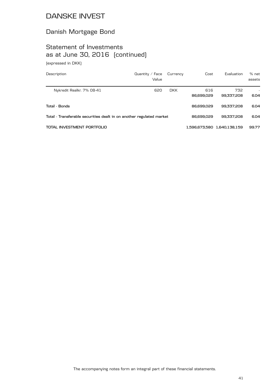## Danish Mortgage Bond

# Statement of Investments as at June 30, 2016 (continued)

(expressed in DKK)

| Description                                                          | Quantity / Face<br>Value | Currency   | Cost              | Evaluation                  | $%$ net<br>assets |
|----------------------------------------------------------------------|--------------------------|------------|-------------------|-----------------------------|-------------------|
| Nykredit Realkr. 7% 08-41                                            | 620                      | <b>DKK</b> | 616<br>86.699.029 | 732<br>99.337.208           | 6.04              |
| Total - Bonds                                                        |                          |            | 86.699.029        | 99.337.208                  | 6.04              |
| Total - Transferable securities dealt in on another regulated market |                          |            | 86.699.029        | 99.337.208                  | 6.04              |
| TOTAL INVESTMENT PORTFOLIO                                           |                          |            |                   | 1,596,673,580 1,640,138,159 | 99.77             |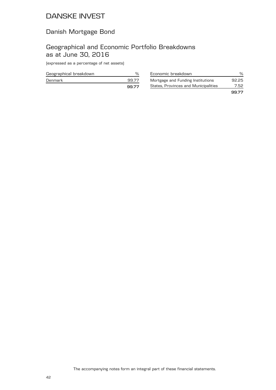### Danish Mortgage Bond

### Geographical and Economic Portfolio Breakdowns as at June 30, 2016

(expressed as a percentage of net assets)

| Geographical breakdown |       |
|------------------------|-------|
| Denmark                | 99.77 |
|                        | 99.77 |

| Economic breakdown                   | %     |
|--------------------------------------|-------|
| Mortgage and Funding Institutions    | 92.25 |
| States, Provinces and Municipalities | 7.52  |
|                                      | 99.77 |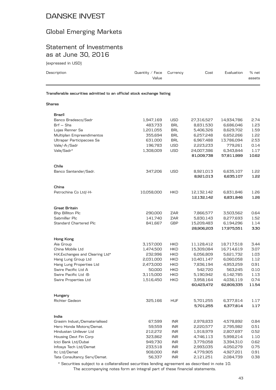## Global Emerging Markets

### Statement of Investments as at June 30, 2016

(expressed in USD)

| Description                                                            | Quantity $\angle$ Face<br>Value | Currency | Cost | Evaluation | % net<br>assets |
|------------------------------------------------------------------------|---------------------------------|----------|------|------------|-----------------|
| Transferable securities admitted to an official stock exchange listing |                                 |          |      |            |                 |
| <b>Shares</b>                                                          |                                 |          |      |            |                 |

| Brazil                           |            |            |            |            |       |
|----------------------------------|------------|------------|------------|------------|-------|
| Banco Bradesco/Sadr              | 1,947,169  | <b>USD</b> | 27,316,527 | 14,934,786 | 2.74  |
| $Brf - Shs$                      | 483,733    | <b>BRL</b> | 8,831,530  | 6,686,046  | 1.23  |
| Lojas Renner Sa                  | 1,201,055  | <b>BRL</b> | 5,406,326  | 8,629,702  | 1.59  |
| Multiplan Empreendimentos        | 355,694    | <b>BRL</b> | 6,257,248  | 6,652,266  | 1.22  |
| Ultrapar Participacoes Sa        | 631,000    | <b>BRL</b> | 6,967,488  | 13,786,094 | 2.53  |
| Vale/-A-/Sadr                    | 196,783    | <b>USD</b> | 2,223,233  | 779,261    | 0.14  |
| Vale/Sadr*                       | 1,308,009  | <b>USD</b> | 24,007,386 | 6,343,844  | 1.17  |
|                                  |            |            | 81,009,738 | 57,811,999 | 10.62 |
| Chile                            |            |            |            |            |       |
| Banco Santander/Sadr.            | 347,206    | <b>USD</b> | 8,921,013  | 6,635,107  | 1.22  |
|                                  |            |            | 8,921,013  | 6,635,107  | 1.22  |
| China                            |            |            |            |            |       |
| Petrochina Co Ltd/-H-            | 10,058,000 | <b>HKD</b> | 12,132,142 | 6,831,846  | 1.26  |
|                                  |            |            | 12,132,142 | 6,831,846  | 1.26  |
| Great Britain                    |            |            |            |            |       |
| Bhp Billiton Plc                 | 290,000    | ZAR        | 7,866,577  | 3,503,562  | 0.64  |
| Sabmiller Plc                    | 141,740    | ZAR        | 5,830,143  | 8,277,693  | 1.52  |
| <b>Standard Chartered Plc</b>    | 841,667    | <b>GBP</b> | 15,209,483 | 6,194,296  | 1.14  |
|                                  |            |            | 28,906,203 | 17,975,551 | 3.30  |
| Hong Kong                        |            |            |            |            |       |
| Aia Group                        | 3,157,000  | <b>HKD</b> | 11,128,412 | 18,717,518 | 3.44  |
| China Mobile Ltd                 | 1,474,500  | <b>HKD</b> | 15,309,084 | 16,714,619 | 3.07  |
| H.K. Exchanges and Clearing Ltd* | 232,996    | <b>HKD</b> | 6,056,809  | 5,621,732  | 1.03  |
| Hang Lung Group Ltd              | 2,031,000  | <b>HKD</b> | 10,401,147 | 6,060,058  | 1.12  |
| Hang Lung Properties Ltd         | 2,473,000  | <b>HKD</b> | 7,836,194  | 4,953,259  | 0.91  |
| Swire Pacific Ltd A              | 50,000     | HKD        | 542,720    | 563,245    | 0.10  |
| Swire Pacific Ltd -B-            | 3,115,000  | HKD        | 5,190,942  | 6,142,785  | 1.13  |
| Swire Properties Ltd             | 1,516,450  | HKD        | 3,958,164  | 4,036,119  | 0.74  |
|                                  |            |            | 60,423,472 | 62,809,335 | 11.54 |
| Hungary                          |            |            |            |            |       |
| Richter Gedeon                   | 325,166    | <b>HUF</b> | 5,701,255  | 6,377,814  | 1.17  |
|                                  |            |            | 5,701,255  | 6,377,814  | 1.17  |
| India                            |            |            |            |            |       |
| Grasim Indust./Dematerialised    | 67,599     | <b>INR</b> | 2,978,833  | 4,578,892  | 0.84  |
| Hero Honda Motors/Demat.         | 59,559     | <b>INR</b> | 2,220,577  | 2,795,982  | 0.51  |
| Hindustan Unilever Ltd           | 212,272    | <b>INR</b> | 1,918,979  | 2,807,697  | 0.52  |
| Housing Devt Fin Corp            | 323,862    | <b>INR</b> | 4,746,113  | 5,998,214  | 1.10  |
| Icici Bank Ltd/Dubai             | 949,730    | <b>INR</b> | 3,779,058  | 3,394,310  | 0.62  |
| Infosys Tech Ltd/Demat           | 233,518    | <b>INR</b> | 2,993,035  | 4,050,279  | 0.75  |
| Itc Ltd/Demat                    | 908,000    | <b>INR</b> | 4,779,905  | 4,927,201  | 0.91  |
| Tata Consultancy Serv/Demat.     | 56,337     | <b>INR</b> | 2,121,251  | 2,084,739  | 0.38  |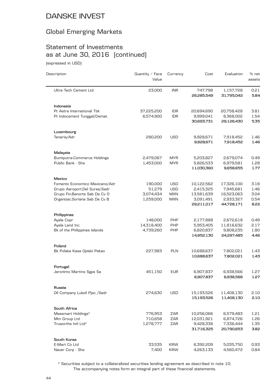### Global Emerging Markets

# Statement of Investments as at June 30, 2016 (continued)

(expressed in USD)

| Description                                                    | Quantity / Face<br>Value | Currency                 | Cost                    | Evaluation              | % net<br>assets |
|----------------------------------------------------------------|--------------------------|--------------------------|-------------------------|-------------------------|-----------------|
| Ultra Tech Cement Ltd                                          | 23,000                   | <b>INR</b>               | 747,798<br>26,285,549   | 1,157,728<br>31,795,042 | 0.21<br>5.84    |
|                                                                |                          |                          |                         |                         |                 |
| Indonesia                                                      |                          |                          |                         |                         |                 |
| Pt Astra International Tbk                                     | 37,225,200<br>6,574,900  | <b>IDR</b><br><b>IDR</b> | 20,694,690<br>9,999,041 | 20,758,428<br>8,368,002 | 3.81<br>1.54    |
| Pt Indocement Tunggal/Demat.                                   |                          |                          | 30,693,731              | 29,126,430              | 5.35            |
| Luxembourg                                                     |                          |                          |                         |                         |                 |
| Tenaris/Adr                                                    | 280,200                  | USD                      | 9,928,671               | 7,918,452               | 1.46            |
|                                                                |                          |                          | 9,928,671               | 7,918,452               | 1.46            |
| Malaysia                                                       |                          |                          |                         |                         |                 |
| <b>Bumiputra-Commerce Holdings</b>                             | 2,479,067                | <b>MYR</b>               | 5,203,827               | 2,679,074               | 0.49            |
| Public Bank - Shs                                              | 1,453,000                | <b>MYR</b>               | 5,826,533<br>11,030,360 | 6,979,581<br>9,658,655  | 1.28<br>1.77    |
|                                                                |                          |                          |                         |                         |                 |
| Mexico                                                         |                          |                          |                         |                         |                 |
| Fomento Economico Mexicano/Adr                                 | 190,000<br>51,279        | <b>USD</b><br><b>USD</b> | 10,122,562<br>2,415,325 | 17,326,100<br>7,945,681 | 3.18<br>1.46    |
| Grupo Aeroport.Del Sures/Sadr<br>Grupo Fin.Banorte Sab De Cv O | 3,074,434                | <b>MXN</b>               | 13,581,639              | 16,523,063              | 3.04            |
| Organizac.Soriana Sab De Cv B                                  | 1,259,000                | <b>MXN</b>               | 3,091,491               | 2,933,327               | 0.54            |
|                                                                |                          |                          | 29,211,017              | 44,728,171              | 8.22            |
| Philippines                                                    |                          |                          |                         |                         |                 |
| Ayala Copr                                                     | 148,000                  | PHP                      | 2,177,888               | 2,672,618               | 0.49            |
| Ayala Land Inc.                                                | 14,318,400               | PHP                      | 5,953,405               | 11,816,632              | 2.17            |
| Bk of the Philippines Islands                                  | 4,739,260                | PHP                      | 6,820,837               | 9,808,235               | 1.80            |
|                                                                |                          |                          | 14,952,130              | 24,297,485              | 4.46            |
| Poland                                                         |                          |                          |                         |                         |                 |
| Bk Polska Kasa Opieki Pekao                                    | 227,983                  | <b>PLN</b>               | 10,688,637              | 7,802,021               | 1.43            |
|                                                                |                          |                          | 10,688,637              | 7,802,021               | 1.43            |
| Portugal                                                       |                          |                          |                         |                         |                 |
| Jeronimo Martins Sgps Sa                                       | 451,150                  | <b>EUR</b>               | 6,907,837<br>6,907,837  | 6,938,566<br>6,938,566  | 1.27<br>1.27    |
|                                                                |                          |                          |                         |                         |                 |
| Russia<br>Oil Company Lukoil Pjsc /Sadr                        | 274,630                  | USD                      | 15,193,526              | 11,408,130              | 2.10            |
|                                                                |                          |                          | 15,193,526              | 11,408,130              | 2.10            |
| South Africa                                                   |                          |                          |                         |                         |                 |
| Massmart Holdings*                                             | 776,953                  | ZAR                      | 10,256,066              | 6,579,483               | 1.21            |
| Mtn Group Ltd                                                  | 710,658                  | ZAR                      | 12,031,921              | 6,874,726               | 1.26            |
| Truworths Intl Ltd*                                            | 1,278,777                | ZAR                      | 9,428,338               | 7,336,444               | 1.35            |
|                                                                |                          |                          | 31,716,325              | 20,790,653              | 3.82            |
| South Korea                                                    |                          |                          |                         |                         |                 |
| E-Mart Co Ltd                                                  | 33,535                   | <b>KRW</b>               | 6,392,209               | 5,035,750               | 0.93            |
| Naver Corp - Shs                                               | 7,400                    | <b>KRW</b>               | 4,263,133               | 4,560,472               | 0.84            |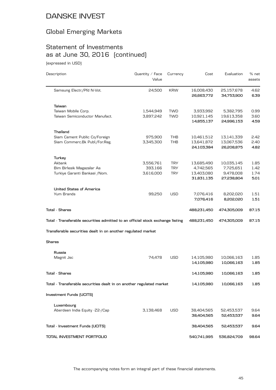## Global Emerging Markets

# Statement of Investments as at June 30, 2016 (continued)

(expressed in USD)

| Description                                                                    | Quantity $\angle$ Face<br>Value | Currency   | Cost                     | Evaluation               | % net<br>assets |
|--------------------------------------------------------------------------------|---------------------------------|------------|--------------------------|--------------------------|-----------------|
| Samsung Electr./Pfd N-Vot.                                                     | 24,500                          | <b>KRW</b> | 16,008,430<br>26,663,772 | 25,157,678<br>34,753,900 | 4.62<br>6.39    |
| Taiwan                                                                         |                                 |            |                          |                          |                 |
| Taiwan Mobile Corp.                                                            | 1,544,949                       | <b>TWD</b> | 3,933,992                | 5,382,795                | 0.99            |
| Taiwan Semiconductor Manufact.                                                 | 3,897,242                       | <b>TWD</b> | 10,921,145               | 19,613,358               | 3.60            |
|                                                                                |                                 |            | 14,855,137               | 24,996,153               | 4.59            |
| Thailand                                                                       |                                 |            |                          |                          |                 |
| Siam Cement Public Co/Foreign                                                  | 975,900                         | THB        | 10,461,512               | 13,141,339               | 2.42            |
| Siam Commerc.Bk Publ./For.Reg.                                                 | 3,345,300                       | THB        | 13,641,872               | 13,067,536               | 2.40            |
|                                                                                |                                 |            | 24,103,384               | 26,208,875               | 4.82            |
| Turkey                                                                         |                                 |            |                          |                          |                 |
| Akbank                                                                         | 3,556,761                       | <b>TRY</b> | 13,685,490               | 10,035,145               | 1.85            |
| Bim Birlesik Magazalar As                                                      | 393,166                         | <b>TRY</b> | 4,742,565                | 7,725,651                | 1.42            |
| Turkiye Garanti Bankasi / Nom.                                                 | 3,616,000                       | <b>TRY</b> | 13,403,080               | 9,478,008                | 1.74            |
|                                                                                |                                 |            | 31,831,135               | 27,238,804               | 5.01            |
| <b>United States of America</b>                                                |                                 |            |                          |                          |                 |
| Yum Brands                                                                     | 99,250                          | <b>USD</b> | 7,076,416                | 8,202,020                | 1.51            |
|                                                                                |                                 |            | 7,076,416                | 8,202,020                | 1.51            |
| Total - Shares                                                                 |                                 |            | 488,231,450              | 474,305,009              | 87.15           |
| Total - Transferable securities admitted to an official stock exchange listing |                                 |            | 488,231,450              | 474,305,009              | 87.15           |
| Transferable securities dealt in on another regulated market                   |                                 |            |                          |                          |                 |
| Shares                                                                         |                                 |            |                          |                          |                 |
| Russia                                                                         |                                 |            |                          |                          |                 |
| Magnit Jsc                                                                     | 74,478                          | <b>USD</b> | 14,105,980               | 10,066,163               | 1.85            |
|                                                                                |                                 |            | 14,105,980               | 10,066,163               | 1.85            |
| Tota1 - Shares                                                                 |                                 |            | 14,105,980               | 10,066,163               | 1.85            |
| Total - Transferable securities dealt in on another regulated market           |                                 |            | 14,105,980               | 10,066,163               | 1.85            |
| <b>Investment Funds (UCITS)</b>                                                |                                 |            |                          |                          |                 |
| Luxembourg                                                                     |                                 |            |                          |                          |                 |
| Aberdeen India Equity -Z2-/Cap                                                 | 3,138,468                       | <b>USD</b> | 38,404,565               | 52,453,537               | 9.64            |
|                                                                                |                                 |            | 38,404,565               | 52,453,537               | 9.64            |
| Total - Investment Funds (UCITS)                                               |                                 |            | 38,404,565               | 52,453,537               | 9.64            |
| TOTAL INVESTMENT PORTFOLIO                                                     |                                 |            | 540,741,995              | 536,824,709              | 98.64           |
|                                                                                |                                 |            |                          |                          |                 |

The accompanying notes form an integral part of these financial statements.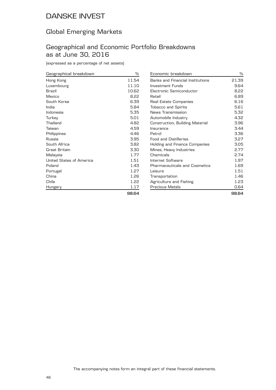### Global Emerging Markets

#### Geographical and Economic Portfolio Breakdowns as at June 30, 2016

(expressed as a percentage of net assets)

| Geographical breakdown   | %     |
|--------------------------|-------|
| Hong Kong                | 11.54 |
| Luxembourg               | 11.10 |
| Brazil                   | 10.62 |
| Mexico                   | 8.22  |
| South Korea              | 6.39  |
| India                    | 5.84  |
| Indonesia                | 5.35  |
| Turkey                   | 5.01  |
| Thailand                 | 4.82  |
| Taiwan                   | 4.59  |
| Philippines              | 4.46  |
| Russia                   | 3.95  |
| South Africa             | 3.82  |
| Great Britain            | 3.30  |
| Malaysia                 | 1.77  |
| United States of America | 1.51  |
| Poland                   | 1.43  |
| Portugal                 | 1.27  |
| China                    | 1.26  |
| Chile                    | 1.22  |
| Hungary                  | 1.17  |
|                          | 98.64 |

| Economic breakdown                      | ℅     |
|-----------------------------------------|-------|
| <b>Banks and Financial Institutions</b> | 21.39 |
| Investment Funds                        | 9.64  |
| Electronic Semiconductor                | 8.22  |
| Retail                                  | 6.89  |
| Real Estate Companies                   | 6.16  |
| <b>Tobacco and Spirits</b>              | 5.61  |
| News Transmission                       | 5.32  |
| Automobile Industry                     | 4.32  |
| Construction, Building Material         | 3.96  |
| Insurance                               | 3.44  |
| Petrol                                  | 3.36  |
| <b>Food and Distilleries</b>            | 3.27  |
| Holding and Finance Companies           | 3.05  |
| Mines, Heavy Industries                 | 2.77  |
| Chemicals                               | 2.74  |
| Internet Software                       | 1.97  |
| <b>Pharmaceuticals and Cosmetics</b>    | 1.69  |
| Leisure                                 | 1.51  |
| Transportation                          | 1.46  |
| Agriculture and Fishing                 | 1.23  |
| Precious Metals                         | 0.64  |
|                                         | 98.64 |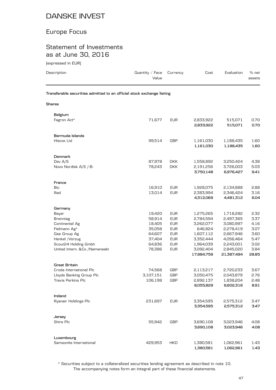## Europe Focus

### Statement of Investments as at June 30, 2016

(expressed in EUR)

| Description                                                            | Quantity $\angle$ Face<br>Value | Currency   | Cost                    | Evaluation              | % net<br>assets |
|------------------------------------------------------------------------|---------------------------------|------------|-------------------------|-------------------------|-----------------|
| Transferable securities admitted to an official stock exchange listing |                                 |            |                         |                         |                 |
| <b>Shares</b>                                                          |                                 |            |                         |                         |                 |
| Belgium                                                                |                                 |            |                         |                         |                 |
| Fagron Act*                                                            | 71,677                          | <b>EUR</b> | 2,833,922<br>2,833,922  | 515,071<br>515,071      | 0.70<br>0.70    |
| Bermuda Islands                                                        |                                 |            |                         |                         |                 |
| Hiscox Ltd                                                             | 99,514                          | <b>GBP</b> | 1,161,030<br>1,161,030  | 1,188,435<br>1,188,435  | 1.60<br>1.60    |
| Denmark                                                                |                                 |            |                         |                         |                 |
| Dsv A/S                                                                | 87,978                          | <b>DKK</b> | 1,558,892               | 3,250,424               | 4.38            |
| Novo Nordisk A/S /-B-                                                  | 78,243                          | <b>DKK</b> | 2,191,256<br>3,750,148  | 3,726,003<br>6,976,427  | 5.03<br>9.41    |
| France                                                                 |                                 |            |                         |                         |                 |
| <b>Bic</b>                                                             | 16,910                          | <b>EUR</b> | 1,928,075               | 2,134,888               | 2.88            |
| lliad                                                                  | 13,014                          | <b>EUR</b> | 2,383,994<br>4,312,069  | 2,346,424<br>4,481,312  | 3.16<br>6.04    |
| Germany                                                                |                                 |            |                         |                         |                 |
| Bayer                                                                  | 19,420                          | <b>EUR</b> | 1,275,265               | 1,718,282               | 2.32            |
| <b>Brenntag</b>                                                        | 58,914                          | <b>EUR</b> | 2,784,594               | 2,497,365               | 3.37            |
| Continental Ag                                                         | 18,405                          | <b>EUR</b> | 3,262,077               | 3,080,997               | 4.16            |
| Fielmann Ag*                                                           | 35,058                          | <b>EUR</b> | 646,824                 | 2,278,419               | 3.07            |
| Gea Group Ag                                                           | 64,607                          | <b>EUR</b> | 1,607,112               | 2,667,946               | 3.60            |
| Henkel /Vorzug                                                         | 37,404                          | <b>EUR</b> | 3,352,444               | 4,056,464               | 5.47            |
| Scout24 Holding Gmbh                                                   | 64,836                          | <b>EUR</b> | 1,964,039               | 2,243,001               | 3.02            |
| United Intern. &Co /Namensakt                                          | 78,386                          | <b>EUR</b> | 3,092,404<br>17,984,759 | 2,845,020<br>21,387,494 | 3.84<br>28.85   |
| <b>Great Britain</b>                                                   |                                 |            |                         |                         |                 |
| Croda International Plc                                                | 74,568                          | <b>GBP</b> | 2,113,217               | 2,720,233               | 3.67            |
| Lloyds Banking Group Plc                                               | 3,107,151                       | <b>GBP</b> | 3,050,475               | 2,043,879               | 2.76            |
| Travis Perkins Plc                                                     | 106,198                         | <b>GBP</b> | 2,892,137<br>8,055,829  | 1,838,204<br>6,602,316  | 2.48<br>8.91    |
| Ireland                                                                |                                 |            |                         |                         |                 |
| Ryanair Holdings Plc                                                   | 231,697                         | <b>EUR</b> | 3,354,595<br>3,354,595  | 2,575,312<br>2,575,312  | 3.47<br>3.47    |
| Jersey                                                                 |                                 |            |                         |                         |                 |
| Shire Plc                                                              | 55,942                          | GBP        | 3,690,108<br>3,690,108  | 3,023,946<br>3,023,946  | 4.08<br>4.08    |
| Luxembourg                                                             |                                 |            |                         |                         |                 |
| Samsonite International                                                | 429,953                         | <b>HKD</b> | 1,380,581<br>1,380,581  | 1,062,961<br>1,062,961  | 1.43<br>1.43    |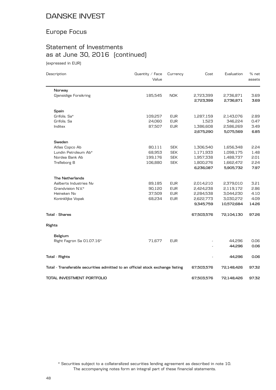## Europe Focus

# Statement of Investments as at June 30, 2016 (continued)

(expressed in EUR)

| Description                                                                    | Quantity $\angle$ Face<br>Value | Currency   | Cost                   | Evaluation             | % net<br>assets |
|--------------------------------------------------------------------------------|---------------------------------|------------|------------------------|------------------------|-----------------|
| Norway                                                                         |                                 |            |                        |                        |                 |
| Gjensidige Forsikring                                                          | 185,545                         | <b>NOK</b> | 2,723,399<br>2,723,399 | 2,736,871<br>2,736,871 | 3.69<br>3.69    |
| Spain                                                                          |                                 |            |                        |                        |                 |
| Grifols. Sa*                                                                   | 109,257                         | <b>EUR</b> | 1,287,159              | 2,143,076              | 2.89            |
| Grifols. Sa                                                                    | 24,060                          | <b>EUR</b> | 1,523                  | 346,224                | 0.47            |
| Inditex                                                                        | 87,507                          | <b>EUR</b> | 1,386,608              | 2,586,269              | 3.49            |
|                                                                                |                                 |            | 2,675,290              | 5,075,569              | 6.85            |
| Sweden                                                                         |                                 |            |                        |                        |                 |
| Atlas Copco Ab                                                                 | 80,111                          | <b>SEK</b> | 1,306,540              | 1,656,348              | 2.24            |
| Lundin Petroleum Ab*                                                           | 68,953                          | <b>SEK</b> | 1,171,933              | 1,098,175              | 1.48            |
| Nordea Bank Ab                                                                 | 199,176                         | <b>SEK</b> | 1,957,338              | 1,488,737              | 2.01            |
| Trelleborg B                                                                   | 106,880                         | <b>SEK</b> | 1,800,276              | 1,662,472              | 2.24            |
|                                                                                |                                 |            | 6,236,087              | 5,905,732              | 7.97            |
| <b>The Netherlands</b>                                                         |                                 |            |                        |                        |                 |
| Aalberts Industries Nv                                                         | 89,185                          | <b>EUR</b> | 2,014,210              | 2,379,010              | 3.21            |
| Grandvision N.V.*                                                              | 90,120                          | <b>EUR</b> | 2,424,238              | 2,119,172              | 2.86            |
| Heineken Nv                                                                    | 37,509                          | <b>EUR</b> | 2,284,538              | 3,044,230              | 4.10            |
| Koninklijke Vopak                                                              | 68,234                          | <b>EUR</b> | 2,622,773              | 3,030,272              | 4.09            |
|                                                                                |                                 |            | 9,345,759              | 10,572,684             | 14.26           |
| <b>Total - Shares</b>                                                          |                                 |            | 67,503,576             | 72,104,130             | 97.26           |
| Rights                                                                         |                                 |            |                        |                        |                 |
| Belgium                                                                        |                                 |            |                        |                        |                 |
| Right Fagron Sa 01.07.16*                                                      | 71,677                          | <b>EUR</b> |                        | 44,296                 | 0.06            |
|                                                                                |                                 |            |                        | 44,296                 | 0.06            |
| Total - Rights                                                                 |                                 |            |                        | 44,296                 | 0.06            |
| Total - Transferable securities admitted to an official stock exchange listing |                                 |            | 67,503,576             | 72,148,426             | 97.32           |
| TOTAL INVESTMENT PORTFOLIO                                                     |                                 |            | 67,503,576             | 72.148.426             | 97.32           |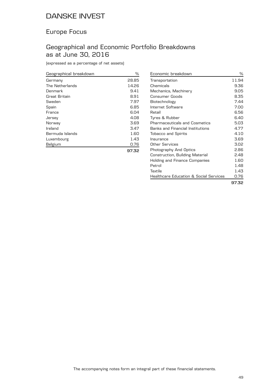### Europe Focus

### Geographical and Economic Portfolio Breakdowns as at June 30, 2016

(expressed as a percentage of net assets)

| Geographical breakdown | ℅     |
|------------------------|-------|
| Germany                | 28.85 |
| The Netherlands        | 14.26 |
| Denmark                | 9.41  |
| Great Britain          | 8.91  |
| Sweden                 | 7.97  |
| Spain                  | 6.85  |
| France                 | 6.04  |
| Jersey                 | 4.08  |
| Norway                 | 3.69  |
| Ireland                | 3.47  |
| Bermuda Islands        | 1.60  |
| Luxembourg             | 1.43  |
| Belgium                | 0.76  |
|                        | 97.32 |

| Economic breakdown                                | ℅     |
|---------------------------------------------------|-------|
| Transportation                                    | 11.94 |
| Chemicals                                         | 9.36  |
| Mechanics, Machinery                              | 9.05  |
| <b>Consumer Goods</b>                             | 8.35  |
| Biotechnology                                     | 7.44  |
| Internet Software                                 | 7.00  |
| Retail                                            | 6.56  |
| Tyres & Rubber                                    | 6.40  |
| <b>Pharmaceuticals and Cosmetics</b>              | 5.03  |
| <b>Banks and Financial Institutions</b>           | 4.77  |
| <b>Tobacco and Spirits</b>                        | 4.10  |
| Insurance                                         | 3.69  |
| Other Services                                    | 3.02  |
| Photography And Optics                            | 2.86  |
| Construction, Building Material                   | 2.48  |
| Holding and Finance Companies                     | 1.60  |
| Petrol                                            | 1.48  |
| Textile                                           | 1.43  |
| <b>Healthcare Education &amp; Social Services</b> | 0.76  |
|                                                   | 97.32 |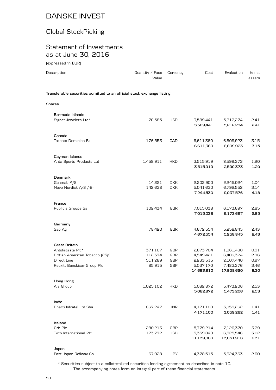### Global StockPicking

#### Statement of Investments as at June 30, 2016

(expressed in EUR)

| Description                                                            | Quantity / Face<br>Value | Currency                 | Cost                                 | Evaluation                           | % net<br>assets      |
|------------------------------------------------------------------------|--------------------------|--------------------------|--------------------------------------|--------------------------------------|----------------------|
| Transferable securities admitted to an official stock exchange listing |                          |                          |                                      |                                      |                      |
| Shares                                                                 |                          |                          |                                      |                                      |                      |
| Bermuda Islands                                                        |                          |                          |                                      |                                      |                      |
| Signet Jewelers Ltd*                                                   | 70,585                   | <b>USD</b>               | 3,589,441<br>3,589,441               | 5,212,274<br>5,212,274               | 2.41<br>2.41         |
| Canada                                                                 |                          |                          |                                      |                                      |                      |
| <b>Toronto Dominion Bk</b>                                             | 176,553                  | CAD                      | 6,611,360<br>6,611,360               | 6,809,923<br>6,809,923               | 3.15<br>3.15         |
| Cayman Islands                                                         |                          |                          |                                      |                                      |                      |
| Anta Sports Products Ltd                                               | 1,459,911                | <b>HKD</b>               | 3,515,919<br>3,515,919               | 2,599,373<br>2,599,373               | 1.20<br>1.20         |
| Denmark                                                                |                          |                          |                                      |                                      |                      |
| Genmab A/S                                                             | 14,321                   | <b>DKK</b>               | 2,202,900                            | 2,245,024                            | 1.04                 |
| Novo Nordisk A/S /-B-                                                  | 142,638                  | <b>DKK</b>               | 5,041,630<br>7,244,530               | 6,792,552<br>9,037,576               | 3.14<br>4.18         |
| France                                                                 |                          |                          |                                      |                                      |                      |
| Publicis Groupe Sa                                                     | 102,434                  | <b>EUR</b>               | 7,015,038<br>7,015,038               | 6,173,697<br>6,173,697               | 2.85<br>2.85         |
| Germany                                                                |                          |                          |                                      |                                      |                      |
| Sap Ag                                                                 | 78,420                   | <b>EUR</b>               | 4,672,554<br>4,672,554               | 5,258,845<br>5,258,845               | 2.43<br>2.43         |
| Great Britain                                                          |                          |                          |                                      |                                      |                      |
| Antofagasta Plc*                                                       | 371,167                  | <b>GBP</b>               | 2,873,704                            | 1,961,480                            | 0.91                 |
| British American Tobacco (25p)                                         | 112,574                  | <b>GBP</b>               | 4,549,421                            | 6,406,324                            | 2.96                 |
| Direct Line<br>Reckitt Benckiser Group Plc                             | 511,289<br>85,915        | <b>GBP</b><br><b>GBP</b> | 2,233,515<br>5,037,170<br>14,693,810 | 2,107,440<br>7,483,376<br>17,958,620 | 0.97<br>3.46<br>8.30 |
|                                                                        |                          |                          |                                      |                                      |                      |
| Hong Kong<br>Aia Group                                                 | 1,025,102                | <b>HKD</b>               | 5,082,872<br>5,082,872               | 5,473,206<br>5,473,206               | 2.53<br>2.53         |
| India                                                                  |                          |                          |                                      |                                      |                      |
| Bharti Infratel Ltd Shs                                                | 667,247                  | <b>INR</b>               | 4,171,100<br>4,171,100               | 3,059,262<br>3,059,262               | 1.41<br>1.41         |
| Ireland                                                                |                          |                          |                                      |                                      |                      |
| Crh Plc                                                                | 280,213                  | GBP                      | 5,779,214                            | 7,126,370                            | 3.29                 |
| Tyco International Plc                                                 | 173,772                  | <b>USD</b>               | 5,359,849<br>11,139,063              | 6,525,546<br>13,651,916              | 3.02<br>6.31         |
| Japan                                                                  |                          |                          |                                      |                                      |                      |
| East Japan Railway Co                                                  | 67,928                   | <b>JPY</b>               | 4,378,515                            | 5,624,363                            | 2.60                 |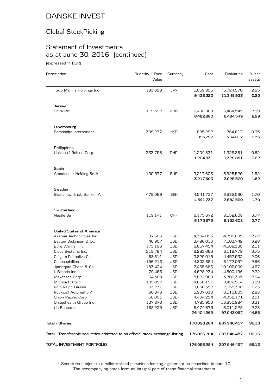# Global StockPicking

# Statement of Investments as at June 30, 2016 (continued)

(expressed in EUR)

| Description                                                                    | Quantity / Face<br>Value | Currency   | Cost                    | Evaluation              | % net<br>assets |
|--------------------------------------------------------------------------------|--------------------------|------------|-------------------------|-------------------------|-----------------|
| Tokio Marine Holdings Inc                                                      | 193,698                  | JPY        | 5,059,805<br>9,438,320  | 5,724,570<br>11,348,933 | 2.65<br>5.25    |
| Jersey                                                                         |                          |            |                         |                         |                 |
| Shire Plc                                                                      | 119,592                  | <b>GBP</b> | 6,482,880<br>6,482,880  | 6,464,549<br>6,464,549  | 2.99<br>2.99    |
| Luxembourg                                                                     |                          |            |                         |                         |                 |
| Samsonite International                                                        | 309,277                  | <b>HKD</b> | 895,292<br>895,292      | 764,617<br>764,617      | 0.35<br>0.35    |
| Philippines                                                                    |                          |            |                         |                         |                 |
| Universal Robina Corp.                                                         | 333,796                  | <b>PHP</b> | 1,204,831<br>1,204,831  | 1,329,881<br>1,329,881  | 0.62<br>0.62    |
| Spain                                                                          |                          |            |                         |                         |                 |
| Amadeus It Holding Sr. A                                                       | 100,577                  | <b>EUR</b> | 3,217,603<br>3,217,603  | 3,925,520<br>3,925,520  | 1.82<br>1.82    |
| Sweden                                                                         |                          |            |                         |                         |                 |
| Skandinav, Ensk, Banken A                                                      | 479,069                  | <b>SEK</b> | 4,541,737<br>4,541,737  | 3,682,590<br>3,682,590  | 1.70<br>1.70    |
| Switzerland                                                                    |                          |            |                         |                         |                 |
| Nestle Sa                                                                      | 119,141                  | <b>CHF</b> | 6,175,672<br>6,175,672  | 8,152,608<br>8,152,608  | 3.77<br>3.77    |
| <b>United States of America</b>                                                |                          |            |                         |                         |                 |
| Akamai Technologies Inc                                                        | 97,606                   | <b>USD</b> | 4,304,095               | 4,795,699               | 2.22            |
| Becton Dickinson & Co.                                                         | 46,907                   | <b>USD</b> | 3,496,016               | 7,103,742               | 3.28            |
| Borg Warner Inc                                                                | 173,196                  | <b>USD</b> | 6,657,454               | 4,568,338               | 2.11            |
| Cisco Systems Inc.                                                             | 318,784                  | <b>USD</b> | 6,283,663               | 8,112,779               | 3.75            |
| Colgate-Palmolive Co.                                                          | 68,811                   | <b>USD</b> | 3,829,015               | 4,452,932               | 2.06            |
| Conocophillips                                                                 | 156,213                  | <b>USD</b> | 4,802,884               | 6,177,057               | 2.86            |
| Jpmorgan Chase & Co.                                                           | 183,424                  | <b>USD</b> | 7,465,663               | 10,109,009              | 4.67            |
| L Brands Inc                                                                   | 79,463                   | <b>USD</b> | 4,628,234               | 4,800,196               | 2.22            |
| Mckesson Corp                                                                  | 34,580                   | <b>USD</b> | 5,827,988               | 5,709,305               | 2.64            |
| Microsoft Corp                                                                 | 185,057                  | USD        | 4,856,191               | 8,422,514               | 3.89            |
| Polo Ralph Lauren                                                              | 33,231                   | USD        | 3,650,552               | 2,655,308               | 1.23            |
| Rockwell Automation*                                                           | 60,843                   | USD        | 5,907,638               | 6,115,805               | 2.83            |
| Union Pacific Corp                                                             | 56,091                   | <b>USD</b> | 4,434,294               | 4,358,171               | 2.01            |
| Unitedhealth Group Inc                                                         | 107,876                  | <b>USD</b> | 4,785,900               | 13,650,984              | 6.31            |
| Us Bancorp                                                                     | 168,225                  | <b>USD</b> | 5,474,675<br>76,404,262 | 6,011,228<br>97,043,067 | 2.78<br>44.86   |
| <b>Total - Shares</b>                                                          |                          |            | 176,096,284             | 207,946,457             | 96.13           |
| Total - Transferable securities admitted to an official stock exchange listing |                          |            | 176,096,284             | 207,946,457             | 96.13           |
| TOTAL INVESTMENT PORTFOLIO                                                     |                          |            | 176,096,284             | 207,946,457             | 96.13           |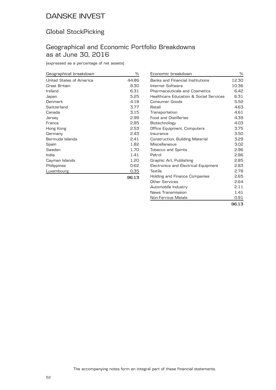### Global StockPicking

### Geographical and Economic Portfolio Breakdowns as at June 30, 2016

(expressed as a percentage of net assets)

| Geographical breakdown   | %     |
|--------------------------|-------|
| United States of America | 44.86 |
| Great Britain            | 8.30  |
| Ireland                  | 6.31  |
| Japan                    | 5.25  |
| Denmark                  | 4.18  |
| Switzerland              | 3.77  |
| Canada                   | 3.15  |
| Jersey                   | 2.99  |
| France                   | 2.85  |
| Hong Kong                | 2.53  |
| Germany                  | 2.43  |
| Bermuda Islands          | 2.41  |
| Spain                    | 1.82  |
| Sweden                   | 1.70  |
| India                    | 1.41  |
| Cayman Islands           | 1.20  |
| Philippines              | 0.62  |
| Luxembourg               | 0.35  |
|                          | 96.13 |

| Economic breakdown                     | ℅     |
|----------------------------------------|-------|
| Banks and Financial Institutions       | 12.30 |
| Internet Software                      | 10.36 |
| Pharmaceuticals and Cosmetics          | 6.42  |
| Healthcare Education & Social Services | 6.31  |
| Consumer Goods                         | 5.52  |
| Retail                                 | 4.63  |
| Transportation                         | 4.61  |
| <b>Food and Distilleries</b>           | 4.39  |
| Biotechnology                          | 4.03  |
| Office Equipment, Computers            | 3.75  |
| Insurance                              | 3.50  |
| Construction, Building Material        | 3.29  |
| Miscellaneous                          | 3.02  |
| <b>Tobacco and Spirits</b>             | 2.96  |
| Petrol                                 | 2.86  |
| Graphic Art, Publishing                | 2.85  |
| Electronics and Electrical Equipment   | 2.83  |
| Textile                                | 2.78  |
| Holding and Finance Companies          | 2.65  |
| Other Services                         | 2.64  |
| Automobile Industry                    | 2.11  |
| News Transmission                      | 1.41  |
| Non-Ferrous Metals                     | 0.91  |
|                                        | 96.13 |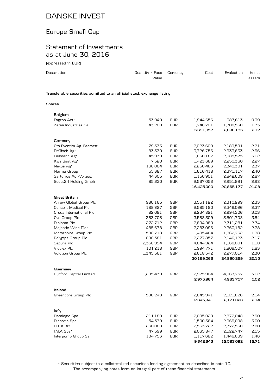### Europe Small Cap

### Statement of Investments as at June 30, 2016

(expressed in EUR)

| ויים היו בשטפט המא                                                     |                          |            |            |            |                 |
|------------------------------------------------------------------------|--------------------------|------------|------------|------------|-----------------|
| Description                                                            | Quantity / Face<br>Value | Currency   | Cost       | Evaluation | % net<br>assets |
| Transferable securities admitted to an official stock exchange listing |                          |            |            |            |                 |
| Shares                                                                 |                          |            |            |            |                 |
| Belgium                                                                |                          |            |            |            |                 |
| Fagron Act*                                                            | 53.940                   | <b>EUR</b> | 1,944,656  | 387,613    | 0.39            |
| Zetes Industries Sa                                                    | 43,200                   | <b>EUR</b> | 1,746,701  | 1,708,560  | 1.73            |
|                                                                        |                          |            | 3,691,357  | 2,096,173  | 2.12            |
| Germany                                                                |                          |            |            |            |                 |
| Cts Eventim Ag. Bremen*                                                | 79,333                   | <b>EUR</b> | 2,023,600  | 2,189,591  | 2.21            |
| Drillisch Ag*                                                          | 83,330                   | <b>EUR</b> | 3,726,756  | 2,933,633  | 2.96            |
| Fielmann Ag*                                                           | 45,939                   | <b>EUR</b> | 1,660,187  | 2,985,575  | 3.02            |
| Kws Saat Ag*                                                           | 7,520                    | <b>EUR</b> | 1,423,689  | 2,250,360  | 2.27            |
| Nexus Ag*                                                              | 136,064                  | <b>EUR</b> | 2,250,483  | 2,340,301  | 2.37            |
| Norma Group                                                            | 55,387                   | <b>EUR</b> | 1,616,418  | 2,371,117  | 2.40            |
| Sartorius Ag / Vorzug.                                                 | 44,305                   | <b>EUR</b> | 1,156,901  | 2,842,609  | 2.87            |
| Scout24 Holding Gmbh                                                   | 85,330                   | <b>EUR</b> | 2,567,056  | 2,951,991  | 2.98            |
|                                                                        |                          |            | 16,425,090 | 20,865,177 | 21.08           |
| <b>Great Britain</b>                                                   |                          |            |            |            |                 |
| Arrow Global Group Plc                                                 | 980,165                  | <b>GBP</b> | 3,551,122  | 2,310,299  | 2.33            |
| <b>Consort Medical Plc</b>                                             | 189,227                  | <b>GBP</b> | 2,585,180  | 2,349,026  | 2.37            |
| Croda International Plc                                                | 82,081                   | <b>GBP</b> | 2,234,821  | 2,994,306  | 3.03            |
| $\sim$ $\sim$ $\sim$ $\sim$ $\sim$ $\sim$                              | 202200                   | $\cap$     | 7.500700   | 201200     | <b>7 C</b> A    |

| 189,227   | <b>GBP</b> | 2,585,180  | 2,349,026  | 2.37  |
|-----------|------------|------------|------------|-------|
| 82.081    | GBP        | 2.234.821  | 2.994.306  | 3.03  |
| 383,706   | <b>GBP</b> | 3,588,309  | 3,501,708  | 3.54  |
| 272,712   | <b>GBP</b> | 2,894,980  | 2,711,281  | 2.74  |
| 485,678   | <b>GBP</b> | 2.283.096  | 2,260,182  | 2.28  |
| 588,718   | <b>GBP</b> | 1,495,464  | 1,362,732  | 1.38  |
| 686,581   | <b>GBP</b> | 2,277,857  | 2,146,123  | 2.17  |
| 2,356,994 | <b>GBP</b> | 4,644,924  | 1,168,091  | 1.18  |
| 101,218   | <b>GBP</b> | 1,994,771  | 1,809,507  | 1.83  |
| 1,345,561 | <b>GBP</b> | 2,618,542  | 2,277,014  | 2.30  |
|           |            | 30,169,066 | 24,890,269 | 25.15 |
|           |            |            |            |       |
|           |            |            |            |       |
| 1,295,439 | <b>GBP</b> | 2,975,964  | 4,963,757  | 5.02  |
|           |            | 2,975,964  | 4,963,757  | 5.02  |
|           |            |            |            |       |
|           |            |            |            |       |
| 590,248   | <b>GBP</b> | 2,645,941  | 2,121,826  | 2.14  |
|           |            | 2.645.941  | 2,121,826  | 2.14  |
|           |            |            |            |       |
|           |            |            |            |       |
| 211,180   | <b>EUR</b> | 2,095,028  | 2,872,048  | 2.90  |
| 54,579    | <b>EUR</b> | 1,500,364  | 2,969,098  | 3.00  |
| 230,088   | <b>EUR</b> | 2,563,722  | 2,772,560  | 2.80  |
| 47,599    | <b>EUR</b> | 2,065,847  | 2,522,747  | 2.55  |
| 104,753   | <b>EUR</b> | 1,117,682  | 1,446,639  | 1.46  |
|           |            | 9,342,643  | 12,583,092 | 12.71 |
|           |            |            |            |       |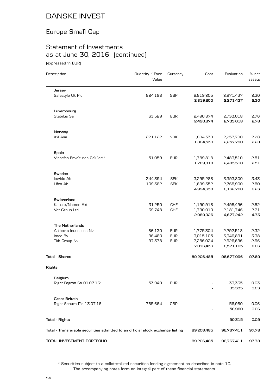### Europe Small Cap

# Statement of Investments as at June 30, 2016 (continued)

(expressed in EUR)

| Description                                                                    | Quantity / Face<br>Value | Currency   | Cost                   | Evaluation             | % net<br>assets |
|--------------------------------------------------------------------------------|--------------------------|------------|------------------------|------------------------|-----------------|
| Jersey                                                                         |                          |            |                        |                        |                 |
| Safestyle Uk Plc                                                               | 824,198                  | <b>GBP</b> | 2,819,205<br>2,819,205 | 2,271,437<br>2,271,437 | 2.30<br>2.30    |
| Luxembourg                                                                     |                          |            |                        |                        |                 |
| Stabilus Sa                                                                    | 63,529                   | <b>EUR</b> | 2,490,874<br>2,490,874 | 2,733,018<br>2,733,018 | 2.76<br>2.76    |
| Norway                                                                         |                          |            |                        |                        |                 |
| Xxl Asa                                                                        | 221,122                  | <b>NOK</b> | 1,804,530<br>1,804,530 | 2,257,790<br>2,257,790 | 2.28<br>2.28    |
| Spain                                                                          |                          |            |                        |                        |                 |
| Viscofan Envolturas Celulosi*                                                  | 51,059                   | <b>EUR</b> | 1,789,818<br>1,789,818 | 2,483,510<br>2,483,510 | 2.51<br>2.51    |
| Sweden                                                                         |                          |            |                        |                        |                 |
| Inwido Ab                                                                      | 344,394                  | <b>SEK</b> | 3,295,286              | 3,393,800              | 3.43            |
| Lifco Ab                                                                       | 109,362                  | <b>SEK</b> | 1,699,352<br>4,994,638 | 2,768,900<br>6,162,700 | 2.80<br>6.23    |
| Switzerland                                                                    |                          |            |                        |                        |                 |
| Kardex/Namen Akt.                                                              | 31,250                   | <b>CHF</b> | 1,190,916              | 2,495,496              | 2.52            |
| Vat Group Ltd                                                                  | 39,748                   | <b>CHF</b> | 1,790,010<br>2,980,926 | 2,181,746<br>4,677,242 | 2.21<br>4.73    |
| <b>The Netherlands</b>                                                         |                          |            |                        |                        |                 |
| Aalberts Industries Nv                                                         | 86,130                   | <b>EUR</b> | 1,775,304              | 2,297,518              | 2.32            |
| Imcd Bv                                                                        | 96,480                   | <b>EUR</b> | 3,015,105              | 3,346,891              | 3.38            |
| Tkh Group Nv                                                                   | 97,378                   | <b>EUR</b> | 2,286,024<br>7,076,433 | 2,926,696<br>8,571,105 | 2.96<br>8.66    |
| <b>Total - Shares</b>                                                          |                          |            | 89,206,485             | 96,677,096             | 97.69           |
| Rights                                                                         |                          |            |                        |                        |                 |
| Belgium                                                                        |                          |            |                        |                        |                 |
| Right Fagron Sa 01.07.16*                                                      | 53,940                   | <b>EUR</b> |                        | 33,335<br>33,335       | 0.03<br>0.03    |
| <b>Great Britain</b>                                                           |                          |            |                        |                        |                 |
| Right Sepura Plc 13.07.16                                                      | 785,664                  | <b>GBP</b> |                        | 56,980<br>56,980       | 0.06<br>0.06    |
| <b>Total - Rights</b>                                                          |                          |            |                        | 90,315                 | 0.09            |
| Total - Transferable securities admitted to an official stock exchange listing |                          |            | 89,206,485             | 96,767,411             | 97.78           |
|                                                                                |                          |            |                        |                        |                 |
| TOTAL INVESTMENT PORTFOLIO                                                     |                          |            | 89,206,485             | 96,767,411             | 97.78           |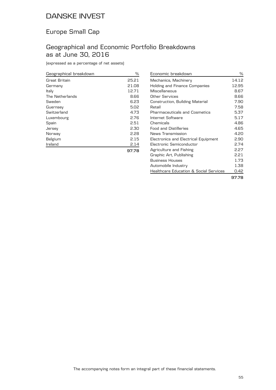### Europe Small Cap

### Geographical and Economic Portfolio Breakdowns as at June 30, 2016

(expressed as a percentage of net assets)

| Geographical breakdown | ℅     |
|------------------------|-------|
| Great Britain          | 25.21 |
| Germany                | 21.08 |
| Italy                  | 12.71 |
| The Netherlands        | 8.66  |
| Sweden                 | 6.23  |
| Guernsey               | 5.02  |
| Switzerland            | 4.73  |
| Luxembourg             | 2.76  |
| Spain                  | 2.51  |
| Jersey                 | 2.30  |
| Norway                 | 2.28  |
| Belgium                | 2.15  |
| Ireland                | 2.14  |
|                        |       |

| Economic breakdown                                | ℅     |
|---------------------------------------------------|-------|
| Mechanics, Machinery                              | 14.12 |
| Holding and Finance Companies                     | 12.95 |
| Miscellaneous                                     | 8.67  |
| Other Services                                    | 8.66  |
| Construction, Building Material                   | 7.90  |
| Retail                                            | 7.58  |
| <b>Pharmaceuticals and Cosmetics</b>              | 5.37  |
| Internet Software                                 | 5.17  |
| Chemicals                                         | 4.86  |
| Food and Distilleries                             | 4.65  |
| News Transmission                                 | 4.20  |
| Electronics and Electrical Equipment              | 2.90  |
| Electronic Semiconductor                          | 2.74  |
| Agriculture and Fishing                           | 2.27  |
| Graphic Art, Publishing                           | 2.21  |
| <b>Business Houses</b>                            | 1.73  |
| Automobile Industry                               | 1.38  |
| <b>Healthcare Education &amp; Social Services</b> | 0.42  |
|                                                   | 97.78 |

**97.78**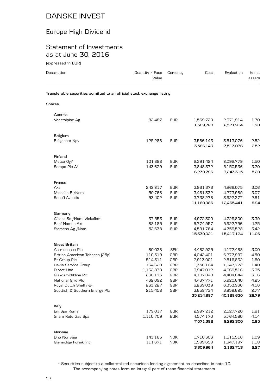## Europe High Dividend

#### Statement of Investments as at June 30, 2016

(expressed in EUR)

| Description                                                            | Quantity / Face<br>Value | Currency          | Cost                    | Evaluation              | % net<br>assets |
|------------------------------------------------------------------------|--------------------------|-------------------|-------------------------|-------------------------|-----------------|
| Transferable securities admitted to an official stock exchange listing |                          |                   |                         |                         |                 |
| Shares                                                                 |                          |                   |                         |                         |                 |
| Austria                                                                |                          |                   |                         |                         |                 |
| Voestalpine Ag                                                         | 82,487                   | <b>EUR</b>        | 1,569,720               | 2,371,914               | 1.70            |
|                                                                        |                          |                   | 1,569,720               | 2,371,914               | 1.70            |
| Belgium                                                                |                          |                   |                         |                         |                 |
| Belgacom Npv                                                           | 125,288                  | <b>EUR</b>        | 3,586,143               | 3,513,076               | 2.52            |
|                                                                        |                          |                   | 3,586,143               | 3,513,076               | 2.52            |
| Finland                                                                |                          |                   |                         |                         |                 |
| Metso Oyj*                                                             | 101,888                  | <b>EUR</b>        | 2,391,424               | 2,092,779               | 1.50            |
| Sampo Plc A*                                                           | 143,629                  | <b>EUR</b>        | 3,848,372               | 5,150,536               | 3.70            |
|                                                                        |                          |                   | 6,239,796               | 7,243,315               | 5.20            |
| France                                                                 |                          |                   |                         |                         |                 |
| Axa                                                                    | 242,217                  | <b>EUR</b>        | 3,961,376               | 4,269,075               | 3.06            |
| Michelin B /Nom.                                                       | 50,766                   | <b>EUR</b>        | 3,461,332               | 4,273,989               | 3.07            |
| Sanofi-Aventis                                                         | 53,402                   | <b>EUR</b>        | 3,738,278<br>11,160,986 | 3,922,377<br>12,465,441 | 2.81<br>8.94    |
|                                                                        |                          |                   |                         |                         |                 |
| Germany                                                                |                          |                   |                         |                         |                 |
| Allianz Se / Nam. Vinkuliert                                           | 37,553                   | <b>EUR</b>        | 4,972,300               | 4,729,800               | 3.39            |
| Basf Namen-Akt.                                                        | 88,185                   | <b>EUR</b>        | 5,774,957               | 5,927,796               | 4.25            |
| Siemens Ag /Nam.                                                       | 52,638                   | <b>EUR</b>        | 4,591,764<br>15,339,021 | 4,759,528<br>15,417,124 | 3.42<br>11.06   |
|                                                                        |                          |                   |                         |                         |                 |
| <b>Great Britain</b>                                                   |                          |                   |                         |                         |                 |
| Astrazeneca Plc                                                        | 80,038                   | <b>SEK</b>        | 4,482,925               | 4,177,468               | 3.00            |
| British American Tobacco (25p)                                         | 110,319<br>514,311       | <b>GBP</b><br>GBP | 4,042,401<br>2,913,001  | 6,277,997<br>2,516,832  | 4.50<br>1.80    |
| Bt Group Plc<br>Davis Service Group                                    | 134,620                  | <b>GBP</b>        | 1,356,164               | 1,947,772               | 1.40            |
| Direct Line                                                            | 1,132,878                | GBP               | 3,947,012               | 4,669,516               | 3.35            |
| Glaxosmithkline Plc                                                    | 236,173                  | GBP               | 4,107,840               | 4,404,844               | 3.16            |
| National Grid Plc                                                      | 462,092                  | GBP               | 4,437,771               | 5,920,640               | 4.25            |
| Royal Dutch Shell /-B-                                                 | 263,227                  | GBP               | 6,269,039               | 6,353,936               | 4.56            |
| Scottish & Southern Energy Plc                                         | 215,458                  | GBP               | 3,658,734               | 3,859,625               | 2.77            |
|                                                                        |                          |                   | 35,214,887              | 40,128,630              | 28.79           |
| Italy                                                                  |                          |                   |                         |                         |                 |
| Eni Spa Roma                                                           | 179,017                  | <b>EUR</b>        | 2,997,212               | 2,527,720               | 1.81            |
| Snam Rete Gas Spa                                                      | 1,110,709                | <b>EUR</b>        | 4,574,170               | 5,764,580               | 4.14            |
|                                                                        |                          |                   | 7,571,382               | 8,292,300               | 5.95            |
| Norway                                                                 |                          |                   |                         |                         |                 |
| Dnb Nor Asa                                                            | 143,165                  | <b>NOK</b>        | 1,710,306               | 1,515,516               | 1.09            |
| Gjensidige Forsikring                                                  | 111,671                  | <b>NOK</b>        | 1,599,658               | 1,647,197               | 1.18            |

The accompanying notes form an integral part of these financial statements. \* Securities subject to a collateralized securities lending agreement as described in note 10.

**3,309,964 3,162,713 2.27**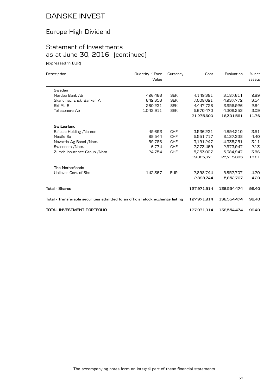## Europe High Dividend

# Statement of Investments as at June 30, 2016 (continued)

(expressed in EUR)

| Description                                                                    | Quantity $\angle$ Face<br>Value | Currency   | Cost        | Evaluation  | % net<br>assets |
|--------------------------------------------------------------------------------|---------------------------------|------------|-------------|-------------|-----------------|
| Sweden                                                                         |                                 |            |             |             |                 |
| Nordea Bank Ab                                                                 | 426,466                         | <b>SEK</b> | 4,149,381   | 3,187,611   | 2.29            |
| Skandinav, Ensk, Banken A                                                      | 642,356                         | <b>SEK</b> | 7,008,021   | 4,937,772   | 3.54            |
| Skf Ab B                                                                       | 280,231                         | <b>SEK</b> | 4,447,728   | 3,956,926   | 2.84            |
| Teliasonera Ab                                                                 | 1,042,911                       | <b>SEK</b> | 5,670,470   | 4,309,252   | 3.09            |
|                                                                                |                                 |            | 21.275.600  | 16.391.561  | 11.76           |
| Switzerland                                                                    |                                 |            |             |             |                 |
| Baloise Holding / Namen                                                        | 49,693                          | <b>CHF</b> | 3,536,231   | 4,894,210   | 3.51            |
| Nestle Sa                                                                      | 89,544                          | <b>CHF</b> | 5,551,717   | 6,127,338   | 4.40            |
| Novartis Ag Basel / Nam.                                                       | 59.786                          | <b>CHF</b> | 3,191,247   | 4,335,251   | 3.11            |
| Swisscom /Nam.                                                                 | 6.774                           | <b>CHF</b> | 2,273,469   | 2,973,947   | 2.13            |
| Zurich Insurance Group / Nam                                                   | 24,754                          | <b>CHF</b> | 5,253,007   | 5,384,947   | 3.86            |
|                                                                                |                                 |            | 19,805,671  | 23,715,693  | 17.01           |
| <b>The Netherlands</b>                                                         |                                 |            |             |             |                 |
| Unilever Cert, of Shs                                                          | 142,367                         | <b>EUR</b> | 2,898,744   | 5,852,707   | 4.20            |
|                                                                                |                                 |            | 2,898,744   | 5,852,707   | 4.20            |
| <b>Total - Shares</b>                                                          |                                 |            | 127,971,914 | 138,554,474 | 99.40           |
| Total - Transferable securities admitted to an official stock exchange listing |                                 |            | 127,971,914 | 138,554,474 | 99.40           |
| TOTAL INVESTMENT PORTFOLIO                                                     |                                 |            | 127,971,914 | 138,554,474 | 99.40           |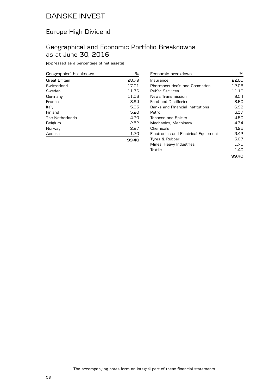### Europe High Dividend

### Geographical and Economic Portfolio Breakdowns as at June 30, 2016

(expressed as a percentage of net assets)

| Geographical breakdown | ℅     |
|------------------------|-------|
| Great Britain          | 28.79 |
| Switzerland            | 17.01 |
| Sweden                 | 11.76 |
| Germany                | 11.06 |
| France                 | 8.94  |
| Italy                  | 5.95  |
| Finland                | 5.20  |
| The Netherlands        | 4.20  |
| Belgium                | 2.52  |
| Norway                 | 2.27  |
| Austria                | 1.70  |
|                        | 99.40 |

| Economic breakdown                   | ℅     |
|--------------------------------------|-------|
| Insurance                            | 22.05 |
| Pharmaceuticals and Cosmetics        | 12.08 |
| <b>Public Services</b>               | 11.16 |
| News Transmission                    | 9.54  |
| <b>Food and Distilleries</b>         | 8.60  |
| Banks and Financial Institutions     | 6.92  |
| Petrol                               | 6.37  |
| <b>Tobacco and Spirits</b>           | 4.50  |
| Mechanics, Machinery                 | 4.34  |
| Chemicals                            | 4.25  |
| Electronics and Electrical Equipment | 3.42  |
| Tyres & Rubber                       | 3.07  |
| Mines, Heavy Industries              | 1.70  |
| Textile                              | 1.40  |
|                                      | 99.40 |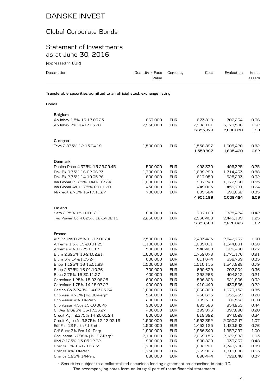### Global Corporate Bonds

#### Statement of Investments as at June 30, 2016

(expressed in EUR)

| Description                                                            | Quantity / Face<br>Value | Currency   | Cost      | Evaluation | % net<br>assets |
|------------------------------------------------------------------------|--------------------------|------------|-----------|------------|-----------------|
| Transferable securities admitted to an official stock exchange listing |                          |            |           |            |                 |
| <b>Bonds</b>                                                           |                          |            |           |            |                 |
| Belgium                                                                |                          |            |           |            |                 |
| Ab Inbev 1.5% 16-17.03.25                                              | 667,000                  | <b>EUR</b> | 673,818   | 702,234    | 0.36            |
| Ab Inbev 2% 16-17.03.28                                                | 2,950,000                | <b>EUR</b> | 2,982,161 | 3,178,596  | 1.62            |
|                                                                        |                          |            | 3,655,979 | 3,880,830  | 1.98            |
| Curaçao                                                                |                          |            |           |            |                 |
| Teva 2.875% 12-15.04.19                                                | 1,500,000                | <b>EUR</b> | 1,558,897 | 1,605,420  | 0.82            |
|                                                                        |                          |            | 1,558,897 | 1,605,420  | 0.82            |
| <b>Denmark</b>                                                         |                          |            |           |            |                 |
| Danica Pens 4.375% 15-29.09.45                                         | 500,000                  | <b>EUR</b> | 498,330   | 496,325    | 0.25            |
| Dsk Bk 0.75% 16-02.06.23                                               | 1,700,000                | <b>EUR</b> | 1,689,290 | 1,714,433  | 0.88            |
| Dsk Bk 2.75% 14-19.05.26                                               | 600,000                  | <b>EUR</b> | 617,950   | 625,293    | 0.32            |
| Iss Global 2.125% 14-02.12.24                                          | 1,000,000                | <b>EUR</b> | 997,240   | 1,072,930  | 0.55            |
| Iss Global As 1.125% 09.01.20                                          | 450,000                  | <b>EUR</b> | 449,005   | 459,781    | 0.24            |
| Nykredit 2.75% 15-17.11.27                                             | 700,000                  | <b>EUR</b> | 699,384   | 690,662    | 0.35            |
|                                                                        |                          |            | 4,951,199 | 5,059,424  | 2.59            |
| Finland                                                                |                          |            |           |            |                 |
| Sato 2.25% 15-10.09.20                                                 | 800,000                  | <b>EUR</b> | 797,160   | 825,424    | 0.42            |
| Tvo Power Co 4.625% 12-04.02.19                                        | 2,250,000                | <b>EUR</b> | 2,536,408 | 2,445,199  | 1.25            |
|                                                                        |                          |            | 3,333,568 | 3,270,623  | 1.67            |
| France                                                                 |                          |            |           |            |                 |
| Air Liquide 0.75% 16-13.06.24                                          | 2,500,000                | <b>EUR</b> | 2,493,425 | 2,542,737  | 1.30            |
| Arkema 1.5% 15-20.01.25                                                | 1,100,000                | <b>EUR</b> | 1,089,011 | 1,144,831  | 0.58            |
| Arkema 4% 10-25.10.17                                                  | 500,000                  | <b>EUR</b> | 548,400   | 526,430    | 0.27            |
| Bfcm 2.625% 13-24.02.21                                                | 1,600,000                | <b>EUR</b> | 1,752,078 | 1,771,176  | 0.91            |
| Bfcm 3% 14-21.05.24                                                    | 600,000                  | <b>EUR</b> | 611,644   | 638,769    | 0.33            |
| Bnpp 1.125% 16-15.01.23                                                | 1,500,000                | <b>EUR</b> | 1,510,115 | 1,547,828  | 0.79            |
| Bnpp 2.875% 16-01.10.26                                                | 700,000                  | <b>EUR</b> | 699,629   | 707,004    | 0.36            |
| Bpce 2.75% 15-30.11.27                                                 | 400,000                  | <b>EUR</b> | 398,268   | 404,812    | 0.21            |
| Carrefour 1.25% 15-03.06.25                                            | 600,000                  | <b>EUR</b> | 596,808   | 621,906    | 0.32            |
| Carrefour 1.75% 14-15.07.22                                            | 400,000                  | <b>EUR</b> | 410,440   | 430,536    | 0.22            |
| Casino Gp 3.248% 14-07.03.24                                           | 1,600,000                | <b>EUR</b> | 1,666,800 | 1,673,152  | 0.85            |
| Cnp Ass. 4.75% [Tv] 06-Perp*                                           | 550,000                  | <b>EUR</b> | 456,675   | 555,459    | 0.28            |
| Cnp Assur 4% 14-Perp                                                   | 200,000                  | <b>EUR</b> | 199,510   | 186,552    | 0.10            |
| Cnp Assur 4.5% 15-10.06.47                                             | 900,000                  | <b>EUR</b> | 893,583   | 854,253    | 0.44            |
| Cr Agr 2.625% 15-17.03.27                                              | 400,000                  | <b>EUR</b> | 399,876   | 397,890    | 0.20            |
| Credit Agri 2.375% 14-20.05.24                                         | 600,000                  | <b>EUR</b> | 618,392   | 674,028    | 0.34            |
| Credit Agricole 3.875% 12-13.02.19                                     | 1,900,000                | <b>EUR</b> | 1,953,392 | 2,090,247  | 1.07            |
| Edf Frn 13-Pert / Ftf Emtn                                             | 1,500,000                | <b>EUR</b> | 1,453,125 | 1,483,943  | 0.76            |
| Gdf Suez 3% Frn 14- Perp                                               | 1,900,000                | <b>EUR</b> | 1,986,340 | 1,952,297  | 1.00            |
| Groupama 6.298% [Tv] 07-Perp*                                          | 2,100,000                | <b>EUR</b> | 2,069,156 | 2,022,982  | 1.03            |
| lliad 2.125% 15-05.12.22                                               | 900,000                  | <b>EUR</b> | 890,829   | 933,237    | 0.48            |
| Orange 1% 16-12.05.25*                                                 | 1,700,000                | <b>EUR</b> | 1,682,201 | 1,740,706  | 0.89            |
| Orange 4% 14-Perp                                                      | 1,750,000                | <b>EUR</b> | 1,769,906 | 1,819,886  | 0.93            |

The accompanying notes form an integral part of these financial statements. \* Securities subject to a collateralized securities lending agreement as described in note 10.

Orange 5.25% 14-Perp 680,000 EUR 690,444 729,640 0.37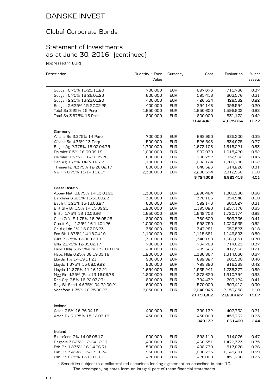### Global Corporate Bonds

### Statement of Investments as at June 30, 2016 (continued)

(expressed in EUR)

| Description                       | Quantity / Face<br>Value | Currency   | Cost       | Evaluation | % net<br>assets |
|-----------------------------------|--------------------------|------------|------------|------------|-----------------|
|                                   |                          |            |            |            |                 |
| Socgen 0.75% 15-25.11.20          | 700,000                  | <b>EUR</b> | 697,676    | 715,736    | 0.37            |
| Socgen 0.75% 16-26.05.23          | 600,000                  | <b>EUR</b> | 595,416    | 603,576    | 0.31            |
| Socgen 2.25% 13-23.01.20          | 400,000                  | <b>EUR</b> | 426,534    | 429,562    | 0.22            |
| Socgen 2.625% 15-27.02.25         | 400,000                  | <b>EUR</b> | 394,148    | 398,554    | 0.20            |
| Total Sa 2.25% 15-Perp            | 1,650,000                | <b>EUR</b> | 1,650,600  | 1,596,903  | 0.82            |
| Total Sa 3.875% 16-Perp           | 800,000                  | <b>EUR</b> | 800,000    | 831,172    | 0.42            |
|                                   |                          |            | 31,404,421 | 32,025,804 | 16.37           |
| Germany                           |                          |            |            |            |                 |
| Allianz Se 3.375% 14-Perp         | 700,000                  | <b>EUR</b> | 698,950    | 685,300    | 0.35            |
| Allianz Se 4.75% 13-Perp          | 500,000                  | <b>EUR</b> | 526,546    | 534,975    | 0.27            |
| Bayer Ag 2.375% 15-02.04.75       | 1,700,000                | <b>EUR</b> | 1,673,106  | 1,618,221  | 0.83            |
| Daimler 0.5% 16-09.09.19          | 1,000,000                | <b>EUR</b> | 997,930    | 1,015,420  | 0.52            |
| Daimler 1.375% 16-11.05.28        | 800,000                  | <b>EUR</b> | 796,752    | 832,932    | 0.43            |
| Sap Ag 1.75% 14-22.02.27          | 1,100,000                | <b>EUR</b> | 1,092,124  | 1,209,786  | 0.62            |
| Thyssenkp 4.375% 12-28.02.17      | 600,000                  | <b>EUR</b> | 640,326    | 614,226    | 0.31            |
| Vw Fin 0.75% 15-14.10.21*         | 2,300,000                | <b>EUR</b> | 2,298,574  | 2,312,558  | 1.18            |
|                                   |                          |            | 8,724,308  | 8,823,418  | 4.51            |
| Great Britain                     |                          |            |            |            |                 |
| Abbey Natl 0.875% 14-13.01.20     | 1,300,000                | <b>EUR</b> | 1,296,484  | 1,300,930  | 0.66            |
| Barclays 6.625% 11-30.03.22       | 300,000                  | <b>EUR</b> | 378,185    | 354,546    | 0.18            |
| Bat Intl 1.25% 15-13.03.27        | 600,000                  | <b>EUR</b> | 592,146    | 600,027    | 0.31            |
| Brit Sky Br 1.5% 14-15.09.21      | 1,200,000                | <b>EUR</b> | 1,195,020  | 1,237,176  | 0.63            |
| Britel 1.75% 16-10.03.26          | 1,650,000                | <b>EUR</b> | 1,649,703  | 1,720,174  | 0.88            |
| Coca-Cola E 1.75% 16-26.05.28     | 800,000                  | <b>EUR</b> | 789,600    | 809,736    | 0.41            |
| Credit Agri 1.25% 16-14.04.26     | 1,000,000                | <b>EUR</b> | 998,790    | 1,020,935  | 0.52            |
| Cs Ag Ldn 1% 16-07.06.23          | 350,000                  | <b>EUR</b> | 347,281    | 350,523    | 0.18            |
| Fce Bk 1.875% 14-18.04.19         | 1,100,000                | <b>EUR</b> | 1,115,681  | 1,146,893  | 0.59            |
| G4s 2.625% 12-06.12.18            | 1,310,000                | <b>EUR</b> | 1,340,188  | 1,369,651  | 0.70            |
| G4s 2.875% 12-05.02.17            | 700,000                  | <b>EUR</b> | 734,769    | 714,623    | 0.37            |
| Hsbc Hldg 3.375%/Frn 13-10.01.24  | 400,000                  | <b>EUR</b> | 409,323    | 412,952    | 0.21            |
| Hsbc Hldg 6.25% 08-19.03.18       | 1,200,000                | <b>EUR</b> | 1,386,867  | 1,314,060  | 0.67            |
| Lloyds 1% 14-19.11.21             | 900,000                  | <b>EUR</b> | 892,827    | 905,508    | 0.46            |
| Lloyds 1.375% 15-08.09.22         | 800,000                  | <b>EUR</b> | 798,880    | 816,368    | 0.42            |
| Lloyds 11.875% 11-16.12.21        | 1,654,000                | <b>EUR</b> | 1,935,241  | 1,735,377  | 0.89            |
| Ngg Fin 4.25% [Frn] 13-18.06.76   | 1,800,000                | <b>EUR</b> | 1,878,620  | 1,910,754  | 0.98            |
| Rbs Grp 2.5% 16-22.03.23*         | 800,000                  | <b>EUR</b> | 794,432    | 793,124    | 0.41            |
| Roy. Bk Scotl. 4.625% 04-22.09.21 | 600,000                  | <b>EUR</b> | 570,000    | 593,412    | 0.30            |
| Vodafone 1.75% 16-25.08.23        | 2,050,000                | <b>EUR</b> | 2,046,945  | 2,153,258  | 1.10            |
|                                   |                          |            | 21,150,982 | 21,260,027 | 10.87           |
| Iceland                           |                          |            |            |            |                 |
| Arion 2.5% 16-26.04.19            | 400,000                  | <b>EUR</b> | 399,132    | 402,732    | 0.21            |
| Arion Bk 3.125% 15-12.03.18       | 450,000                  | <b>EUR</b> | 450,000    | 458,737    | 0.23            |
|                                   |                          |            | 849,132    | 861,469    | 0.44            |
| Ireland                           |                          |            |            |            |                 |
| Bk Ireland 2% 14-08.05.17         | 900,000                  | <b>EUR</b> | 898,110    | 914,076    | 0.47            |
| Bogaeis 3.625% 12-04.12.17        | 1,400,000                | <b>EUR</b> | 1,466,351  | 1,472,373  | 0.75            |
| Esb Fin 1.875% 16-14.06.31        | 500,000                  | <b>EUR</b> | 498,770    | 517,870    | 0.26            |
| Esb Fin 3.494% 13-12.01.24        | 950,000                  | <b>EUR</b> | 1,096,775  | 1,145,291  | 0.59            |
| Esb Fin 6.25% 12-11.09.01         | 420,000                  | <b>EUR</b> | 420,000    | 451,790    | 0.23            |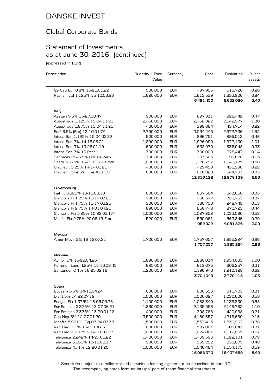### Global Corporate Bonds

### Statement of Investments as at June 30, 2016 (continued)

(expressed in EUR)

| Description                                                     | Quantity / Face<br>Value | Currency                 | Cost                   | Evaluation             | % net<br>assets |
|-----------------------------------------------------------------|--------------------------|--------------------------|------------------------|------------------------|-----------------|
| Ge Cap Eur 0.8% 15-21.01.22                                     | 500,000                  | <b>EUR</b>               | 497,905                | 516,720                | 0.26            |
| Ryanair Ltd 1.125% 15-10.03.23                                  | 1,620,000                | <b>EUR</b>               | 1,613,539              | 1,633,900              | 0.84            |
|                                                                 |                          |                          | 6,491,450              | 6,652,020              | 3.40            |
| ltaly                                                           |                          |                          |                        |                        |                 |
| Assgen 5.5% 15-27.10.47                                         | 900,000                  | <b>EUR</b>               | 897,831                | 926,442                | 0.47            |
| Autostrade 1.125% 15-04.11.21                                   | 2,450,000                | <b>EUR</b>               | 2,452,822              | 2,542,977              | 1.30            |
| Autostrade 1.875% 15-04.11.25                                   | 400,000                  | <b>EUR</b>               | 398,664                | 434,714                | 0.22            |
| Enel 6.5% [Frn] 13-10.01.74                                     | 2,750,000                | <b>EUR</b>               | 3,034,445              | 2,972,736              | 1.52            |
| Intesa San 1.125% 15-04.03.22                                   | 900,000                  | <b>EUR</b>               | 896,751                | 896,013                | 0.46            |
| Intesa San 2% 14-18.06.21                                       | 1,890,000                | <b>EUR</b>               | 1,926,090              | 1,972,130              | 1.01            |
| Intesa San 3% 13-28.01.19                                       | 600,000                  | <b>EUR</b>               | 638,970                | 636,948                | 0.33            |
| Intesa San 7% 16-Perp                                           | 300,000                  | <b>EUR</b>               | 300,000                | 278,447                | 0.14            |
| Sanpaolo VI 4.75% Frn 14-Perp                                   | 100,000                  | <b>EUR</b>               | 103,365                | 96,828                 | 0.05            |
| Snam 3.375% 13-29.01.21 Emtn                                    | 1,000,000                | <b>EUR</b>               | 1,120,797              | 1,140,175              | 0.58<br>0.22    |
| Unicredit 3.25% 14-14.01.21<br>Unicredit 3.625% 13-24.01.19     | 400,000<br>600,000       | <b>EUR</b>               | 429,459                | 435,996<br>644,733     |                 |
|                                                                 |                          | <b>EUR</b>               | 616,928<br>12,816,122  |                        | 0.33<br>6.63    |
|                                                                 |                          |                          |                        | 12,978,139             |                 |
| Luxembourg                                                      |                          |                          |                        |                        |                 |
| Fiat Ft 6.625% 13-15.03.18<br>Glencore Fi 1.25% 15-17.03.21     | 600,000<br>780,000       | <b>EUR</b>               | 667,564                | 643,656<br>720,763     | 0.33<br>0.37    |
| Glencore Fi 1.75% 15-17.03.25                                   | 300,000                  | <b>EUR</b><br><b>EUR</b> | 768,547<br>180,750     | 249,748                | 0.13            |
| Glencore Fi 2.75% 14-01.04.21                                   | 890,000                  | <b>EUR</b>               | 858,748                | 870,723                | 0.44            |
| Glencore Fin 5.25% 10-22.03.17*                                 | 1,000,000                | <b>EUR</b>               | 1,027,252              | 1,033,090              | 0.53            |
| Michln Fin 2.75% 20.06.19 Emtn                                  | 520,000                  | <b>EUR</b>               | 550,061                | 563,846                | 0.29            |
|                                                                 |                          |                          | 4,052,922              | 4,081,826              | 2.09            |
| Mexico                                                          |                          |                          |                        |                        |                 |
| Amer Movil 3% 12-12.07.21                                       | 1,700,000                | <b>EUR</b>               | 1,757,057              | 1,885,224              | 0.96            |
|                                                                 |                          |                          | 1,757,057              | 1,885,224              | 0.96            |
| Norway                                                          |                          |                          |                        |                        |                 |
| Avinor 1% 15-29.04.25                                           | 1,890,000                | <b>EUR</b>               | 1,888,034              | 1,954,033              | 1.00            |
| Kommun Land 4.25% 15-10.06.45                                   | 625,000                  | <b>EUR</b>               | 619,075                | 606,257                | 0.31            |
| Santander C 1% 16-25.02.19                                      | 1,200,000                | <b>EUR</b>               | 1,196,940              | 1,210,128              | 0.62            |
|                                                                 |                          |                          | 3,704,049              | 3,770,418              | 1.93            |
| Spain                                                           |                          |                          |                        |                        |                 |
| Bbvasm 3.5% 14-11.04.24                                         | 600,000                  | <b>EUR</b>               | 606,553                | 611,703                | 0.31            |
| Dia 1.5% 14-22.07.19                                            | 1,000,000                | <b>EUR</b>               | 1,000,627              | 1,030,600              | 0.53            |
| Enagas Fin 1.375% 16-05.05.28                                   | 1,100,000                | <b>EUR</b>               | 1,088,340              | 1,139,330              | 0.58            |
| Fer Emision 3.375% 13-07.06.21                                  | 1,890,000                | <b>EUR</b>               | 2,139,556              | 2,149,762              | 1.10            |
| Fer Emision 3.375% 13-30.01.18                                  | 400,000                  | <b>EUR</b>               | 398,768                | 420,988                | 0.21            |
| Gas Ncp 6% 12-27.01.20                                          | 3,500,000                | <b>EUR</b>               | 4,180,657              | 4,216,660              | 2.16            |
| Mapfre 5.921% [Tv] 07-24.07.37                                  | 1,500,000                | <b>EUR</b>               | 1,557,415              | 1,530,967              | 0.78            |
| Red Elec Fi 1% 16-21.04.26                                      | 600,000                  | <b>EUR</b>               | 597,061                | 608,643                | 0.31            |
| Red Elec Fi 2.125% 14-01.07.23<br>Telefonica 2.242% 14-27.05.22 | 1,000,000<br>1,400,000   | <b>EUR</b><br><b>EUR</b> | 1,074,081<br>1,439,596 | 1,112,855<br>1,522,101 | 0.57<br>0.78    |
| Telefonica 3.661% 10-18.09.17                                   | 900,000                  | <b>EUR</b>               | 939,252                | 939,875                | 0.48            |
| Telefonica 4.71% 12-20.01.20                                    | 1,000,000                | <b>EUR</b>               | 1,046,464              | 1,154,175              | 0.59            |
|                                                                 |                          |                          | 16,068,370             | 16,437,659             | 8.40            |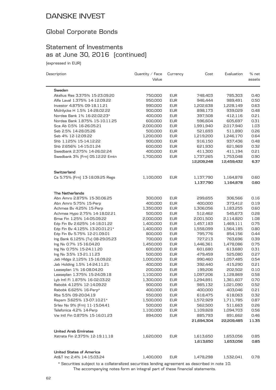### Global Corporate Bonds

# Statement of Investments as at June 30, 2016 (continued)

(expressed in EUR)

| Description                                    | Quantity $\angle$ Face<br>Value | Currency   | Cost                   | Evaluation             | % net<br>assets |
|------------------------------------------------|---------------------------------|------------|------------------------|------------------------|-----------------|
| Sweden                                         |                                 |            |                        |                        |                 |
| Akelius Res 3.375% 15-23.09.20                 | 750,000                         | <b>EUR</b> | 748,403                | 785,303                | 0.40            |
| Alfa Laval 1.375% 14-12.09.22                  | 950,000                         | <b>EUR</b> | 946,444                | 989,491                | 0.50            |
| Investor 4.875% 09-18.11.21                    | 990,000                         | <b>EUR</b> | 1,202,638              | 1,228,149              | 0.63            |
| Molnlycke H 1.5% 14-28.02.22                   | 900,000                         | <b>EUR</b> | 898,173                | 939,029                | 0.48            |
| Nordea Bank 1% 16-22.02.23*                    | 400,000                         | <b>EUR</b> | 397,508                | 412,116                | 0.21            |
| Nordea Bank 1.875% 15-10.11.25                 | 600,000                         | <b>EUR</b> | 596,604                | 605,697                | 0.31            |
| Sca Ab 0.5% 16-26.05.21                        | 2,000,000                       | <b>EUR</b> | 1,991,940              | 2,017,940              | 1.03            |
| Seb 2.5% 14-28.05.26                           | 500,000                         | <b>EUR</b> | 521,693                | 511,890                | 0.26            |
| Seb 4% 12-12.09.22                             | 1,200,000                       | <b>EUR</b> | 1,219,200              | 1,246,170              | 0.64            |
| Shb 1.125% 15-14.12.22                         | 900,000                         | <b>EUR</b> | 916,150                | 937,436                | 0.48            |
| Shb 2.656% 14-15.01.24                         | 600,000                         | <b>EUR</b> | 621,930                | 621,969                | 0.32            |
| Swedbank 2.375% 14-26.02.24                    | 400,000                         | <b>EUR</b> | 411,300                | 411,194                | 0.21            |
| Swedbank 3% [Frn] 05.12.22 Emtn                | 1,700,000                       | <b>EUR</b> | 1,737,265              | 1,753,048              | 0.90            |
|                                                |                                 |            | 12,209,248             | 12,459,432             | 6.37            |
|                                                |                                 |            |                        |                        |                 |
| Switzerland<br>Cs 5.75% [Frn] 13-18.09.25 Regs |                                 |            |                        |                        |                 |
|                                                | 1,100,000                       | <b>EUR</b> | 1,137,790<br>1,137,790 | 1,164,878<br>1,164,878 | 0.60<br>0.60    |
|                                                |                                 |            |                        |                        |                 |
| <b>The Netherlands</b>                         |                                 |            |                        |                        |                 |
| Abn Amro 2.875% 15-30.06.25                    | 300,000                         | <b>EUR</b> | 299,655                | 306,566                | 0.16            |
| Abn Amro 5.75% 15-Perp                         | 400,000                         | <b>EUR</b> | 400,000                | 373,412                | 0.19            |
| Achmea Bv 4.25% 15-Perp                        | 1,350,000                       | <b>EUR</b> | 1,306,056              | 1,183,255              | 0.60            |
| Achmea Hypo 2.75% 14-18.02.21                  | 500,000                         | <b>EUR</b> | 512,462                | 545,673                | 0.28            |
| Bmw Fin 1.25% 14-05.09.22                      | 2,000,000                       | <b>EUR</b> | 2,001,500              | 2,114,820              | 1.08            |
| Edp Fin Bv 2.625% 14-18.01.22                  | 1,400,000                       | <b>EUR</b> | 1,457,183              | 1,469,111              | 0.75            |
| Edp Fin Bv 4.125% 13-20.01.21*                 | 1,400,000                       | <b>EUR</b> | 1,558,099              | 1,564,185              | 0.80            |
| Edp Fin Bv 5.75% 12-21.09.01                   | 800,000                         | <b>EUR</b> | 795,776                | 854,156                | 0.44            |
| Ing Bank 6.125% (Tv) 08-29.05.23               | 700,000                         | <b>EUR</b> | 727,213                | 763,696                | 0.39            |
| Ing Nv 0.7% 15-16.04.20                        | 1,450,000                       | <b>EUR</b> | 1,446,361              | 1,478,086              | 0.75            |
| Ing Nv 0.75% 15-24.11.20                       | 600,000                         | <b>EUR</b> | 601,680                | 613,680                | 0.31            |
| Ing Nv 3.5% 13-21.11.23                        | 500,000                         | <b>EUR</b> | 479,459                | 525,080                | 0.27            |
| Jab Hldgs 2.125% 15-16.09.22                   | 1,000,000                       | <b>EUR</b> | 990,460                | 1,057,485              | 0.54            |
| Jab Holding 1.5% 14-24.11.21                   | 400,000                         | <b>EUR</b> | 392,440                | 415,290                | 0.21            |
| Leaseplan 1% 16-08.04.20                       | 200,000                         | <b>EUR</b> | 199,206                | 202,502                | 0.10            |
| Leaseplan 1.375% 15-24.09.18                   | 1,100,000                       | <b>EUR</b> | 1,097,206              | 1,128,869              | 0.58            |
| Lyb Intl Fi 1.875% 16-02.03.22                 | 1,300,000                       | <b>EUR</b> | 1,294,891              | 1,361,607              | 0.70            |
| Rabobk 4.125% 12-14.09.22                      | 900,000                         | <b>EUR</b> | 985,132                | 1,021,090              | 0.52            |
| Rabobk 6.625% 16-Perp*                         | 400,000                         | <b>EUR</b> | 400,000                | 403,046                | 0.21            |
| Rbs 5.5% 09-20.04.19                           | 550,000                         | <b>EUR</b> | 618,475                | 618,063                | 0.32            |
| Repsm 3.625% 13-07.10.21*                      | 1,500,000                       | <b>EUR</b> | 1,572,929              | 1,711,785              | 0.87            |
| Srlev Nv 9% [Frn] 11-15.04.41                  | 500,000                         | <b>EUR</b> | 562,500                | 511,663                | 0.26            |
| Telefonica 4.2% 14-Perp                        | 1,100,000                       | <b>EUR</b> | 1,109,828              | 1,094,703              | 0.56            |
| Vw Intl Fin 0.875% 15-16.01.23                 | 894,000                         | <b>EUR</b> | 885,793<br>21,694,304  | 891,662<br>22,209,485  | 0.46<br>11.35   |
|                                                |                                 |            |                        |                        |                 |
| <b>United Arab Emirates</b>                    |                                 |            |                        |                        |                 |
| Xstrata Fin 2.375% 12-19.11.18                 | 1,620,000                       | <b>EUR</b> | 1,613,650              | 1,653,056              | 0.85            |
|                                                |                                 |            | 1,613,650              | 1,653,056              | 0.85            |
| <b>United States of America</b>                |                                 |            |                        |                        |                 |
| At&T Inc 2.4% 14-15.03.24                      | 1,400,000                       | <b>EUR</b> | 1,478,298              | 1,532,041              | 0.78            |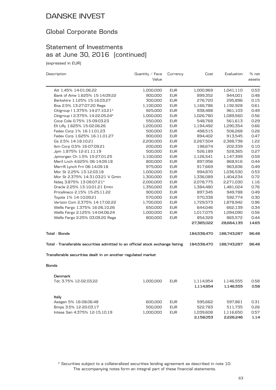### Global Corporate Bonds

### Statement of Investments as at June 30, 2016 (continued)

(expressed in EUR)

| Description                                                                    | Quantity / Face | Currency   | Cost        | Evaluation  | % net  |
|--------------------------------------------------------------------------------|-----------------|------------|-------------|-------------|--------|
|                                                                                | Value           |            |             |             | assets |
| Att 1.45% 14-01.06.22                                                          | 1,000,000       | <b>EUR</b> | 1,000,969   | 1,041,110   | 0.53   |
| Bank of Ame 1.625% 15-14.09.22                                                 | 900,000         | <b>EUR</b> | 899,352     | 944,001     | 0.48   |
| Berkshire 1.125% 15-16.03.27                                                   | 300,000         | <b>EUR</b> | 276,720     | 295,896     | 0.15   |
| Boa 2.5% 13-27.07.20 Regs                                                      | 1,100,000       | <b>EUR</b> | 1,166,786   | 1,192,928   | 0.61   |
| Citigroup   1.375% 14-27.10.21*                                                | 925,000         | <b>EUR</b> | 938,488     | 961,103     | 0.49   |
| Citigroup I 2.375% 14-22.05.24*                                                | 1,000,000       | <b>EUR</b> | 1,026,780   | 1,089,560   | 0.56   |
| Coca Cola 0.75% 15-09.03.23                                                    | 550,000         | <b>EUR</b> | 548,768     | 561,613     | 0.29   |
| Eli Lilly 1.625% 15-02.06.26                                                   | 1,200,000       | <b>EUR</b> | 1,194,492   | 1,290,354   | 0.66   |
| Fedex Corp 1% 16-11.01.23                                                      | 500,000         | <b>EUR</b> | 498,515     | 506,268     | 0.26   |
| Fedex Corp 1.625% 16-11.01.27                                                  | 900,000         | <b>EUR</b> | 894,402     | 913,545     | 0.47   |
| Gs 2.5% 14-18.10.21                                                            | 2,200,000       | <b>EUR</b> | 2,267,504   | 2,388,738   | 1.22   |
| Ibm Corp 0.5% 16-07.09.21                                                      | 200,000         | <b>EUR</b> | 198,674     | 202,339     | 0.10   |
| Jpm 1.875% 12-21.11.19                                                         | 500,000         | <b>EUR</b> | 526,189     | 528,365     | 0.27   |
| Jpmorgan Ch 1.5% 15-27.01.25                                                   | 1,100,000       | <b>EUR</b> | 1,126,541   | 1,147,399   | 0.59   |
| Meril Lnch 4.625% 06-14.09.18                                                  | 800,000         | <b>EUR</b> | 897,956     | 868,916     | 0.44   |
| Merrill Lynch Frn 06-14.09.18                                                  | 975,000         | <b>EUR</b> | 917,669     | 963,836     | 0.49   |
| Mor St 2.25% 13-12.03.18                                                       | 1,000,000       | <b>EUR</b> | 994,870     | 1,036,530   | 0.53   |
| Mor St 2.375% 14-31.03.21 V Gmtn                                               | 1,300,000       | <b>EUR</b> | 1,336,089   | 1,404,234   | 0.72   |
| Ndaq 3.875% 13-09.07.21*                                                       | 2,000,000       | <b>EUR</b> | 2,078,775   | 2,271,030   | 1.16   |
| Oracle 2.25% 13-10.01.21 Emtn                                                  | 1,350,000       | <b>EUR</b> | 1,384,480   | 1,481,024   | 0.76   |
| Pricelineco 2.15% 15-25.11.22                                                  | 900,000         | <b>EUR</b> | 897,345     | 949,788     | 0.49   |
| Toyota 1% 14-10.09.21                                                          | 570,000         | <b>EUR</b> | 570,338     | 592,774     | 0.30   |
| Verizon Com 2.375% 14-17.02.22                                                 | 1,700,000       | <b>EUR</b> | 1,729,573   | 1,878,942   | 0.96   |
| Wells Fargo 1.375% 16-26.10.26                                                 | 650,000         | <b>EUR</b> | 644,046     | 662,139     | 0.34   |
| Wells Fargo 2.125% 14-04.06.24                                                 | 1,000,000       | <b>EUR</b> | 1,017,075   | 1,094,090   | 0.56   |
| Wells Fargo 2.25% 03.09.20 Regs                                                | 800,000         | <b>EUR</b> | 854,328     | 865,572     | 0.44   |
|                                                                                |                 |            | 27,365,022  | 28,664,135  | 14.65  |
|                                                                                |                 |            |             |             |        |
| <b>Total - Bonds</b>                                                           |                 |            | 184,538,470 | 188,743,287 | 96.48  |
| Total - Transferable securities admitted to an official stock exchange listing |                 |            | 184,538,470 | 188,743,287 | 96.48  |
| Transferable securities dealt in on another regulated market                   |                 |            |             |             |        |
| <b>Bonds</b>                                                                   |                 |            |             |             |        |
| Denmark                                                                        |                 |            |             |             |        |
| Tdc 3.75% 12-02.03.22                                                          | 1,000,000       | <b>EUR</b> | 1,114,954   | 1,146,555   | 0.58   |
|                                                                                |                 |            | 1,114,954   | 1,146,555   | 0.58   |
| ltaly                                                                          |                 |            |             |             |        |
| Assgen 5% 16-08.06.48                                                          | 600,000         | <b>EUR</b> | 595,662     | 597,861     | 0.31   |
| Bmps 3.5% 12-20.03.17                                                          | 500,000         | <b>EUR</b> | 522,783     | 511,735     | 0.26   |
| Intesa San 4.375% 12-15.10.19                                                  | 1.000.000       | <b>EUR</b> | 1.039.608   | 1.116.650   | 0.57   |

The accompanying notes form an integral part of these financial statements. \* Securities subject to a collateralized securities lending agreement as described in note 10.

**2,158,053 2,226,246 1.14**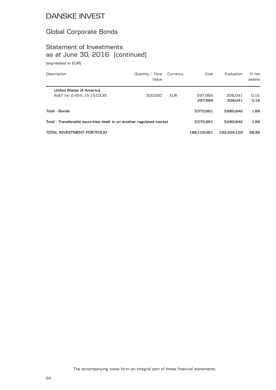### Global Corporate Bonds

# Statement of Investments as at June 30, 2016 (continued)

(expressed in EUR)

| Description                                                          | Quantity $\angle$ Face<br>Value | Currency   | Cost               | Evaluation         | % net<br>assets |
|----------------------------------------------------------------------|---------------------------------|------------|--------------------|--------------------|-----------------|
| United States of America<br>At&T Inc 2.45% 15-15.03.35               | 300,000                         | <b>EUR</b> | 297.984<br>297.984 | 308.041<br>308.041 | 0.16<br>0.16    |
| Total - Bonds                                                        |                                 |            | 3.570.991          | 3.680.842          | 1.88            |
| Total - Transferable securities dealt in on another regulated market |                                 | 3.570.991  | 3.680.842          | 1.88               |                 |
| TOTAL INVESTMENT PORTFOLIO                                           |                                 |            | 188.109.461        | 192.424.129        | 98.36           |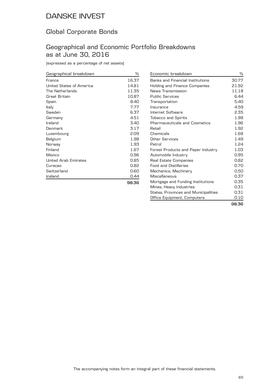### Global Corporate Bonds

#### Geographical and Economic Portfolio Breakdowns as at June 30, 2016

(expressed as a percentage of net assets)

| Geographical breakdown   | ℅     |
|--------------------------|-------|
| France                   | 16.37 |
| United States of America | 14.81 |
| The Netherlands          | 11.35 |
| Great Britain            | 10.87 |
| Spain                    | 8.40  |
| Italy                    | 7.77  |
| Sweden                   | 6.37  |
| Germany                  | 4.51  |
| Ireland                  | 3.40  |
| Denmark                  | 3.17  |
| Luxembourg               | 2.09  |
| Belgium                  | 1.98  |
| Norway                   | 1.93  |
| Finland                  | 1.67  |
| Mexico                   | 0.96  |
| United Arab Emirates     | 0.85  |
| Curaçao                  | 0.82  |
| Switzerland              | 0.60  |
| Iceland                  | 0.44  |
|                          | 98.36 |

| Economic breakdown                   | $\%$  |
|--------------------------------------|-------|
| Banks and Financial Institutions     | 30.77 |
| Holding and Finance Companies        | 21.92 |
| News Transmission                    | 11.18 |
| <b>Public Services</b>               | 6.44  |
| Transportation                       | 5.40  |
| Insurance                            | 4.59  |
| Internet Software                    | 2.35  |
| <b>Tobacco and Spirits</b>           | 1.98  |
| Pharmaceuticals and Cosmetics        | 1.96  |
| Retail                               | 1.92  |
| Chemicals                            | 1.68  |
| Other Services                       | 1.49  |
| Petrol                               | 1.24  |
| Forest Products and Paper Industry   | 1.03  |
| Automobile Industry                  | 0.95  |
| Real Estate Companies                | 0.82  |
| <b>Food and Distilleries</b>         | 0.70  |
| Mechanics, Machinery                 | 0.50  |
| Miscellaneous                        | 0.37  |
| Mortgage and Funding Institutions    | 0.35  |
| Mines, Heavy Industries              | 0.31  |
| States, Provinces and Municipalities | 0.31  |
| Office Equipment, Computers          | 0.10  |
|                                      | 98.36 |

65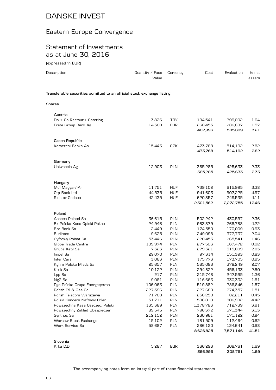# Eastern Europe Convergence

### Statement of Investments as at June 30, 2016

(expressed in EUR)

| Description                                                            | Quantity $\angle$ Face<br>Value | Currency   | Cost      | Evaluation | % net<br>assets |
|------------------------------------------------------------------------|---------------------------------|------------|-----------|------------|-----------------|
| Transferable securities admitted to an official stock exchange listing |                                 |            |           |            |                 |
| <b>Shares</b>                                                          |                                 |            |           |            |                 |
| Austria                                                                |                                 |            |           |            |                 |
| Do + Co Restaur + Catering                                             | 3,826                           | <b>TRY</b> | 194,541   | 299,002    | 1.64            |
| Erste Group Bank Ag                                                    | 14,360                          | <b>EUR</b> | 268,455   | 286,697    | 1.57            |
|                                                                        |                                 |            | 462,996   | 585,699    | 3.21            |
| Czech Republic                                                         |                                 |            |           |            |                 |
| Komercni Banka As                                                      | 15,443                          | CZK        | 473,768   | 514,192    | 2.82            |
|                                                                        |                                 |            | 473,768   | 514,192    | 2.82            |
| Germany                                                                |                                 |            |           |            |                 |
| Uniwheels Ag                                                           | 12,903                          | <b>PLN</b> | 365,285   | 425,633    | 2.33            |
|                                                                        |                                 |            | 365,285   | 425,633    | 2.33            |
| Hungary                                                                |                                 |            |           |            |                 |
| Mol Magyar/-A-                                                         | 11,751                          | <b>HUF</b> | 739,102   | 615,995    | 3.38            |
| Otp Bank Ltd                                                           | 44,535                          | <b>HUF</b> | 941,603   | 907,225    | 4.97            |
| Richter Gedeon                                                         | 42,435                          | <b>HUF</b> | 620,857   | 749,535    | 4.11            |
|                                                                        |                                 |            | 2,301,562 | 2,272,755  | 12.46           |
| Poland                                                                 |                                 |            |           |            |                 |
| Asseco Poland Sa                                                       | 36,615                          | <b>PLN</b> | 502,242   | 430,597    | 2.36            |
| Bk Polska Kasa Opieki Pekao                                            | 24,946                          | <b>PLN</b> | 983,879   | 768,788    | 4.22            |
| Bre Bank Sa                                                            | 2,449                           | <b>PLN</b> | 174,550   | 170,009    | 0.93            |
| <b>Budimex</b>                                                         | 9,625                           | <b>PLN</b> | 249,098   | 372,737    | 2.04            |
| Cyfrowy Polsat Sa                                                      | 53,446                          | <b>PLN</b> | 220,453   | 265,541    | 1.46            |
| Globe Trade Centre                                                     | 109,974                         | <b>PLN</b> | 277,506   | 167,472    | 0.92            |
| Grupa Kety Sa                                                          | 7,323                           | <b>PLN</b> | 279,321   | 515,889    | 2.83            |
| Impel Sa                                                               | 29,070                          | <b>PLN</b> | 97,314    | 151,393    | 0.83            |
| Inter Cars                                                             | 3,063                           | <b>PLN</b> | 175,776   | 173,705    | 0.95            |
| Kghm Polska Miedz Sa                                                   | 25,657                          | <b>PLN</b> | 565,083   | 378,249    | 2.07            |
| Kruk Sa                                                                | 10,122                          | <b>PLN</b> | 294,822   | 456,133    | 2.50            |
| Lpp Sa                                                                 | 217                             | <b>PLN</b> | 215,748   | 247,595    | 1.36            |
| Ng2 Sa                                                                 | 9,081                           | PLN        | 116,663   | 330,332    | 1.81            |
| Pge Polska Grupa Energetyczna                                          | 106,063                         | <b>PLN</b> | 519,882   | 286,846    | 1.57            |
| Polish Oil & Gas Co                                                    | 227,396                         | PLN        | 227,680   | 274,357    | 1.51            |
| Polish Telecom Warszawa                                                | 71,768                          | PLN        | 256,250   | 82,211     | 0.45            |
| Polski Koncern Naftowy Orlen                                           | 51,711                          | <b>PLN</b> | 596,810   | 806,982    | 4.42            |
| Powszechna Kasa Oszczed. Polski                                        | 135,389                         | PLN        | 1,378,786 | 712,739    | 3.91            |
| Powszechny Zaklad Ubezpieczen                                          | 89,545                          | <b>PLN</b> | 796,372   | 571,344    | 3.13            |
| Synthos Sa                                                             | 212,152                         | <b>PLN</b> | 230,961   | 171,122    | 0.94            |
| Warsaw Stock Exchange                                                  | 15,102                          | PLN        | 181,509   | 112,464    | 0.62            |
| Work Service Sa                                                        | 58,687                          | PLN        | 286,120   | 124,641    | 0.68            |
|                                                                        |                                 |            | 8,626,825 | 7,571,146  | 41.51           |
| Slovenia                                                               |                                 |            |           |            |                 |
| Krka D.D.                                                              | 5,287                           | <b>EUR</b> | 366,296   | 308,761    | 1.69            |
|                                                                        |                                 |            | 366,296   | 308,761    | 1.69            |

The accompanying notes form an integral part of these financial statements.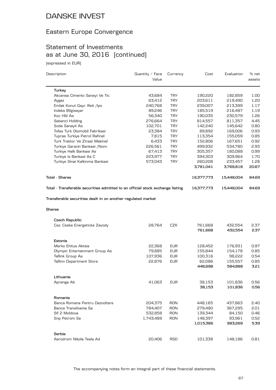# Eastern Europe Convergence

# Statement of Investments as at June 30, 2016 (continued)

(expressed in EUR)

| Description                                                                    | Quantity / Face | Currency   | Cost       | Evaluation | % net  |
|--------------------------------------------------------------------------------|-----------------|------------|------------|------------|--------|
|                                                                                | Value           |            |            |            | assets |
| Turkey                                                                         |                 |            |            |            |        |
| Akcansa Cimento Sanayi Ve Tic                                                  | 43,684          | <b>TRY</b> | 190,220    | 182,859    | 1.00   |
| Aygaz                                                                          | 63,412          | <b>TRY</b> | 203,611    | 219,490    | 1.20   |
| Emlak Konut Gayr. Reit /lpo                                                    | 240,768         | <b>TRY</b> | 239,007    | 213,399    | 1.17   |
| Indeks Bilgisayar                                                              | 89,246          | <b>TRY</b> | 185,519    | 216,487    | 1.19   |
| Koc Hld As                                                                     | 56,340          | <b>TRY</b> | 190,035    | 230,579    | 1.26   |
| Sabanci Holding                                                                | 276,664         | <b>TRY</b> | 814,557    | 811,357    | 4.45   |
| Soda Sanayii As                                                                | 102,701         | <b>TRY</b> | 142,240    | 145,642    | 0.80   |
| Tofas Turk Otomobil Fabrikasi                                                  | 23,384          | <b>TRY</b> | 89,892     | 169,006    | 0.93   |
| Tupras Turkiye Petrol Rafinel                                                  | 7,815           | <b>TRY</b> | 113,354    | 155,059    | 0.85   |
| Turk Traktor Ve Ziraat Makinel                                                 | 6,433           | <b>TRY</b> | 152,806    | 167,651    | 0.92   |
| Turkiye Garanti Bankasi / Nom.                                                 | 226,561         | <b>TRY</b> | 499,932    | 534,780    | 2.93   |
| Turkiye Halk Bankasi As                                                        | 67,413          | <b>TRY</b> | 305,357    | 180,088    | 0.99   |
| Turkiye Is Bankasi As C                                                        | 223,977         | <b>TRY</b> | 394,303    | 309,964    | 1.70   |
| Turkiye Sinai Kalkinma Bankasi                                                 | 573,043         | <b>TRY</b> | 260,208    | 233,457    | 1.28   |
|                                                                                |                 |            | 3,781,041  | 3,769,818  | 20.67  |
| <b>Total - Shares</b>                                                          |                 |            | 16,377,773 | 15,448,004 | 84.69  |
| Total - Transferable securities admitted to an official stock exchange listing |                 |            | 16,377,773 | 15,448,004 | 84.69  |
| Shares                                                                         |                 |            |            |            |        |
| Czech Republic                                                                 |                 |            |            |            |        |
| Cez. Ceske Energeticke Zavody                                                  | 28,764          | CZK        | 761,668    | 432,554    | 2.37   |
|                                                                                |                 |            | 761,668    | 432,554    | 2.37   |
| Estonia                                                                        |                 |            |            |            |        |
| Merko Ehitus Aktsia                                                            | 22,368          | <b>EUR</b> | 128,452    | 176,931    | 0.97   |
| Olympic Entertainment Group As                                                 | 79,885          | <b>EUR</b> | 155,844    | 154,178    | 0.85   |
| Tallink Group As                                                               | 107,936         | <b>EUR</b> | 100,316    | 98,222     | 0.54   |
| Tallinn Department Store                                                       | 22,876          | <b>EUR</b> | 62,086     | 155,557    | 0.85   |
|                                                                                |                 |            | 446,698    | 584,888    | 3.21   |
| Lithuania                                                                      |                 |            |            |            |        |
| Apranga Ab                                                                     | 41,063          | <b>EUR</b> | 38,153     | 101,836    | 0.56   |
|                                                                                |                 |            | 38,153     | 101,836    | 0.56   |
| Romania                                                                        |                 |            |            |            |        |
| Banca Romana Pentru Dezvoltare                                                 | 204,375         | <b>RON</b> | 448,165    | 437,863    | 2.40   |
| Banca Transilvania Sa                                                          | 784,407         | <b>RON</b> | 279,480    | 367,295    | 2.01   |
| Sif 2 Moldova                                                                  | 532,858         | <b>RON</b> | 139,344    | 84,150     | 0.46   |
| Snp Petrom Sa                                                                  | 1,743,489       | <b>RON</b> | 148,397    | 93,961     | 0.52   |
|                                                                                |                 |            | 1,015,386  | 983,269    | 5.39   |
| Serbia                                                                         |                 |            |            |            |        |
| Aerodrom Nikola Tesla Ad                                                       | 20,406          | <b>RSD</b> | 101,338    | 148,186    | 0.81   |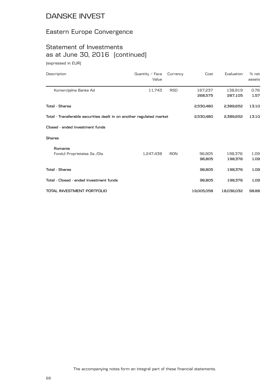### Eastern Europe Convergence

# Statement of Investments as at June 30, 2016 (continued)

(expressed in EUR)

| Description                                                          | Quantity / Face<br>Value | Currency   | Cost       | Evaluation | % net<br>assets |
|----------------------------------------------------------------------|--------------------------|------------|------------|------------|-----------------|
| Komercijalna Banka Ad                                                | 11,743                   | <b>RSD</b> | 167,237    | 138,919    | 0.76            |
|                                                                      |                          |            | 268,575    | 287,105    | 1.57            |
| Tota1 - Shares                                                       |                          |            | 2,530,480  | 2,389,652  | 13.10           |
| Total - Transferable securities dealt in on another regulated market |                          |            | 2,530,480  | 2,389,652  | 13.10           |
| Closed - ended investment funds                                      |                          |            |            |            |                 |
| Shares                                                               |                          |            |            |            |                 |
| Romania                                                              |                          |            |            |            |                 |
| Fondul Proprietatea Sa /Dis                                          | 1,247,438                | <b>RON</b> | 96,805     | 198,376    | 1.09            |
|                                                                      |                          |            | 96,805     | 198,376    | 1.09            |
| Total - Shares                                                       |                          |            | 96,805     | 198,376    | 1.09            |
| Total - Closed - ended investment funds                              |                          |            | 96,805     | 198,376    | 1.09            |
| TOTAL INVESTMENT PORTFOLIO                                           |                          |            | 19,005,058 | 18,036,032 | 98.88           |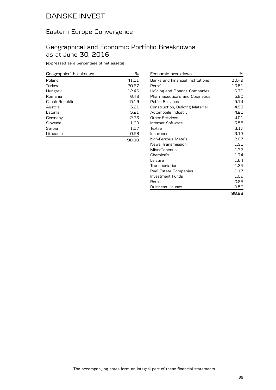### Eastern Europe Convergence

#### Geographical and Economic Portfolio Breakdowns as at June 30, 2016

(expressed as a percentage of net assets)

| Geographical breakdown | ℅     |
|------------------------|-------|
| Poland                 | 41.51 |
| Turkey                 | 20.67 |
| Hungary                | 12.46 |
| Romania                | 6.48  |
| Czech Republic         | 5.19  |
| Austria                | 3.21  |
| Estonia                | 3.21  |
| Germany                | 2.33  |
| Slovenia               | 1.69  |
| Serbia                 | 1.57  |
| Lithuania              | 0.56  |
|                        | 98.88 |

| Economic breakdown                   | %     |
|--------------------------------------|-------|
| Banks and Financial Institutions     | 30.49 |
| Petrol                               | 13.51 |
| Holding and Finance Companies        | 6.79  |
| <b>Pharmaceuticals and Cosmetics</b> | 5.80  |
| <b>Public Services</b>               | 5.14  |
| Construction, Building Material      | 4.93  |
| Automobile Industry                  | 4.21  |
| Other Services                       | 4.01  |
| Internet Software                    | 3.55  |
| Textile                              | 3.17  |
| Insurance                            | 3.13  |
| Non-Ferrous Metals                   | 2.07  |
| News Transmission                    | 1.91  |
| Miscellaneous                        | 1.77  |
| Chemicals                            | 1.74  |
| Leisure                              | 1.64  |
| Transportation                       | 1.35  |
| Real Estate Companies                | 1.17  |
| Investment Funds                     | 1.09  |
| Retail                               | 0.85  |
| <b>Business Houses</b>               | 0.56  |
|                                      | 98.88 |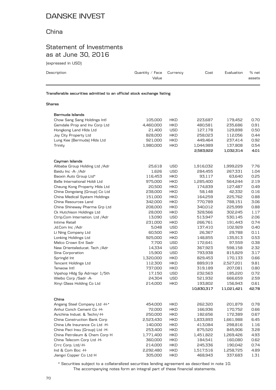#### China

### Statement of Investments as at June 30, 2016

(expressed in USD)

| Description                                                            | Quantity / Face $C$ urrency<br>Value | Cost | Evaluation | % net<br>assets |
|------------------------------------------------------------------------|--------------------------------------|------|------------|-----------------|
| Transferable securities admitted to an official stock exchange listing |                                      |      |            |                 |

#### **Shares**

| Bermuda Islands                 |           |            |            |            |       |
|---------------------------------|-----------|------------|------------|------------|-------|
| Chow Sang Sang Holdings Intl    | 105,000   | <b>HKD</b> | 223,687    | 179,452    | 0.70  |
| Gemdale Prop and Inv Corp Ltd   | 4,460,000 | <b>HKD</b> | 480,581    | 235,686    | 0.91  |
| Hongkong Land Hids Ltd          | 21,400    | <b>USD</b> | 127,178    | 129,898    | 0.50  |
| Joy City Property Ltd           | 828,000   | <b>HKD</b> | 258,023    | 112,056    | 0.44  |
| Lung Kee (Bermuda) Hids Ltd     | 921,000   | <b>HKD</b> | 449,464    | 237,414    | 0.92  |
| Trinity                         | 1,980,000 | <b>HKD</b> | 1,044,989  | 137,808    | 0.54  |
|                                 |           |            | 2,583,922  | 1,032,314  | 4.01  |
| Cayman Islands                  |           |            |            |            |       |
| Alibaba Group Holding Ltd / Adr | 25,618    | <b>USD</b> | 1,916,032  | 1,999,229  | 7.76  |
| Baidu Inc -A- /Adr              | 1,626     | <b>USD</b> | 284,455    | 267,331    | 1.04  |
| Baoxin Auto Group Ltd*          | 116,453   | <b>HKD</b> | 93,117     | 63,640     | 0.25  |
| Belle International Holdi Ltd   | 975,000   | <b>HKD</b> | 1,285,400  | 564,244    | 2.19  |
|                                 |           |            |            |            |       |
| Cheung Kong Property Hids Ltd   | 20,500    | <b>HKD</b> | 174,839    | 127,487    | 0.49  |
| China Dongxiang (Group) Co Ltd  | 238,000   | <b>HKD</b> | 58,148     | 42,332     | 0.16  |
| China Medical System Holdings   | 151,000   | <b>HKD</b> | 164,259    | 225,762    | 0.88  |
| China Resources Land            | 342,000   | <b>HKD</b> | 770,789    | 788,151    | 3.06  |
| China Shineway Pharma Grp Ltd   | 208,000   | <b>HKD</b> | 340,012    | 225,999    | 0.88  |
| Ck Hutchison Holdings Ltd       | 28,000    | <b>HKD</b> | 328,566    | 302,245    | 1.17  |
| Ctrip.Com Internation. Ltd /Adr | 13,090    | <b>USD</b> | 513,947    | 530,145    | 2.06  |
| Intime Retail                   | 231,000   | <b>HKD</b> | 266,761    | 191,443    | 0.74  |
| Jd.Com Inc /Adr                 | 5,048     | <b>USD</b> | 137,410    | 102,929    | 0.40  |
| Li Ning Company Ltd             | 60,500    | <b>HKD</b> | 26,367     | 29,788     | 0.11  |
| Lonking Holdings Ltd            | 925,000   | <b>HKD</b> | 148,855    | 135,913    | 0.53  |
| Melco Crown Ent Sadr            | 7,700     | <b>USD</b> | 172,641    | 97,559     | 0.38  |
| New Orientaleducat. Tech / Adr  | 14,334    | <b>USD</b> | 367,923    | 598,158    | 2.32  |
| Sina Corporation                | 15,900    | <b>USD</b> | 793,938    | 815,829    | 3.17  |
| Springld Int                    | 1,320,000 | <b>HKD</b> | 829,453    | 170,133    | 0.66  |
| Tencent Holdings Ltd            | 112,300   | <b>HKD</b> | 889,919    | 2,527,201  | 9.81  |
| Tenwow Intl                     | 737,000   | <b>HKD</b> | 319,189    | 207,081    | 0.80  |
| Vipshop Hldg Sp Adrrepr 1/5th   | 17,150    | <b>USD</b> | 232,563    | 185,220    | 0.72  |
| Weibo Corp / Sadr - A-          | 24,304    | <b>USD</b> | 521,932    | 666,659    | 2.59  |
| Xinyi Glass Holding Co Ltd      | 214,000   | <b>HKD</b> | 193,802    | 156,943    | 0.61  |
|                                 |           |            | 10,830,317 | 11,021,421 | 42.78 |
|                                 |           |            |            |            |       |
| China                           |           |            |            |            |       |
| Angang Steel Company Ltd -H-*   | 454,000   | <b>HKD</b> | 262,320    | 201,879    | 0.78  |
| Anhui Conch Cement Co -H-       | 72,000    | <b>HKD</b> | 166,936    | 170,752    | 0.66  |
| Avichina Indust. & Techn/-H-    | 250,000   | <b>HKD</b> | 182,656    | 172,389    | 0.67  |
| China Construction Bank Corp    | 2,523,430 | <b>HKD</b> | 1,833,893  | 1,661,988  | 6.45  |
| China Life Insurance Co Ltd -H- | 140,000   | <b>HKD</b> | 413,084    | 298,816    | 1.16  |
| China Paci Insu (Group) Ltd -H- | 253,400   | <b>HKD</b> | 875,520    | 845,906    | 3.28  |
| China Petroleum & Chem Corp H   | 1,771,400 | <b>HKD</b> | 1,451,822  | 1,269,426  | 4.93  |
| China Telecom Corp Ltd -H-      | 360,000   | <b>HKD</b> | 184,541    | 160,080    | 0.62  |
| Crrc Corp. Ltd/-H-              | 214,000   | <b>HKD</b> | 245,336    | 190,042    | 0.74  |
| Ind & Com Boc -H-               | 2,292,480 | <b>HKD</b> | 1,517,516  | 1,258,725  | 4.89  |
| Jiangxi Copper Co Ltd H         | 305,000   | <b>HKD</b> | 468,943    | 337,683    | 1.31  |
|                                 |           |            |            |            |       |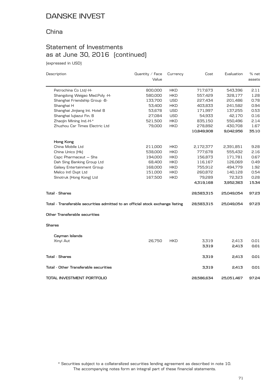### China

### Statement of Investments as at June 30, 2016 (continued)

(expressed in USD)

| Description                                                                    | Quantity / Face<br>Value | Currency   | Cost       | Evaluation | % net<br>assets |
|--------------------------------------------------------------------------------|--------------------------|------------|------------|------------|-----------------|
|                                                                                |                          |            |            |            |                 |
| Petrochina Co Ltd/-H-                                                          | 800,000                  | <b>HKD</b> | 717,673    | 543,396    | 2.11            |
| Shangdong Weigao Med.Poly -H-                                                  | 580,000                  | <b>HKD</b> | 557,429    | 328,177    | 1.28            |
| Shanghai Friendship Group -B-                                                  | 133,700                  | <b>USD</b> | 227,434    | 201,486    | 0.78            |
| Shanghai H                                                                     | 53,400                   | <b>HKD</b> | 403,833    | 241,582    | 0.94            |
| Shanghai Jinjiang Int. Hotel B                                                 | 53,678                   | <b>USD</b> | 171,997    | 137,255    | 0.53            |
| Shanghai lujiazui Fin. B                                                       | 27,084                   | <b>USD</b> | 54,933     | 42,170     | 0.16            |
| Zhaojin Mining Ind.-H-*                                                        | 521,500                  | <b>HKD</b> | 835,150    | 550,496    | 2.14            |
| Zhuzhou Csr Times Electric Ltd                                                 | 79,000                   | <b>HKD</b> | 278,892    | 430,708    | 1.67            |
|                                                                                |                          |            | 10,849,908 | 9,042,956  | 35.10           |
| Hong Kong                                                                      |                          |            |            |            |                 |
| China Mobile Ltd                                                               | 211,000                  | <b>HKD</b> | 2,172,377  | 2,391,851  | 9.28            |
| China Unico [Hk]                                                               | 538,000                  | <b>HKD</b> | 777,678    | 555,432    | 2.16            |
| Cspc Pharmaceut - Shs                                                          | 194,000                  | <b>HKD</b> | 156,873    | 171,781    | 0.67            |
| Dah Sing Banking Group Ltd                                                     | 68,400                   | <b>HKD</b> | 116,167    | 126,069    | 0.49            |
| Galaxy Entertainment Group                                                     | 168,000                  | <b>HKD</b> | 755,912    | 494,779    | 1.92            |
| Melco Intl Dvpt Ltd                                                            | 151,000                  | <b>HKD</b> | 260,872    | 140,128    | 0.54            |
| Sinotruk (Hong Kong) Ltd                                                       | 167,500                  | <b>HKD</b> | 79,289     | 72,323     | 0.28            |
|                                                                                |                          |            | 4,319,168  | 3,952,363  | 15.34           |
| Total - Shares                                                                 |                          |            | 28,583,315 | 25,049,054 | 97.23           |
| Total - Transferable securities admitted to an official stock exchange listing |                          |            | 28,583,315 | 25,049,054 | 97.23           |
| Other Transferable securities                                                  |                          |            |            |            |                 |
| <b>Shares</b>                                                                  |                          |            |            |            |                 |
| Cayman Islands                                                                 |                          |            |            |            |                 |
| Xinyi Aut                                                                      | 26,750                   | <b>HKD</b> | 3,319      | 2,413      | 0.01            |
|                                                                                |                          |            | 3,319      | 2,413      | 0.01            |
| <b>Total - Shares</b>                                                          |                          |            | 3,319      | 2,413      | 0.01            |
| Total - Other Transferable securities                                          |                          |            | 3,319      | 2,413      | 0.01            |
| TOTAL INVESTMENT PORTFOLIO                                                     |                          |            | 28,586,634 | 25,051,467 | 97.24           |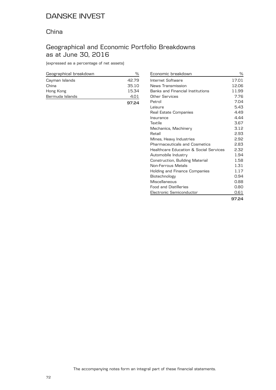#### China

### Geographical and Economic Portfolio Breakdowns as at June 30, 2016

(expressed as a percentage of net assets)

| Geographical breakdown |       |
|------------------------|-------|
| Cayman Islands         | 42.79 |
| China                  | 35.10 |
| Hong Kong              | 15.34 |
| Bermuda Islands        | 4.O1  |
|                        | 97.24 |

| Economic breakdown                     | %     |
|----------------------------------------|-------|
| Internet Software                      | 17.01 |
| News Transmission                      | 12.06 |
| Banks and Financial Institutions       | 11.99 |
| Other Services                         | 7.76  |
| Petrol                                 | 7.04  |
| Leisure                                | 5.43  |
| Real Estate Companies                  | 4.49  |
| Insurance                              | 4.44  |
| Textile                                | 3.67  |
| Mechanics, Machinery                   | 3.12  |
| Retail                                 | 2.93  |
| Mines, Heavy Industries                | 2.92  |
| Pharmaceuticals and Cosmetics          | 2.83  |
| Healthcare Education & Social Services | 2.32  |
| Automobile Industry                    | 1.94  |
| Construction, Building Material        | 1.58  |
| Non-Ferrous Metals                     | 1.31  |
| Holding and Finance Companies          | 1.17  |
| Biotechnology                          | 0.94  |
| Miscellaneous                          | 0.88  |
| <b>Food and Distilleries</b>           | 0.80  |
| Electronic Semiconductor               | 0.61  |
|                                        | 97.24 |

The accompanying notes form an integral part of these financial statements.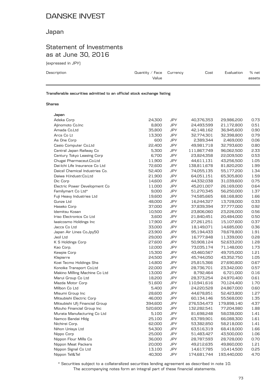### Japan

### Statement of Investments as at June 30, 2016

(expressed in JPY)

| Description | Quantity / Face $C$ urrency<br>Value | Cost | Evaluation | % net<br>assets |
|-------------|--------------------------------------|------|------------|-----------------|
|             |                                      |      |            |                 |

**Transferable securities admitted to an official stock exchange listing**

#### **Shares**

| 24,300  | <b>JPY</b>                                               | 40,376,353                                                                                                          | 29,986,200                                                          | 0.73                                                  |
|---------|----------------------------------------------------------|---------------------------------------------------------------------------------------------------------------------|---------------------------------------------------------------------|-------------------------------------------------------|
| 8,800   | <b>JPY</b>                                               | 24,493,599                                                                                                          | 21,172,800                                                          | 0.51                                                  |
| 35,800  | <b>JPY</b>                                               | 42,148,162                                                                                                          | 36,945,600                                                          | 0.90                                                  |
| 13,300  | <b>JPY</b>                                               | 32,774,301                                                                                                          | 32,398,800                                                          | 0.79                                                  |
| 600     | <b>JPY</b>                                               | 2,389,344                                                                                                           | 2,469,000                                                           | 0.06                                                  |
| 22,400  | JPY                                                      | 49,981,718                                                                                                          | 32,793,600                                                          | 0.80                                                  |
| 5,300   | <b>JPY</b>                                               | 111,867,749                                                                                                         | 96,062,500                                                          | 2.33                                                  |
| 6,700   | <b>JPY</b>                                               | 23,824,358                                                                                                          | 22,009,500                                                          | 0.53                                                  |
| 11,900  | <b>JPY</b>                                               | 44,611,131                                                                                                          | 43,256,500                                                          | 1.05                                                  |
| 72,600  | <b>JPY</b>                                               | 138,811,678                                                                                                         | 81,820,200                                                          | 1.99                                                  |
| 52,400  | <b>JPY</b>                                               | 74,055,135                                                                                                          | 55,177,200                                                          | 1.34                                                  |
| 21,900  | JPY                                                      | 64,051,151                                                                                                          | 65,305,800                                                          | 1.59                                                  |
| 14,600  | <b>JPY</b>                                               | 44,332,038                                                                                                          | 31,039,600                                                          | 0.75                                                  |
| 11,000  | <b>JPY</b>                                               | 45,201,007                                                                                                          | 26,169,000                                                          | 0.64                                                  |
| 9,000   | <b>JPY</b>                                               | 51,270,345                                                                                                          | 56,250,000                                                          | 1.37                                                  |
| 19,600  | <b>JPY</b>                                               | 74,585,665                                                                                                          | 68,168,800                                                          | 1.66                                                  |
| 48,000  | <b>JPY</b>                                               | 16,244,327                                                                                                          | 13,728,000                                                          | 0.33                                                  |
| 37,000  | JPY                                                      | 37,839,394                                                                                                          | 37,777,000                                                          | 0.92                                                  |
| 10,500  | JPY                                                      | 23,806,060                                                                                                          | 23,226,000                                                          | 0.56                                                  |
| 3,600   | <b>JPY</b>                                               | 21,840,451                                                                                                          | 20,484,000                                                          | 0.50                                                  |
| 17,900  | <b>JPY</b>                                               | 27,261,251                                                                                                          | 15,107,600                                                          | 0.37                                                  |
| 33,000  | <b>JPY</b>                                               | 18,149,071                                                                                                          | 14,685,000                                                          | 0.36                                                  |
| 23,900  | <b>JPY</b>                                               | 95,194,433                                                                                                          | 78,678,800                                                          | 1.91                                                  |
| 29,000  | JPY                                                      | 16,777,848                                                                                                          | 11,339,000                                                          | 0.28                                                  |
| 27,600  | <b>JPY</b>                                               | 50,908,124                                                                                                          | 52,633,200                                                          | 1.28                                                  |
| 12,000  | <b>JPY</b>                                               | 73,035,174                                                                                                          | 71,148,000                                                          | 1.73                                                  |
| 15,300  | <b>JPY</b>                                               | 43,460,567                                                                                                          | 49,725,000                                                          | 1.21                                                  |
| 24,500  | <b>JPY</b>                                               | 45,744,050                                                                                                          | 43,352,750                                                          | 1.05                                                  |
| 14,800  | <b>JPY</b>                                               | 25,815,366                                                                                                          | 27,690,800                                                          | 0.67                                                  |
|         | <b>JPY</b>                                               | 28,736,701                                                                                                          | 23,342,000                                                          | 0.57                                                  |
| 13,000  | JPY                                                      | 8,792,464                                                                                                           | 6,721,000                                                           | 0.16                                                  |
| 18,200  | <b>JPY</b>                                               | 28,373,254                                                                                                          | 24,970,400                                                          | 0.61                                                  |
| 51,600  | <b>JPY</b>                                               | 110,941,616                                                                                                         | 70,124,400                                                          | 1.70                                                  |
| 5,400   |                                                          | 24,220,528                                                                                                          | 24,867,000                                                          | 0.60                                                  |
| 28,600  | <b>JPY</b>                                               | 44,678,851                                                                                                          | 52,423,800                                                          | 1.27                                                  |
|         |                                                          | 60,134,146                                                                                                          | 55,568,000                                                          | 1.35                                                  |
| 394,600 | JPY                                                      | 276,534,473                                                                                                         | 179,898,140                                                         | 4.37                                                  |
| 520,600 |                                                          | 132,282,541                                                                                                         | 77,204,980                                                          | 1.88                                                  |
| 5,100   |                                                          | 81,698,248                                                                                                          | 58,038,000                                                          | 1.41                                                  |
| 25,100  |                                                          |                                                                                                                     | 66,088,300                                                          | 1.61                                                  |
|         |                                                          |                                                                                                                     |                                                                     | 1.41                                                  |
|         |                                                          |                                                                                                                     |                                                                     | 1.66                                                  |
|         |                                                          |                                                                                                                     |                                                                     | 1.06                                                  |
| 36,000  | JPY                                                      | 28,787,593                                                                                                          | 28,728,000                                                          | 0.70                                                  |
| 20,000  | <b>JPY</b>                                               | 49,212,635                                                                                                          | 49,860,000                                                          | 1.21                                                  |
| 13,100  |                                                          | 14,617,785                                                                                                          | 10,414,500                                                          | 0.25                                                  |
|         |                                                          |                                                                                                                     |                                                                     | 4.70                                                  |
|         | 22,000<br>46,000<br>62,000<br>54,300<br>25,000<br>40,300 | <b>JPY</b><br><b>JPY</b><br><b>JPY</b><br><b>JPY</b><br>JPY<br><b>JPY</b><br><b>JPY</b><br>JPY<br>JPY<br><b>JPY</b> | 63,789,901<br>53,382,850<br>63,516,319<br>51,483,427<br>174,681,744 | 58,218,000<br>68,418,000<br>43,500,000<br>193,440,000 |

The accompanying notes form an integral part of these financial statements. \* Securities subject to a collateralized securities lending agreement as described in note 10.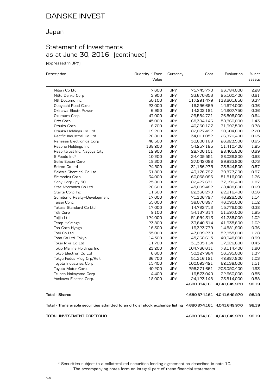### Japan

### Statement of Investments as at June 30, 2016 (continued)

(expressed in JPY)

| Description                                                                                                | Quantity $\angle$ Face | Currency   | Cost        | Evaluation                  | % net  |
|------------------------------------------------------------------------------------------------------------|------------------------|------------|-------------|-----------------------------|--------|
|                                                                                                            | Value                  |            |             |                             | assets |
| Nitori Co Ltd                                                                                              | 7,600                  | JPY        | 75,745,770  | 93,784,000                  | 2.28   |
| Nitto Denko Corp                                                                                           | 3,900                  | JPY        | 33,670,653  | 25,100,400                  | 0.61   |
| Ntt Docomo Inc                                                                                             | 50,100                 | JPY        | 117,291,479 | 138,601,650                 | 3.37   |
| Obayashi Road Corp.                                                                                        | 23,000                 | JPY        | 16,296,669  | 14,674,000                  | 0.36   |
| Okinawa Electr. Power                                                                                      | 6,950                  | <b>JPY</b> | 14,202,181  | 14,907,750                  | 0.36   |
| Okumura Corp.                                                                                              | 47,000                 | <b>JPY</b> | 29,584,721  | 26,508,000                  | 0.64   |
| Orix Corp                                                                                                  | 45,000                 | <b>JPY</b> | 68,394,146  | 58,860,000                  | 1.43   |
| Otsuka Corp                                                                                                | 6,700                  | JPY        | 40,260,127  | 31,992,500                  | 0.78   |
| Otsuka Holdings Co Ltd                                                                                     | 19,200                 | JPY        | 82,077,492  | 90,604,800                  | 2.20   |
| Pacific Industrial Co Ltd                                                                                  | 28,800                 | JPY        | 34,011,052  | 26,870,400                  | 0.65   |
| Renesas Electronics Corp                                                                                   | 46,500                 | <b>JPY</b> | 30,600,169  | 26,923,500                  | 0.65   |
| Resona Holdings Inc                                                                                        | 138,200                | <b>JPY</b> | 54,257,185  | 51,410,400                  | 1.25   |
| Resorttrust Inc. Nagoya City                                                                               | 12,900                 | JPY        | 28,700,101  | 28,405,800                  | 0.69   |
| S Foods Inc*                                                                                               | 10,200                 | JPY        | 24,409,551  | 28,039,800                  | 0.68   |
| Seiko Epson Corp                                                                                           | 18,300                 | JPY        | 37,042,088  | 29,883,900                  | 0.73   |
| Seiren Co Ltd                                                                                              | 24,500                 | JPY        | 31,186,275  | 23,544,500                  | 0.57   |
| Sekisui Chemical Co Ltd                                                                                    | 31,800                 | <b>JPY</b> | 43,176,797  | 39,877,200                  | 0.97   |
| Shimadzu Corp                                                                                              | 34,000                 | <b>JPY</b> | 60,068,096  | 51,816,000                  | 1.26   |
| Sony Corp Jpy 50                                                                                           | 25,800                 | <b>JPY</b> | 82,427,671  | 77,090,400                  | 1.87   |
| Star Micronics Co Ltd                                                                                      | 26,600                 | <b>JPY</b> | 45,009,482  | 28,488,600                  | 0.69   |
| Starts Corp Inc                                                                                            | 11,300                 | JPY        | 22,366,270  | 22,916,400                  | 0.56   |
| Sumitomo Realty+Development                                                                                | 17,000                 | JPY        | 71,306,797  | 46,826,500                  | 1.14   |
| Taisei Corp.                                                                                               | 55,000                 | <b>JPY</b> | 39,070,897  | 46,090,000                  | 1.12   |
| Takara Standard Co Ltd                                                                                     | 17,000                 | <b>JPY</b> | 14,722,713  | 15,776,000                  | 0.38   |
| Tdk Corp                                                                                                   | 9,100                  | <b>JPY</b> | 54,137,314  | 51,597,000                  | 1.25   |
| Teijin Ltd                                                                                                 | 124,000                | <b>JPY</b> | 51,954,313  | 41,788,000                  | 1.02   |
| Temp Holdings                                                                                              | 23,800                 | JPY        | 33,640,514  | 41,935,600                  | 1.02   |
| Toa Corp Hyogo                                                                                             | 16,300                 | JPY        | 19,323,779  | 14,881,900                  | 0.36   |
| Toei Co Ltd                                                                                                | 55,000                 | <b>JPY</b> | 47,089,238  | 52,855,000                  | 1.28   |
| Toho Co Ltd .Tokyo                                                                                         | 14,500                 | <b>JPY</b> | 45,268,615  | 40,948,000                  | 0.99   |
| Tokai Rika Co Ltd                                                                                          | 11,700                 | JPY        | 31,395,114  | 17,526,600                  | 0.43   |
| Tokio Marine Holdings Inc                                                                                  | 23,200                 | JPY        | 104,766,611 | 78,114,400                  | 1.90   |
| Tokyo Electron Co Ltd                                                                                      | 6,600                  | JPY        | 50,327,964  | 56,595,000                  | 1.37   |
| Tokyu Fudos HIdg Crp/Reit                                                                                  | 66,700                 | JPY        | 51,316,121  | 42,287,800                  | 1.03   |
| Toyota Industries Corp                                                                                     | 15,400                 | <b>JPY</b> | 100,093,421 | 62,139,000                  | 1.51   |
| Toyota Motor Corp.                                                                                         | 40,200                 | <b>JPY</b> | 298,271,661 | 203,090,400                 | 4.93   |
| Trusco Nakayama Corp                                                                                       | 4,400                  | <b>JPY</b> | 16,573,040  | 22,660,000                  | 0.55   |
| Yaskawa Electric Corp.                                                                                     | 18,000                 | <b>JPY</b> | 24,123,148  | 23,814,000                  | 0.58   |
|                                                                                                            |                        |            |             | 4,680,874,161 4,041,649,970 | 98.19  |
| <b>Total - Shares</b>                                                                                      |                        |            |             | 4,680,874,161 4,041,649,970 | 98.19  |
| Total - Transferable securities admitted to an official stock exchange listing 4,680,874,161 4,041,649,970 |                        |            |             |                             | 98.19  |
| TOTAL INVESTMENT PORTFOLIO                                                                                 |                        |            |             | 4,680,874,161 4,041,649,970 | 98.19  |

The accompanying notes form an integral part of these financial statements. \* Securities subject to a collateralized securities lending agreement as described in note 10.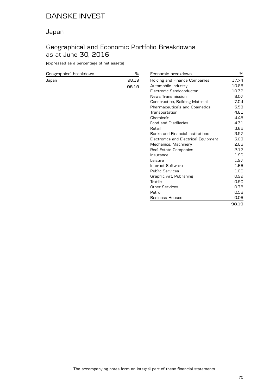### Japan

### Geographical and Economic Portfolio Breakdowns as at June 30, 2016

(expressed as a percentage of net assets)

| Geographical breakdown |       |
|------------------------|-------|
| Japan                  | 98 19 |
|                        | 98 19 |

| Economic breakdown                   | ℅     |
|--------------------------------------|-------|
| Holding and Finance Companies        | 17.74 |
| Automobile Industry                  | 10.88 |
| Electronic Semiconductor             | 10.32 |
| News Transmission                    | 8.07  |
| Construction, Building Material      | 7.04  |
| <b>Pharmaceuticals and Cosmetics</b> | 5.58  |
| Transportation                       | 4.81  |
| Chemicals                            | 4.45  |
| <b>Food and Distilleries</b>         | 4.31  |
| Retail                               | 3.65  |
| Banks and Financial Institutions     | 3.57  |
| Electronics and Electrical Equipment | 3.03  |
| Mechanics, Machinery                 | 2.66  |
| Real Estate Companies                | 2.17  |
| Insurance                            | 1.99  |
| Leisure                              | 1.97  |
| Internet Software                    | 1.66  |
| <b>Public Services</b>               | 1.00  |
| Graphic Art, Publishing              | 0.99  |
| Textile                              | 0.90  |
| Other Services                       | 0.78  |
| Petrol                               | 0.56  |
| <b>Business Houses</b>               | 0.06  |
|                                      | 98.19 |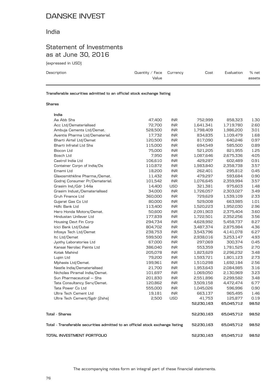### India

### Statement of Investments as at June 30, 2016

(expressed in USD)

| Description                                                            | Quantity / Face $C$ urrency<br>Value | Cost | Evaluation | $%$ net<br>assets |
|------------------------------------------------------------------------|--------------------------------------|------|------------|-------------------|
| Transferable securities admitted to an official stock exchange listing |                                      |      |            |                   |

#### **Shares**

| India                                                                          |         |            |            |            |       |
|--------------------------------------------------------------------------------|---------|------------|------------|------------|-------|
| Aa Abb Shs                                                                     | 47,400  | <b>INR</b> | 752,999    | 858,323    | 1.30  |
| Acc Ltd/Dematerialised                                                         | 72,700  | <b>INR</b> | 1,641,341  | 1,719,780  | 2.60  |
| Ambuja Cements Ltd/Demat.                                                      | 528,500 | <b>INR</b> | 1,798,409  | 1,986,200  | 3.01  |
| Aventis Pharma Ltd/Dematerial.                                                 | 17,732  | <b>INR</b> | 834,835    | 1,109,479  | 1.68  |
| Bharti Airtel Ltd/Demat                                                        | 120,500 | <b>INR</b> | 817,090    | 640,246    | 0.97  |
| Bharti Infratel Ltd Shs                                                        | 115,000 | <b>INR</b> | 694,549    | 585,500    | 0.89  |
| Biocon Ltd                                                                     | 75,000  | <b>INR</b> | 521,205    | 821,955    | 1.25  |
| Bosch Ltd                                                                      | 7,950   | <b>INR</b> | 1,087,646  | 2,675,336  | 4.05  |
| Castrol India Ltd                                                              | 106,610 | <b>INR</b> | 429,287    | 602,489    | 0.91  |
| Container Corpn of India/Ds                                                    | 110,872 | <b>INR</b> | 1,983,840  | 2,358,738  | 3.57  |
| Emami Ltd                                                                      | 18,200  | <b>INR</b> | 262,401    | 295,812    | 0.45  |
| Glaxosmithkline Pharma./Demat.                                                 | 11,432  | <b>INR</b> | 479,297    | 593,684    | 0.90  |
| Godrej Consumer Pr/Dematerial.                                                 | 101,542 | <b>INR</b> | 1,076,645  | 2,359,994  | 3.57  |
| Grasim Ind./Gdr 144a                                                           | 14,400  | <b>USD</b> | 321,381    | 975,603    | 1.48  |
| Grasim Indust./Dematerialised                                                  | 34,000  | <b>INR</b> | 1,726,057  | 2,303,027  | 3.49  |
| Gruh Finance Ltd                                                               | 360,000 | <b>INR</b> | 729,629    | 1,539,109  | 2.33  |
| Gujarat Gas Co Ltd                                                             | 80,000  | <b>INR</b> | 529,008    | 663,985    | 1.01  |
| Hdfc Bank Ltd                                                                  | 113,400 | <b>INR</b> | 1,520,223  | 1,952,030  | 2.96  |
| Hero Honda Motors/Demat.                                                       | 50,600  | <b>INR</b> | 2,091,903  | 2,375,404  | 3.60  |
| Hindustan Unilever Ltd                                                         | 177,839 | <b>INR</b> | 1,722,501  | 2,352,256  | 3.56  |
| Housing Devt Fin Corp                                                          | 294,734 | <b>INR</b> | 4,628,992  | 5,458,737  | 8.27  |
| Icici Bank Ltd/Dubai                                                           | 804,702 | <b>INR</b> | 3,487,374  | 2,875,984  | 4.36  |
| Infosys Tech Ltd/Demat                                                         | 238,753 | <b>INR</b> | 3,543,796  | 4,141,078  | 6.27  |
| Itc Ltd/Demat                                                                  | 599,500 | <b>INR</b> | 2,938,016  | 3,253,147  | 4.93  |
| Jyothy Laboratories Ltd                                                        | 67,000  | <b>INR</b> | 297,069    | 300,374    | 0.45  |
| Kansai Nerolac Paints Ltd                                                      | 386,040 | <b>INR</b> | 553,359    | 1,781,525  | 2.70  |
| Kotak Mahind                                                                   | 205,078 | <b>INR</b> | 1,823,629  | 2,296,232  | 3.48  |
| Lupin Ltd                                                                      | 79,200  | <b>INR</b> | 1,593,721  | 1,801,123  | 2.73  |
| Mphasis Ltd/Demat.                                                             | 199,961 | <b>INR</b> | 1,510,298  | 1,692,184  | 2.56  |
| Nestle India/Dematerialised                                                    | 21,700  | <b>INR</b> | 1,953,643  | 2,084,985  | 3.16  |
| Nicholas Piramal India/Demat.                                                  | 101,697 | <b>INR</b> | 1,069,050  | 2,130,969  | 3.23  |
| Sun Pharmaceutical - Shs                                                       | 201,830 | <b>INR</b> | 2,551,896  | 2,299,582  | 3.48  |
| Tata Consultancy Serv/Demat.                                                   | 120,862 | <b>INR</b> | 3,509,158  | 4,472,474  | 6.77  |
| Tata Power Co Ltd                                                              | 555,000 | <b>INR</b> | 1,045,026  | 596,996    | 0.90  |
| Ultra Tech Cement Ltd                                                          | 19,181  | <b>INR</b> | 663,137    | 965,495    | 1.46  |
| Ultra Tech Cement/Sgdr [2shs]                                                  | 2,500   | <b>USD</b> | 41,753     | 125,877    | 0.19  |
|                                                                                |         |            | 52,230,163 | 65,045,712 | 98.52 |
| Total - Shares                                                                 |         |            | 52,230,163 | 65,045,712 | 98.52 |
| Total - Transferable securities admitted to an official stock exchange listing |         |            | 52,230,163 | 65,045,712 | 98.52 |
| TOTAL INVESTMENT PORTFOLIO                                                     |         |            | 52,230,163 | 65,045,712 | 98.52 |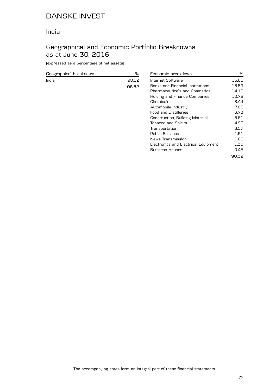### India

### Geographical and Economic Portfolio Breakdowns as at June 30, 2016

(expressed as a percentage of net assets)

| Geographical breakdown |       |
|------------------------|-------|
| India                  | 98.52 |
|                        | 98.52 |

| Economic breakdown                   | ℅     |
|--------------------------------------|-------|
| Internet Software                    | 15.60 |
| Banks and Financial Institutions     | 15.59 |
| <b>Pharmaceuticals and Cosmetics</b> | 14.10 |
| Holding and Finance Companies        | 10.78 |
| Chemicals                            | 8.44  |
| Automobile Industry                  | 7.65  |
| <b>Food and Distilleries</b>         | 6.73  |
| Construction, Building Material      | 5.61  |
| <b>Tobacco and Spirits</b>           | 4.93  |
| Transportation                       | 3.57  |
| Public Services                      | 1.91  |
| News Transmission                    | 1.86  |
| Electronics and Electrical Equipment | 1.30  |
| <b>Business Houses</b>               | 0.45  |
|                                      | 98.52 |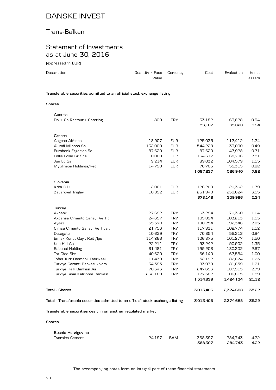### Trans-Balkan

### Statement of Investments as at June 30, 2016

(expressed in EUR)

| Description   | Quantity / Face $C$ urrency<br>Value                                   | Cost | Evaluation | % net<br>assets |
|---------------|------------------------------------------------------------------------|------|------------|-----------------|
|               | Transferable securities admitted to an official stock exchange listing |      |            |                 |
| <b>Shares</b> |                                                                        |      |            |                 |

| Austria                                                                        |         |            |           |           |       |
|--------------------------------------------------------------------------------|---------|------------|-----------|-----------|-------|
| Do + Co Restaur.+ Catering                                                     | 809     | <b>TRY</b> | 33,182    | 63,628    | 0.94  |
|                                                                                |         |            | 33,182    | 63,628    | 0.94  |
| Greece                                                                         |         |            |           |           |       |
| Aegean Airlines                                                                | 18,907  | <b>EUR</b> | 125,035   | 117,412   | 1.74  |
| Alumil Milonas Sa                                                              | 132,000 | <b>EUR</b> | 544,228   | 33,000    | 0.49  |
| Eurobank Ergasias Sa                                                           | 87,620  | <b>EUR</b> | 87,620    | 47,928    | 0.71  |
| Follie Follie Gr Shs                                                           | 10,060  | <b>EUR</b> | 164,617   | 168,706   | 2.51  |
| Jumbo Sa                                                                       | 9,214   | <b>EUR</b> | 89,032    | 104,579   | 1.55  |
| Mytilineos Holdings/Reg                                                        | 14,790  | <b>EUR</b> | 76,705    | 55,315    | 0.82  |
|                                                                                |         |            | 1,087,237 | 526,940   | 7.82  |
| Slovenia                                                                       |         |            |           |           |       |
| Krka D.D.                                                                      | 2,061   | <b>EUR</b> | 126,208   | 120,362   | 1.79  |
| Zavaroval Triglav                                                              | 10,892  | <b>EUR</b> | 251,940   | 239,624   | 3.55  |
|                                                                                |         |            | 378,148   | 359,986   | 5.34  |
| Turkey                                                                         |         |            |           |           |       |
| Akbank                                                                         | 27,692  | <b>TRY</b> | 63,294    | 70,360    | 1.04  |
| Akcansa Cimento Sanayi Ve Tic                                                  | 24.657  | <b>TRY</b> | 105.894   | 103.213   | 1.53  |
| Aygaz                                                                          | 55,570  | <b>TRY</b> | 180,254   | 192,346   | 2.85  |
| Cimsa Cimento Sanayi Ve Ticar.                                                 | 21,756  | <b>TRY</b> | 117,831   | 102,774   | 1.52  |
| Datagate                                                                       | 10,639  | <b>TRY</b> | 70,854    | 56,313    | 0.84  |
| Emlak Konut Gayr. Reit /Ipo                                                    | 114,266 | <b>TRY</b> | 106,875   | 101,277   | 1.50  |
| Koc Hld As                                                                     | 22,211  | <b>TRY</b> | 93,242    | 90,902    | 1.35  |
| Sabanci Holding                                                                | 61,481  | <b>TRY</b> | 199,206   | 180,302   | 2.67  |
| Tat Gida Shs                                                                   | 40,620  | <b>TRY</b> | 66,140    | 67,584    | 1.00  |
| Tofas Turk Otomobil Fabrikasi                                                  | 11,439  | <b>TRY</b> | 52,192    | 82,674    | 1.23  |
| Turkiye Garanti Bankasi / Nom.                                                 | 34,595  | <b>TRY</b> | 83,979    | 81,659    | 1.21  |
| Turkiye Halk Bankasi As                                                        | 70,343  | <b>TRY</b> | 247,696   | 187,915   | 2.79  |
| Turkiye Sinai Kalkinma Bankasi                                                 | 262,189 | <b>TRY</b> | 127,382   | 106,815   | 1.59  |
|                                                                                |         |            | 1,514,839 | 1,424,134 | 21.12 |
| <b>Total - Shares</b>                                                          |         |            | 3,013,406 | 2,374,688 | 35.22 |
| Total - Transferable securities admitted to an official stock exchange listing |         |            | 3,013,406 | 2,374,688 | 35.22 |
| Transferable securities dealt in on another regulated market                   |         |            |           |           |       |
|                                                                                |         |            |           |           |       |
| <b>Shares</b>                                                                  |         |            |           |           |       |
| Bosnia Herzigovina                                                             |         |            |           |           |       |
| <b>Tyornica Cement</b>                                                         | 24,197  | <b>BAM</b> | 368,397   | 284,743   | 4.22  |
|                                                                                |         |            | 368,397   | 284,743   | 4.22  |
|                                                                                |         |            |           |           |       |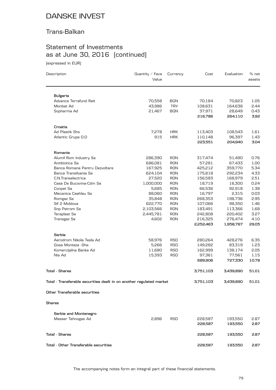### Trans-Balkan

# Statement of Investments as at June 30, 2016 (continued)

(expressed in EUR)

| Description                                                          | Quantity / Face<br>Value | Currency   | Cost      | Evaluation | % net<br>assets |
|----------------------------------------------------------------------|--------------------------|------------|-----------|------------|-----------------|
|                                                                      |                          |            |           |            |                 |
| <b>Bulgaria</b>                                                      |                          |            |           |            |                 |
| Advance Terrafund Reit                                               | 70,558                   | <b>BGN</b> | 70,184    | 70,823     | 1.05            |
| Monbat Ad                                                            | 43,986                   | <b>TRY</b> | 108,631   | 164,638    | 2.44            |
| Sopharma Ad                                                          | 21,467                   | <b>BGN</b> | 37,971    | 28,649     | 0.43            |
|                                                                      |                          |            | 216,786   | 264,110    | 3.92            |
| Croatia                                                              |                          |            |           |            |                 |
| Ad Plastik Shs                                                       | 7,278                    | <b>HRK</b> | 113,403   | 108,543    | 1.61            |
| Atlantic Grupa D.D                                                   | 915                      | <b>HRK</b> | 110,148   | 96,397     | 1.43            |
|                                                                      |                          |            | 223,551   | 204,940    | 3.04            |
| Romania                                                              |                          |            |           |            |                 |
| Alumil Rom Industry Sa                                               | 286,390                  | <b>RON</b> | 317,474   | 51,490     | 0.76            |
| Antibiotice Sa                                                       | 686,081                  | <b>RON</b> | 57,281    | 67,433     | 1.00            |
| Banca Romana Pentru Dezvoltare                                       | 167,925                  | <b>RON</b> | 425,212   | 359,770    | 5.34            |
| Banca Transilvania Sa                                                | 624,104                  | <b>RON</b> | 175,818   | 292,234    | 4.33            |
| C.N.Transelectrica                                                   | 27,520                   | <b>RON</b> | 156,583   | 168,979    | 2.51            |
| Casa De Bucovina-Cdm Sa                                              | 1,000,000                | <b>RON</b> | 18,719    | 16,300     | 0.24            |
| Conpet Sa                                                            | 5,685                    | <b>RON</b> | 66,536    | 92,918     | 1.38            |
| Mecanica Ceahlau Sa                                                  | 88,060                   | <b>RON</b> | 16,797    | 2,315      | 0.03            |
| Romgaz Sa                                                            | 35,848                   | <b>RON</b> | 268,353   | 198,736    | 2.95            |
| Sif 2 Moldova                                                        | 622,770                  | <b>RON</b> | 107,066   | 98,350     | 1.46            |
| Snp Petrom Sa                                                        | 2,103,566                | <b>RON</b> | 183,491   | 113,366    | 1.68            |
| Teraplast Sa                                                         | 2,445,781                | <b>RON</b> | 242,808   | 220,402    | 3.27            |
| Transgaz Sa                                                          | 4,602                    | <b>RON</b> | 216,325   | 276,474    | 4.10            |
|                                                                      |                          |            | 2,252,463 | 1,958,767  | 29.05           |
| Serbia                                                               |                          |            |           |            |                 |
| Aerodrom Nikola Tesla Ad                                             | 58,976                   | <b>RSD</b> | 280,264   | 428,276    | 6.35            |
| Gosa Montaza -Shs-                                                   | 5,266                    | <b>RSD</b> | 149,282   | 83,319     | 1.23            |
| Komercijalna Banka Ad                                                | 11,680                   | <b>RSD</b> | 162,999   | 138,174    | 2.05            |
| Nis Ad                                                               | 15,393                   | <b>RSD</b> | 97,361    | 77,561     | 1.15            |
|                                                                      |                          |            | 689,906   | 727,330    | 10.78           |
| <b>Total - Shares</b>                                                |                          |            | 3,751,103 | 3,439,890  | 51.01           |
| Total - Transferable securities dealt in on another regulated market |                          |            | 3,751,103 | 3,439,890  | 51.01           |
| Other Transferable securities                                        |                          |            |           |            |                 |
|                                                                      |                          |            |           |            |                 |
| Shares                                                               |                          |            |           |            |                 |
| Serbia and Montenegro                                                |                          |            |           |            |                 |
| Messer Tehnogas Ad                                                   | 2,896                    | <b>RSD</b> | 228,587   | 193,550    | 2.87            |
|                                                                      |                          |            | 228,587   | 193,550    | 2.87            |
| <b>Total - Shares</b>                                                |                          |            | 228,587   | 193,550    | 2.87            |
| Total - Other Transferable securities                                |                          |            | 228,587   | 193,550    | 2.87            |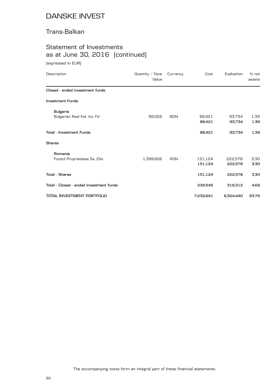### Trans-Balkan

## Statement of Investments as at June 30, 2016 (continued)

(expressed in EUR)

| Description                             | Quantity / Face<br>Value | Currency   | Cost      | Evaluation | % net<br>assets |
|-----------------------------------------|--------------------------|------------|-----------|------------|-----------------|
| Closed - ended investment funds         |                          |            |           |            |                 |
| <b>Investment Funds</b>                 |                          |            |           |            |                 |
| <b>Bulgaria</b>                         |                          |            |           |            |                 |
| Bulgarian Real Est. Inv. Fd             | 98,028                   | <b>BGN</b> | 88,421    | 93,734     | 1.39            |
|                                         |                          |            | 88,421    | 93,734     | 1.39            |
| <b>Total - Investment Funds</b>         |                          |            | 88,421    | 93,734     | 1.39            |
| <b>Shares</b>                           |                          |            |           |            |                 |
| Romania                                 |                          |            |           |            |                 |
| Fondul Proprietatea Sa /Dis             | 1,399,626                | <b>RON</b> | 151,124   | 222,578    | 3.30            |
|                                         |                          |            | 151,124   | 222,578    | 3.30            |
| <b>Total - Shares</b>                   |                          |            | 151,124   | 222,578    | 3.30            |
| Total - Closed - ended investment funds |                          |            | 239,545   | 316,312    | 4.69            |
| TOTAL INVESTMENT PORTFOLIO              |                          |            | 7,232,641 | 6,324,440  | 93.79           |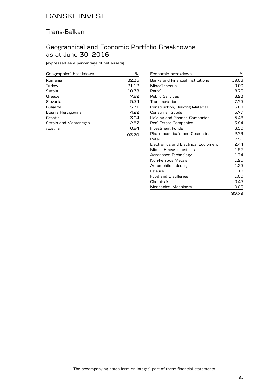### Trans-Balkan

### Geographical and Economic Portfolio Breakdowns as at June 30, 2016

(expressed as a percentage of net assets)

| Geographical breakdown | %     |
|------------------------|-------|
| Romania                | 32.35 |
| Turkey                 | 21.12 |
| Serbia                 | 10.78 |
| Greece                 | 7.82  |
| Slovenia               | 5.34  |
| Bulgaria               | 5.31  |
| Bosnia Herzigovina     | 4.22  |
| Croatia                | 3.04  |
| Serbia and Montenegro  | 2.87  |
| Austria                | 0.94  |
|                        | 93.79 |

| Economic breakdown                   | %     |
|--------------------------------------|-------|
| Banks and Financial Institutions     | 19.06 |
| Miscellaneous                        | 9.09  |
| Petrol                               | 8.73  |
| <b>Public Services</b>               | 8.23  |
| Transportation                       | 7.73  |
| Construction, Building Material      | 5.89  |
| <b>Consumer Goods</b>                | 5.77  |
| Holding and Finance Companies        | 5.48  |
| Real Estate Companies                | 3.94  |
| Investment Funds                     | 3.30  |
| <b>Pharmaceuticals and Cosmetics</b> | 2.79  |
| Retail                               | 2.51  |
| Electronics and Electrical Equipment | 2.44  |
| Mines, Heavy Industries              | 1.97  |
| Aerospace Technology                 | 1.74  |
| <b>Non-Ferrous Metals</b>            | 1.25  |
| Automobile Industry                  | 1.23  |
| Leisure                              | 1.18  |
| <b>Food and Distilleries</b>         | 1.00  |
| Chemicals                            | 0.43  |
| Mechanics, Machinery                 | 0.03  |
|                                      | 93.79 |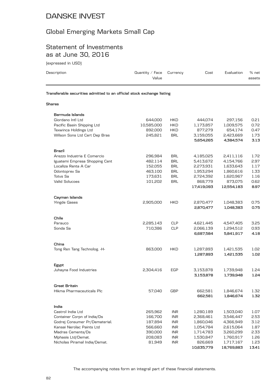## Global Emerging Markets Small Cap

### Statement of Investments as at June 30, 2016

(expressed in USD)

| Description                                                            | Quantity $\angle$ Face<br>Value | Currency   | Cost      | Evaluation | % net<br>assets |
|------------------------------------------------------------------------|---------------------------------|------------|-----------|------------|-----------------|
| Transferable securities admitted to an official stock exchange listing |                                 |            |           |            |                 |
| Shares                                                                 |                                 |            |           |            |                 |
| Bermuda Islands                                                        |                                 |            |           |            |                 |
| Giordano Intl Ltd                                                      | 644.000                         | <b>HKD</b> | 444.074   | 297,156    | 0.21            |
| Pacific Basin Shipping Ltd                                             | 10,585,000                      | <b>HKD</b> | 1,173,857 | 1,009,575  | 0.72            |
| Texwinca Holdings Ltd                                                  | 892,000                         | <b>HKD</b> | 877.279   | 654.174    | 0.47            |
| Wilson Sons Ltd Cert Dep Bras                                          | 245,821                         | <b>BRL</b> | 3,159,055 | 2,423,669  | 1.73            |
|                                                                        |                                 |            | 5,654,265 | 4,384,574  | 3.13            |
| Brazil                                                                 |                                 |            |           |            |                 |
| Arezzo Industria E Comercio                                            | 296.984                         | <b>BRL</b> | 4,185,025 | 2,411,116  | 1.72            |
|                                                                        |                                 |            |           |            |                 |

| Bermuda Islands                |            |            |            |            |       |
|--------------------------------|------------|------------|------------|------------|-------|
| Giordano Intl Ltd              | 644,000    | HKD        | 444,074    | 297,156    | 0.21  |
| Pacific Basin Shipping Ltd     | 10,585,000 | <b>HKD</b> | 1,173,857  | 1,009,575  | 0.72  |
| Texwinca Holdings Ltd          | 892,000    | <b>HKD</b> | 877,279    | 654,174    | 0.47  |
| Wilson Sons Ltd Cert Dep Bras  | 245,821    | <b>BRL</b> | 3,159,055  | 2,423,669  | 1.73  |
|                                |            |            | 5,654,265  | 4,384,574  | 3.13  |
|                                |            |            |            |            |       |
| Brazil                         |            |            |            |            |       |
| Arezzo Industria E Comercio    | 296,984    | <b>BRL</b> | 4,185,025  | 2,411,116  | 1.72  |
| Iguatemi Empresa Shopping Cent | 482,114    | <b>BRL</b> | 5,413,672  | 4,154,766  | 2.97  |
| Localiza Renta A Car           | 152,055    | <b>BRL</b> | 2,273,931  | 1,633,643  | 1.17  |
| Odontoprev Sa                  | 463,100    | <b>BRL</b> | 1,953,294  | 1,860,616  | 1.33  |
| <b>Totys Sa</b>                | 173,631    | <b>BRL</b> | 2,724,392  | 1,620,967  | 1.16  |
| <b>Valid Solucoes</b>          | 101,202    | <b>BRL</b> |            | 873,075    | 0.62  |
|                                |            |            | 868,779    |            | 8.97  |
|                                |            |            | 17,419,093 | 12,554,183 |       |
|                                |            |            |            |            |       |
| Cayman Islands                 |            |            |            |            |       |
| <b>Yingde Gases</b>            | 2,905,000  | <b>HKD</b> | 2,870,477  | 1,048,383  | 0.75  |
|                                |            |            | 2,870,477  | 1,048,383  | 0.75  |
|                                |            |            |            |            |       |
| Chile                          |            |            |            |            |       |
| Parauco                        | 2,285,143  | <b>CLP</b> | 4,621,445  | 4,547,405  | 3.25  |
| Sonda Sa                       | 710,386    | <b>CLP</b> | 2,066,139  | 1,294,512  | 0.93  |
|                                |            |            | 6,687,584  | 5,841,917  | 4.18  |
|                                |            |            |            |            |       |
| China                          |            |            |            |            |       |
| Tong Ren Tang Technolog. - H-  | 863,000    | <b>HKD</b> | 1,287,893  | 1,421,535  | 1.02  |
|                                |            |            | 1,287,893  | 1,421,535  | 1.02  |
|                                |            |            |            |            |       |
| Egypt                          |            |            |            |            |       |
| Juhayna Food Industries        | 2,304,416  | EGP        | 3,153,878  | 1,739,948  | 1.24  |
|                                |            |            | 3,153,878  | 1,739,948  | 1.24  |
|                                |            |            |            |            |       |
| <b>Great Britain</b>           |            |            |            |            |       |
| Hikma Pharmaceuticals Plc      | 57,040     | <b>GBP</b> | 662,581    | 1,846,674  | 1.32  |
|                                |            |            | 662,581    | 1,846,674  | 1.32  |
|                                |            |            |            |            |       |
| India                          |            |            |            |            |       |
| Castrol India Ltd              | 265,962    | <b>INR</b> | 1,280,189  | 1,503,040  | 1.07  |
| Container Corpn of India/Ds    | 166,700    | <b>INR</b> | 2,368,461  | 3,546,447  | 2.53  |
| Godrej Consumer Pr/Dematerial. | 187,894    | <b>INR</b> | 1,860,046  | 4,366,949  | 3.12  |
| Kansai Nerolac Paints Ltd      | 566,660    | <b>INR</b> | 1,054,784  | 2,615,064  | 1.87  |
| Madras Cements/Ds              | 390,000    | <b>INR</b> | 1,714,783  | 3,260,299  | 2.33  |
| Mphasis Ltd/Demat.             | 208,083    | <b>INR</b> | 1,530,847  | 1,760,917  | 1.26  |
| Nicholas Piramal India/Demat.  | 81,949     | <b>INR</b> | 826,669    | 1,717,167  | 1.23  |
|                                |            |            | 10,635,779 | 18,769,883 | 13.41 |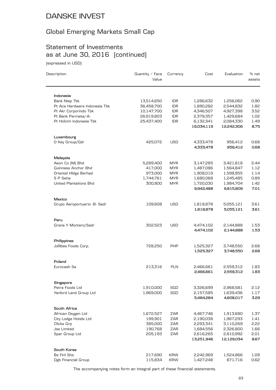## Global Emerging Markets Small Cap

## Statement of Investments as at June 30, 2016 (continued)

(expressed in USD)

| Description                                  | Quantity / Face<br>Value | Currency                 | Cost                   | Evaluation             | % net<br>assets |
|----------------------------------------------|--------------------------|--------------------------|------------------------|------------------------|-----------------|
|                                              |                          |                          |                        |                        |                 |
| Indonesia                                    |                          |                          |                        |                        |                 |
| Bank Nisp Tbk                                | 13,514,650               | <b>IDR</b>               | 1,286,632              | 1,256,062              | 0.90            |
| Pt Ace Hardware Indonesia Tbk                | 36,458,700               | <b>IDR</b>               | 1,890,282              | 2,544,832              | 1.82            |
| Pt Akr Corporindo Tbk<br>Pt Bank Permata/-A- | 10,147,700               | <b>IDR</b><br><b>IDR</b> | 4,346,507              | 4,927,398              | 3.52<br>1.02    |
| Pt Holcim Indonesia Tbk                      | 26,919,803<br>25,437,400 | <b>IDR</b>               | 2,378,357<br>6,132,341 | 1,429,684<br>2,084,330 | 1.49            |
|                                              |                          |                          | 16,034,119             | 12,242,306             | 8.75            |
| Luxembourg                                   |                          |                          |                        |                        |                 |
| O Key Group/Gdr                              | 425,072                  | USD                      | 4,333,478<br>4,333,478 | 956,412<br>956,412     | 0.68<br>0.68    |
| Malaysia                                     |                          |                          |                        |                        |                 |
| Aeon Co [M] Bhd                              | 5,289,400                | MYR.                     | 3,147,285              | 3,421,818              | 2.44            |
| Guinness Anchor Bhd                          | 417,000                  | <b>MYR</b>               | 1,487,086              | 1,564,847              | 1.12            |
| Oriental HIdgs Berhad                        | 973,000                  | <b>MYR</b>               | 1,908,019              | 1,598,955              | 1.14            |
| S P Setia                                    | 1,744,761                | <b>MYR</b>               | 1,680,068              | 1,245,485              | 0.89            |
| <b>United Plantations Bhd</b>                | 300,800                  | <b>MYR</b>               | 1,720,030<br>9,942,488 | 1,984,704<br>9,815,809 | 1.42<br>7.01    |
| Mexico                                       |                          |                          |                        |                        |                 |
| Grupo Aeroportuario - B- Sadr                | 109,608                  | <b>USD</b>               | 1,818,878<br>1,818,878 | 5,055,121<br>5,055,121 | 3.61<br>3.61    |
| Peru                                         |                          |                          |                        |                        |                 |
| Grana Y Montero/Sadr                         | 302,523                  | USD                      | 4,474,102<br>4,474,102 | 2,144,888<br>2,144,888 | 1.53<br>1.53    |
| Philippines                                  |                          |                          |                        |                        |                 |
| Jollibee Foods Corp.                         | 728,250                  | <b>PHP</b>               | 1,525,327<br>1,525,327 | 3,748,550<br>3,748,550 | 2.68<br>2.68    |
| Poland                                       |                          |                          |                        |                        |                 |
| Eurocash Sa                                  | 213,316                  | <b>PLN</b>               | 2,466,661<br>2,466,661 | 2,559,312<br>2,559,312 | 1.83<br>1.83    |
| Singapore                                    |                          |                          |                        |                        |                 |
| Petra Foods Ltd                              | 1,910,000                | SGD                      | 3,326,699              | 2,968,581              | 2.12            |
| Yanlord Land Group Ltd                       | 1,969,000                | SGD                      | 2,157,585<br>5,484,284 | 1,639,436<br>4,608,017 | 1.17<br>3.29    |
| South Africa                                 |                          |                          |                        |                        |                 |
| African Oxygen Ltd                           | 1,672,527                | ZAR                      | 4,467,746              | 1,913,680              | 1.37            |
| City Lodge Hotels Ltd                        | 199,901                  | ZAR                      | 2,190,038              | 1,967,293              | 1.41            |
| Clicks Grp                                   | 385,000                  | ZAR                      | 2,293,341              | 3,110,269              | 2.22            |
| <b>Jse Limited</b>                           | 190,768                  | ZAR                      | 1,684,556              | 2,326,800              | 1.66            |
| Spar Group Ltd                               | 205,193                  | ZAR                      | 2,616,265              | 2,810,992              | 2.01            |
|                                              |                          |                          | 13,251,946             | 12,129,034             | 8.67            |
| South Korea                                  |                          |                          |                        |                        |                 |
| <b>Bs Finl Shs</b>                           | 217,690                  | <b>KRW</b>               | 2,242,969              | 1,524,866              | 1.09            |
| Dgb Financial Group                          | 115,834                  | <b>KRW</b>               | 1,427,248              | 871,716                | 0.62            |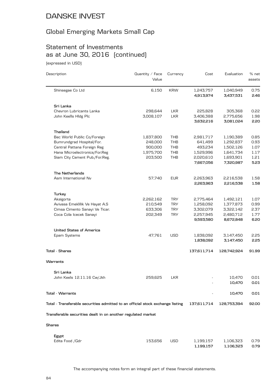### Global Emerging Markets Small Cap

# Statement of Investments as at June 30, 2016 (continued)

(expressed in USD)

| Description                                                                    | Quantity / Face<br>Value | Currency   | Cost                   | Evaluation             | % net<br>assets |
|--------------------------------------------------------------------------------|--------------------------|------------|------------------------|------------------------|-----------------|
| Shinsegae Co Ltd                                                               | 6,150                    | <b>KRW</b> | 1,243,757<br>4,913,974 | 1,040,949<br>3,437,531 | 0.75<br>2.46    |
|                                                                                |                          |            |                        |                        |                 |
| Sri Lanka                                                                      |                          |            |                        |                        |                 |
| Chevron Lubricants Lanka                                                       | 298,644                  | <b>LKR</b> | 225,828                | 305,368                | 0.22            |
| John Keells Hldg Plc                                                           | 3,008,107                | <b>LKR</b> | 3,406,388              | 2,775,656              | 1.98            |
|                                                                                |                          |            | 3,632,216              | 3,081,024              | 2.20            |
| Thailand                                                                       |                          |            |                        |                        |                 |
| Bec World Public Co/Foreign                                                    | 1,837,800                | <b>THB</b> | 2,981,717              | 1,190,389              | 0.85            |
| Bumrundgrad Hospital/For.                                                      | 248,000                  | <b>THB</b> | 641,499                | 1,292,837              | 0.93            |
| Central Pattana Foreign Reg                                                    | 900,000                  | <b>THB</b> | 493,234                | 1,502,126              | 1.07            |
| Hana Microelectronics/For.Reg                                                  | 1,975,700                | <b>THB</b> | 1,529,996              | 1,641,734              | 1.17            |
| Siam City Cement Pub./For.Reg.                                                 | 203,500                  | THB        | 2,020,610              | 1,693,901              | 1.21            |
|                                                                                |                          |            | 7,667,056              | 7,320,987              | 5.23            |
| <b>The Netherlands</b>                                                         |                          |            |                        |                        |                 |
| Asm International Nv                                                           | 57,740                   | <b>EUR</b> | 2,263,963              | 2,216,538              | 1.58            |
|                                                                                |                          |            | 2,263,963              | 2,216,538              | 1.58            |
| Turkey                                                                         |                          |            |                        |                        |                 |
| Aksigorta                                                                      | 2,262,162                | <b>TRY</b> | 2,775,464              | 1,492,121              | 1.07            |
| Avivasa Emeklilik Ve Hayat A.S                                                 | 210,549                  | <b>TRY</b> | 1,258,092              | 1,377,873              | 0.99            |
| Cimsa Cimento Sanayi Ve Ticar.                                                 | 633,306                  | <b>TRY</b> | 3,302,079              | 3,322,142              | 2.37            |
| Coca Cola Icecek Sanayi                                                        | 202,349                  | <b>TRY</b> | 2,257,945              | 2,480,712              | 1.77            |
|                                                                                |                          |            | 9,593,580              | 8,672,848              | 6.20            |
|                                                                                |                          |            |                        |                        |                 |
| <b>United States of America</b>                                                |                          |            |                        |                        |                 |
| Epam Systems                                                                   | 47,761                   | <b>USD</b> | 1,838,092              | 3,147,450              | 2.25            |
|                                                                                |                          |            | 1,838,092              | 3,147,450              | 2.25            |
| <b>Total - Shares</b>                                                          |                          |            | 137,611,714            | 128,742,924            | 91.99           |
| Warrants                                                                       |                          |            |                        |                        |                 |
| Sri Lanka                                                                      |                          |            |                        |                        |                 |
| John Keels 12.11.16 Cw/Jkh                                                     | 259.625                  | <b>LKR</b> |                        | 10,470                 | 0.01            |
|                                                                                |                          |            |                        | 10,470                 | 0.01            |
| Total - Warrants                                                               |                          |            |                        | 10,470                 | 0.01            |
| Total - Transferable securities admitted to an official stock exchange listing |                          |            | 137,611,714            | 128,753,394            | 92.00           |
| Transferable securities dealt in on another regulated market                   |                          |            |                        |                        |                 |
| <b>Shares</b>                                                                  |                          |            |                        |                        |                 |
| Egypt                                                                          |                          |            |                        |                        |                 |
| Edita Food / Gdr                                                               | 153,656                  | USD        | 1,199,157              | 1,106,323              | 0.79            |
|                                                                                |                          |            | 1,199,157              | 1,106,323              | 0.79            |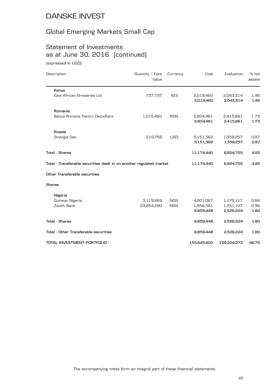## Global Emerging Markets Small Cap

## Statement of Investments as at June 30, 2016 (continued)

(expressed in USD)

| Description                                                          | Quantity / Face<br>Value | Currency   | Cost                   | Evaluation             | $%$ net<br>assets |
|----------------------------------------------------------------------|--------------------------|------------|------------------------|------------------------|-------------------|
| Kenya                                                                |                          |            |                        |                        |                   |
| East African Breweries Ltd                                           | 737,797                  | <b>KES</b> | 2,019,460<br>2,019,460 | 2,043,314<br>2,043,314 | 1.46<br>1.46      |
| Romania                                                              |                          |            |                        |                        |                   |
| Banca Romana Pentru Dezvoltare                                       | 1,015,460                | <b>RON</b> | 2,804,461<br>2,804,461 | 2,415,861<br>2,415,861 | 1.73<br>1.73      |
| Russia                                                               |                          |            |                        |                        |                   |
| Sinergia Oao                                                         | 219,758                  | <b>USD</b> | 5,151,362<br>5,151,362 | 1,359,257<br>1,359,257 | 0.97<br>0.97      |
| <b>Total - Shares</b>                                                |                          |            | 11,174,440             | 6,924,755              | 4.95              |
| Total - Transferable securities dealt in on another regulated market |                          |            | 11,174,440             | 6,924,755              | 4.95              |
| Other Transferable securities                                        |                          |            |                        |                        |                   |
| Shares                                                               |                          |            |                        |                        |                   |
| Nigeria                                                              |                          |            |                        |                        |                   |
| Guiness Nigeria                                                      | 3,119,869                | <b>NGN</b> | 4,901,067              | 1,175,117              | 0.84              |
| Zenith Bank                                                          | 23,854,280               | <b>NGN</b> | 1,958,381<br>6,859,448 | 1,351,107<br>2,526,224 | 0.96<br>1.80      |
| <b>Total - Shares</b>                                                |                          |            | 6,859,448              | 2,526,224              | 1.80              |
| Total - Other Transferable securities                                |                          |            | 6,859,448              | 2,526,224              | 1.80              |
| TOTAL INVESTMENT PORTFOLIO                                           |                          |            | 155,645,602            | 138,204,373            | 98.75             |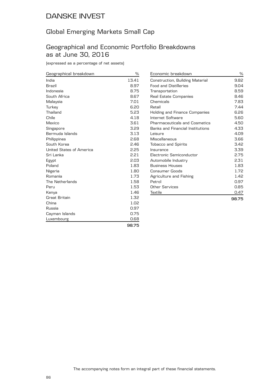### Global Emerging Markets Small Cap

### Geographical and Economic Portfolio Breakdowns as at June 30, 2016

(expressed as a percentage of net assets)

| Geographical breakdown   | %     |
|--------------------------|-------|
| India                    | 13.41 |
| <b>Brazil</b>            | 8.97  |
| Indonesia                | 8.75  |
| South Africa             | 8.67  |
| Malaysia                 | 7.01  |
| Turkey                   | 6.20  |
| Thailand                 | 5.23  |
| Chile                    | 4.18  |
| Mexico                   | 3.61  |
| Singapore                | 3.29  |
| Bermuda Islands          | 3.13  |
| Philippines              | 2.68  |
| South Korea              | 2.46  |
| United States of America | 2.25  |
| Sri Lanka                | 2.21  |
| Egypt                    | 2.03  |
| Poland                   | 1.83  |
| Nigeria                  | 1.80  |
| Romania                  | 1.73  |
| The Netherlands          | 1.58  |
| Peru                     | 1.53  |
| Kenya                    | 1.46  |
| <b>Great Britain</b>     | 1.32  |
| China                    | 1.02  |
| Russia                   | 0.97  |
| Cayman Islands           | 0.75  |
| Luxembourg               | 0.68  |

|                                                    | 98.75        |
|----------------------------------------------------|--------------|
| Textile                                            | 0.47         |
| Other Services                                     | 0.85         |
| Petrol                                             | 0.97         |
| Agriculture and Fishing                            | 1.42         |
| Consumer Goods                                     | 1.72         |
| <b>Business Houses</b>                             | 1.83         |
| Automobile Industry                                | 2.31         |
| Electronic Semiconductor                           | 2.75         |
| Insurance                                          | 3.39         |
| <b>Tobacco and Spirits</b>                         | 3.42         |
| Miscellaneous                                      | 3.66         |
| Leisure                                            | 4.09         |
| <b>Banks and Financial Institutions</b>            | 4.33         |
| <b>Pharmaceuticals and Cosmetics</b>               | 4.50         |
| Holding and Finance Companies<br>Internet Software | 6.26<br>5.60 |
| Retail                                             | 7.44         |
| Chemicals                                          | 7.83         |
| Real Estate Companies                              | 8.46         |
| Transportation                                     | 8.59         |
| <b>Food and Distilleries</b>                       | 9.04         |
| Construction, Building Material                    | 9.82         |
| Economic breakdown                                 | $\%$         |

**98.75**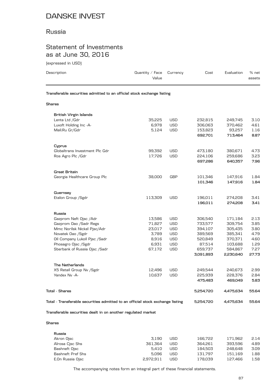### Russia

### Statement of Investments as at June 30, 2016

| Description                                                                    | Quantity $\angle$ Face<br>Value | Currency   | Cost      | Evaluation | % net<br>assets |
|--------------------------------------------------------------------------------|---------------------------------|------------|-----------|------------|-----------------|
| Transferable securities admitted to an official stock exchange listing         |                                 |            |           |            |                 |
| <b>Shares</b>                                                                  |                                 |            |           |            |                 |
| <b>British Virgin Islands</b>                                                  |                                 |            |           |            |                 |
| Lenta Ltd / Gdr                                                                | 35,225                          | <b>USD</b> | 232,815   | 249,745    | 3.10            |
| Luxoft Holding Inc -A-                                                         | 6,978                           | <b>USD</b> | 306,063   | 370,462    | 4.61            |
| Mail.Ru Gr/Gdr                                                                 | 5,124                           | <b>USD</b> | 153,823   | 93,257     | 1.16            |
|                                                                                |                                 |            | 692,701   | 713,464    | 8.87            |
| Cyprus                                                                         |                                 |            |           |            |                 |
| Globaltrans Investment Plc Gdr                                                 | 99,392                          | <b>USD</b> | 473,180   | 380,671    | 4.73            |
| Ros Agro Plc / Gdr                                                             | 17,726                          | <b>USD</b> | 224,106   | 259,686    | 3.23            |
|                                                                                |                                 |            | 697,286   | 640,357    | 7.96            |
| Great Britain                                                                  |                                 |            |           |            |                 |
| Georgia Healthcare Group Plc                                                   | 38,000                          | <b>GBP</b> | 101,346   | 147,916    | 1.84            |
|                                                                                |                                 |            | 101,346   | 147,916    | 1.84            |
| Guernsey                                                                       |                                 |            |           |            |                 |
| Etalon Group / Sgdr                                                            | 113,309                         | <b>USD</b> | 196,011   | 274,208    | 3.41            |
|                                                                                |                                 |            | 196,011   | 274,208    | 3.41            |
| Russia                                                                         |                                 |            |           |            |                 |
| Gazprom Neft Ojsc /Adr                                                         | 13,586                          | <b>USD</b> | 306,540   | 171,184    | 2.13            |
| Gazprom Oao /Sadr Regs                                                         | 71,827                          | <b>USD</b> | 733,577   | 309,754    | 3.85            |
| Mmc Norilsk Nickel Pjsc/Adr                                                    | 23,017                          | <b>USD</b> | 394,107   | 305,435    | 3.80            |
| Novatek Oao /Sgdr                                                              | 3,789                           | <b>USD</b> | 389,569   | 385,341    | 4.79            |
| Oil Company Lukoil Pjsc /Sadr                                                  | 8,916                           | <b>USD</b> | 520,849   | 370,371    | 4.60            |
| Phosagro Ojsc /Sgdr                                                            | 6,931                           | <b>USD</b> | 87,514    | 103,688    | 1.29            |
| Sberbank of Russia Ojsc /Sadr                                                  | 67,172                          | <b>USD</b> | 659,737   | 584,867    | 7.27            |
|                                                                                |                                 |            | 3,091,893 | 2,230,640  | 27.73           |
| The Netherlands                                                                |                                 |            |           |            |                 |
| X5 Retail Group Nv / Sgdr                                                      | 12,496                          | USD        | 249,544   | 240,673    | 2.99            |
| Yandex Nv - A-                                                                 | 10,637                          | <b>USD</b> | 225,939   | 228,376    | 2.84            |
|                                                                                |                                 |            | 475,483   | 469,049    | 5.83            |
| <b>Total - Shares</b>                                                          |                                 |            | 5,254,720 | 4,475,634  | 55.64           |
| Total - Transferable securities admitted to an official stock exchange listing |                                 |            | 5,254,720 | 4,475,634  | 55.64           |

**Shares**

| Russia            |           |     |         |         |      |
|-------------------|-----------|-----|---------|---------|------|
| Akron Ojsc        | 3.190     | USD | 166.722 | 171.962 | 2.14 |
| Alrosa Cisc Shs   | 361.364   | USD | 364.261 | 393.596 | 4.89 |
| Bashneft Ojsc     | 5.410     | USD | 184.503 | 248.648 | 3.09 |
| Bashneft Pref Shs | 5.096     | USD | 131.797 | 151.169 | 1.88 |
| E.On Russia Ojsc  | 2.972.911 | USD | 178.039 | 127.466 | 1.58 |
|                   |           |     |         |         |      |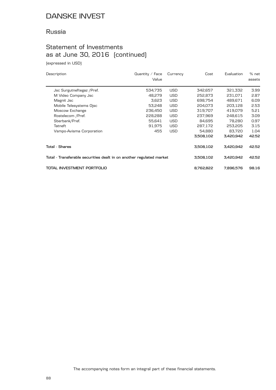### Russia

### Statement of Investments as at June 30, 2016 (continued)

(expressed in USD)

| Description                                                          | Quantity / Face<br>Value | Currency   | Cost      | Evaluation |       |
|----------------------------------------------------------------------|--------------------------|------------|-----------|------------|-------|
| Jsc Surgutneftegaz / Pref.                                           | 534,735                  | <b>USD</b> | 342,657   | 321,332    | 3.99  |
| M Video Company Jsc                                                  | 48,279                   | <b>USD</b> | 252,873   | 231,071    | 2.87  |
| Magnit Jsc                                                           | 3,623                    | <b>USD</b> | 698,754   | 489,671    | 6.09  |
| Mobile Telesystems Ojsc                                              | 53,248                   | <b>USD</b> | 204,073   | 203,128    | 2.53  |
| Moscow Exchange                                                      | 236,450                  | <b>USD</b> | 319,707   | 419,079    | 5.21  |
| Rostelecom /Pref.                                                    | 228,288                  | <b>USD</b> | 237,969   | 248,615    | 3.09  |
| Sberbank/Pref.                                                       | 55,641                   | <b>USD</b> | 84,695    | 78,280     | 0.97  |
| Tatneft                                                              | 91.975                   | <b>USD</b> | 287.172   | 253,205    | 3.15  |
| Vsmpo-Avisma Corporation                                             | 455                      | <b>USD</b> | 54,880    | 83,720     | 1.04  |
|                                                                      |                          |            | 3,508,102 | 3,420,942  | 42.52 |
| Total - Shares                                                       |                          |            | 3,508,102 | 3,420,942  | 42.52 |
| Total - Transferable securities dealt in on another regulated market |                          | 3,508,102  | 3,420,942 | 42.52      |       |
| TOTAL INVESTMENT PORTFOLIO                                           |                          |            | 8,762,822 | 7.896.576  | 98.16 |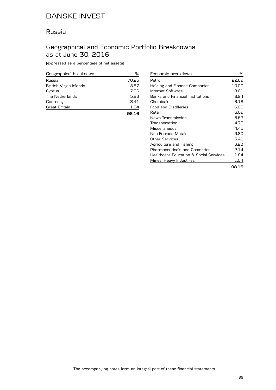### Russia

### Geographical and Economic Portfolio Breakdowns as at June 30, 2016

(expressed as a percentage of net assets)

| Geographical breakdown | %     |
|------------------------|-------|
| Russia                 | 70.25 |
| British Virgin Islands | 8.87  |
| Cyprus                 | 7.96  |
| The Netherlands        | 5.83  |
| Guernsey               | 3.41  |
| Great Britain          | 1.84  |
|                        | 98.16 |

| Economic breakdown                      | ℅     |
|-----------------------------------------|-------|
| Petrol                                  | 22.69 |
| Holding and Finance Companies           | 10.00 |
| Internet Software                       | 8.61  |
| <b>Banks and Financial Institutions</b> | 8.24  |
| Chemicals                               | 6.18  |
| Food and Distilleries                   | 6.09  |
| Retail                                  | 6.09  |
| News Transmission                       | 5.62  |
| Transportation                          | 4.73  |
| Miscellaneous                           | 4.45  |
| Non-Ferrous Metals                      | 3.80  |
| Other Services                          | 3.41  |
| Agriculture and Fishing                 | 3.23  |
| Pharmaceuticals and Cosmetics           | 2.14  |
| Healthcare Education & Social Services  | 1.84  |
| Mines, Heavy Industries                 | 1.04  |
|                                         |       |

**98.16**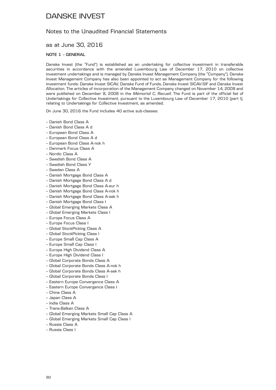### Notes to the Unaudited Financial Statements

### as at June 30, 2016

### **NOTE 1 – GENERAL**

Danske Invest (the "Fund") is established as an undertaking for collective investment in transferable securities in accordance with the amended Luxembourg Law of December 17, 2010 on collective investment undertakings and is managed by Danske Invest Management Company (the "Company"). Danske Invest Management Company has also been appointed to act as Management Company for the following investment funds: Danske Invest SICAV, Danske Fund of Funds, Danske Invest SICAV-SIF and Danske Invest Allocation. The articles of incorporation of the Management Company changed on November 14, 2008 and were published on December 8, 2008 in the *Mémorial C, Recueil*. The Fund is part of the official list of Undertakings for Collective Investment, pursuant to the Luxembourg Law of December 17, 2010 (part I), relating to Undertakings for Collective Investment, as amended.

On June 30, 2016 the Fund includes 40 active sub-classes:

- Danish Bond Class A
- Danish Bond Class A d
- European Bond Class A
- European Bond Class A d
- European Bond Class A-nok h
- Denmark Focus Class A
- Nordic Class A
- Swedish Bond Class A
- Swedish Bond Class Y
- Sweden Class A
- Danish Mortgage Bond Class A
- Danish Mortgage Bond Class A d
- Danish Mortgage Bond Class A-eur h
- Danish Mortgage Bond Class A-nok h
- Danish Mortgage Bond Class A-sek h
- Danish Mortgage Bond Class I
- Global Emerging Markets Class A
- Global Emerging Markets Class I
- Europe Focus Class A
- Europe Focus Class I
- Global StockPicking Class A
- Global StockPicking Class I
- Europe Small Cap Class A
- Europe Small Cap Class I
- Europe High Dividend Class A
- Europe High Dividend Class I
- Global Corporate Bonds Class A
- Global Corporate Bonds Class A-nok h
- Global Corporate Bonds Class A-sek h
- Global Corporate Bonds Class I
- Eastern Europe Convergence Class A
- Eastern Europe Convergence Class I
- China Class A
- Japan Class A
- India Class A
- Trans-Balkan Class A
- Global Emerging Markets Small Cap Class A
- Global Emerging Markets Small Cap Class I
- Russia Class A
- Russia Class I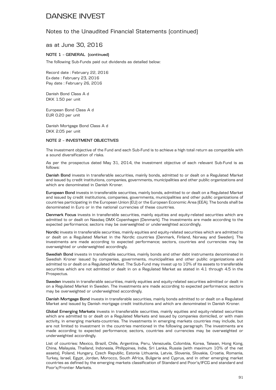### Notes to the Unaudited Financial Statements (continued)

### as at June 30, 2016

#### **NOTE 1 – GENERAL (continued)**

The following Sub-Funds paid out dividends as detailed below:

Record date : February 22, 2016 Ex-date : February 23, 2016 Pay date : February 26, 2016

Danish Bond Class A d DKK 1.50 per unit

European Bond Class A d EUR 0.20 per unit

Danish Mortgage Bond Class A d DKK 2.05 per unit

#### **NOTE 2 – INVESTMENT OBJECTIVES**

The investment objective of the Fund and each Sub-Fund is to achieve a high total return as compatible with a sound diversification of risks.

As per the prospectus dated May 31, 2014, the investment objective of each relevant Sub-Fund is as follows:

**Danish Bond** invests in transferable securities, mainly bonds, admitted to or dealt on a Regulated Market and issued by credit institutions, companies, governments, municipalities and other public organizations and which are denominated in Danish Kroner.

**European Bond** invests in transferable securities, mainly bonds, admitted to or dealt on a Regulated Market and issued by credit institutions, companies, governments, municipalities and other public organizations of countries participating in the European Union (EU) or the European Economic Area (EEA). The bonds shall be denominated in Euro or in the national currencies of these countries.

**Denmark Focus** invests in transferable securities, mainly equities and equity-related securities which are admitted to or dealt on Nasdaq OMX Copenhagen (Denmark). The investments are made according to the expected performance; sectors may be overweighted or underweighted accordingly.

**Nordic** invests in transferable securities, mainly equities and equity-related securities which are admitted to or dealt on a Regulated Market in the Nordic countries (Denmark, Finland, Norway and Sweden). The investments are made according to expected performance; sectors, countries and currencies may be overweighted or underweighted accordingly.

**Swedish Bond** invests in transferable securities, mainly bonds and other debt instruments denominated in Swedish Kroner issued by companies, governments, municipalities and other public organizations and admitted to or dealt on a Regulated Market. The Sub-Fund may invest up to 10% of its assets to transferable securities which are not admitted or dealt in on a Regulated Market as stated in 4.1 through 4.5 in the Prospectus.

**Sweden** invests in transferable securities, mainly equities and equity-related securities admitted or dealt in on a Regulated Market in Sweden. The investments are made according to expected performance; sectors may be overweighted or underweighted accordingly.

**Danish Mortgage Bond** invests in transferable securities, mainly bonds admitted to or dealt on a Regulated Market and issued by Danish mortgage credit institutions and which are denominated in Danish Kroner.

**Global Emerging Markets** invests in transferable securities, mainly equities and equity-related securities which are admitted to or dealt on a Regulated Markets and issued by companies domiciled, or with main activity, in emerging markets-countries. The investments in emerging markets countries may include, but are not limited to investment in the countries mentioned in the following paragraph. The investments are made according to expected performance; sectors, countries and currencies may be overweighted or underweighted accordingly.

List of countries: Mexico, Brazil, Chile, Argentina, Peru, Venezuela, Colombia, Korea, Taiwan, Hong Kong, China, Malaysia, Thailand, Indonesia, Philippines, India, Sri Lanka, Russia (with maximum 10% of the net assets), Poland, Hungary, Czech Republic, Estonia Lithuania, Latvia, Slovenia, Slovakia, Croatia, Romania, Turkey, Israel, Egypt, Jordan, Morocco, South Africa, Bulgaria and Cyprus, and in other emerging market countries as defined by the emerging markets classification of Standard and Poor's/IFCG and standard and Poor's/Frontier Markets.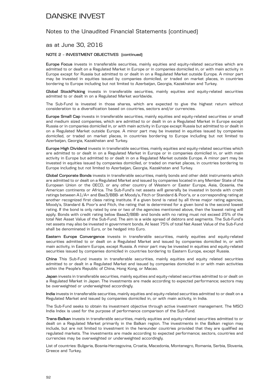### Notes to the Unaudited Financial Statements (continued)

### as at June 30, 2016

#### **NOTE 2 – INVESTMENT OBJECTIVES (continued)**

**Europe Focus** invests in transferable securities, mainly equities and equity-related securities which are admitted to or dealt on a Regulated Market in Europe or in companies domiciled in, or with main activity in Europe except for Russia but admitted to or dealt in on a Regulated Market outside Europe. A minor part may be invested in equities issued by companies domiciled, or traded on market places, in countries bordering to Europe including but not limited to Azerbaijan, Georgia, Kazakhstan and Turkey.

**Global StockPicking** invests in transferable securities, mainly equities and equity-related securities admitted to or dealt in on a Regulated Market worldwide.

The Sub-Fund is invested in those shares, which are expected to give the highest return without consideration to a diversification based on countries, sectors and/or currencies.

**Europe Small Cap** invests in transferable securities, mainly equities and equity-related securities or small and medium sized companies, which are admitted to or dealt in on a Regulated Market in Europe except Russia or in companies domiciled in, or with main activity in Europe except Russia but admitted to or dealt in on a Regulated Market outside Europe. A minor part may be invested in equities issued by companies domiciled, or traded on market places, in countries bordering to Europe including but not limited to Azerbaijan, Georgia, Kazakhstan and Turkey.

**Europe High Dividend** invests in transferable securities, mainly equities and equity-related securities which are admitted to or dealt in on a Regulated Market in Europe or in companies domiciled in, or with main activity in Europe but admitted to or dealt in on a Regulated Market outside Europe. A minor part may be invested in equities issued by companies domiciled, or traded on market places, in countries bordering to Europe including but not limited to Azerbaijan, Georgia, Kazakhstan and Turkey.

**Global Corporate Bonds** invests in transferable securities, mainly bonds and other debt instruments which are admitted to or dealt on a Regulated Market and issued by companies located in any Member State of the European Union or the OECD, or any other country of Western or Easter Europe, Asia, Oceania, the American continents or Africa. The Sub-Fund's net assets will generally be invested in bonds with credit ratings between A1/A+ and Baa3/BBB- at Moody's, Fitch or Standard & Poor's, or a corresponding rating at another recognized first class rating institute. If a given bond is rated by all three major rating agencies, Moody's, Standard & Poor's and Fitch, the rating that is determined for a given bond is the second lowest rating. If the bond is only rated by one or two of the agencies mentioned above, then the lowest rating will apply. Bonds with credit rating below Baaa3/BBB- and bonds with no rating must not exceed 25% of the total Net Asset Value of the Sub-Fund. The aim is a wide spread of debtors and segments. The Sub-Fund's net assets may also be invested in government bonds. At least 75% of total Net Asset Value of the Sub-Fund shall be denominated in Euro, or be hedged into Euro.

**Eastern Europe Convergence** invests in transferable securities, mainly equities and equity-related securities admitted to or dealt on a Regulated Market and issued by companies domiciled in, or with main activity, in Eastern Europe, except Russia. A minor part may be invested in equities and equity-related securities issued by companies domiciled in countries bordering to Eastern Europe, except Russia.

**China** This Sub-Fund invests in transferable securities, mainly equities and equity related securities admitted to or dealt in a Regulated Market and issued by companies domiciled in or with main activities within the People's Republic of China, Hong Kong, or Macao.

**Japan** invests in transferable securities, mainly equities and equity-related securities admitted to or dealt on a Regulated Market in Japan. The investments are made according to expected performance; sectors may be overweighted or underweighted accordingly.

**India** invests in transferable securities, mainly equities and equity-related securities admitted to or dealt on a Regulated Market and issued by companies domiciled in, or with main activity, in India.

The Sub-Fund seeks to obtain its investment objective through active investment management. The MSCI India Index is used for the purpose of performance comparison of the Sub-Fund.

**Trans-Balkan** invests in transferable securities, mainly equities and equity-related securities admitted to or dealt on a Regulated Market primarily in the Balkan region. The investments in the Balkan region may include, but are not limited to investment in the hereunder countries provided that they are qualified as regulated markets. The investments are made according to expected performance; sectors, countries and currencies may be overweighted or underweighted accordingly.

List of countries: Bulgaria, Bosnia-Herzegovina, Croatia, Macedonia, Montenegro, Romania, Serbia, Slovenia, Greece and Turkey.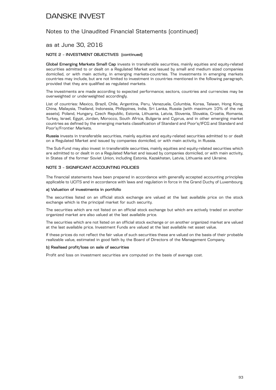### Notes to the Unaudited Financial Statements (continued)

### as at June 30, 2016

#### **NOTE 2 – INVESTMENT OBJECTIVES (continued)**

Global Emerging Markets Small Cap invests in transferable securities, mainly equities and equity-related securities admitted to or dealt on a Regulated Market and issued by small and medium sized companies domiciled, or with main activity, in emerging markets-countries. The investments in emerging markets countries may include, but are not limited to investment in countries mentioned in the following paragraph, provided that they are qualified as regulated markets.

The investments are made according to expected performance; sectors, countries and currencies may be overweighted or underweighted accordingly.

List of countries: Mexico, Brazil, Chile, Argentina, Peru, Venezuela, Columbia, Korea, Taiwan, Hong Kong, China, Malaysia, Thailand, Indonesia, Philippines, India, Sri Lanka, Russia (with maximum 10% of the net assets). Poland, Hungary, Czech Republic, Estonia, Lithuania, Latvia, Slovenia, Slovakia, Croatia, Romania, Turkey, Israel, Egypt, Jordan, Morocco, South Africa, Bulgaria and Cyprus, and in other emerging market countries as defined by the emerging markets classification of Standard and Poor's/IFCG and Standard and Poor's/Frontier Markets.

**Russia** invests in transferable securities, mainly equities and equity-related securities admitted to or dealt on a Regulated Market and issued by companies domiciled, or with main activity, in Russia.

The Sub-Fund may also invest in transferable securities, mainly equities and equity-related securities which are admitted to or dealt in on a Regulated Market and issued by companies domiciled, or with main activity, in States of the former Soviet Union, including Estonia, Kazakhstan, Latvia, Lithuania and Ukraine.

#### **NOTE 3 – SIGNIFICANT ACCOUNTING POLICIES**

The financial statements have been prepared in accordance with generally accepted accounting principles applicable to UCITS and in accordance with laws and regulation in force in the Grand Duchy of Luxembourg.

#### **a) Valuation of investments in portfolio**

The securities listed on an official stock exchange are valued at the last available price on the stock exchange which is the principal market for such security.

The securities which are not listed on an official stock exchange but which are actively traded on another organized market are also valued at the last available price.

The securities which are not listed on an official stock exchange or on another organized market are valued at the last available price. Investment Funds are valued at the last available net asset value.

If these prices do not reflect the fair value of such securities these are valued on the basis of their probable realizable value, estimated in good faith by the Board of Directors of the Management Company.

#### **b) Realised profit/loss on sale of securities**

Profit and loss on investment securities are computed on the basis of average cost.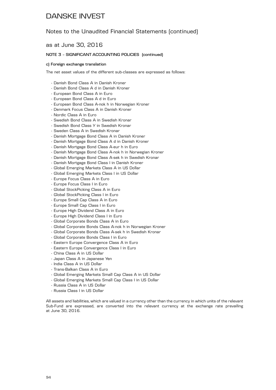### Notes to the Unaudited Financial Statements (continued)

as at June 30, 2016

#### **NOTE 3 – SIGNIFICANT ACCOUNTING POLICIES (continued)**

#### **c) Foreign exchange translation**

The net asset values of the different sub-classes are expressed as follows:

- Danish Bond Class A in Danish Kroner
- Danish Bond Class A d in Danish Kroner
- European Bond Class A in Euro
- European Bond Class A d in Euro
- European Bond Class A-nok h in Norwegian Kroner
- Denmark Focus Class A in Danish Kroner
- Nordic Class A in Euro
- Swedish Bond Class A in Swedish Kronar
- Swedish Bond Class Y in Swedish Kronar
- Sweden Class A in Swedish Kronar
- Danish Mortgage Bond Class A in Danish Kroner
- Danish Mortgage Bond Class A d in Danish Kroner
- Danish Mortgage Bond Class A-eur h in Euro
- Danish Mortgage Bond Class A-nok h in Norwegian Kroner
- Danish Mortgage Bond Class A-sek h in Swedish Kronar
- Danish Mortgage Bond Class I in Danish Kroner
- Global Emerging Markets Class A in US Dollar
- Global Emerging Markets Class I in US Dollar
- Europe Focus Class A in Euro
- Europe Focus Class I in Euro
- Global StockPicking Class A in Euro
- Global StockPicking Class I in Euro
- Europe Small Cap Class A in Euro
- Europe Small Cap Class I in Euro
- Europe High Dividend Class A in Euro
- Europe High Dividend Class I in Euro
- Global Corporate Bonds Class A in Euro
- Global Corporate Bonds Class A-nok h in Norwegian Kroner
- Global Corporate Bonds Class A-sek h in Swedish Kronar
- Global Corporate Bonds Class I in Euro
- Eastern Europe Convergence Class A in Euro
- Eastern Europe Convergence Class I in Euro
- China Class A in US Dollar
- Japan Class A in Japanese Yen
- India Class A in US Dollar
- Trans-Balkan Class A in Euro
- Global Emerging Markets Small Cap Class A in US Dollar
- Global Emerging Markets Small Cap Class I in US Dollar
- Russia Class A in US Dollar
- Russia Class I in US Dollar

All assets and liabilities, which are valued in a currency other than the currency in which units of the relevant Sub-Fund are expressed, are converted into the relevant currency at the exchange rate prevailing at June 30, 2016.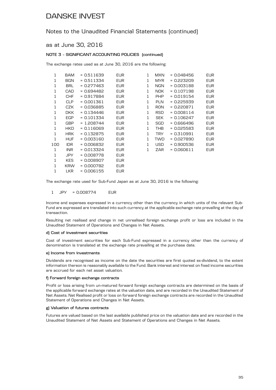### Notes to the Unaudited Financial Statements (continued)

### as at June 30, 2016

#### **NOTE 3 – SIGNIFICANT ACCOUNTING POLICIES (continued)**

The exchange rates used as at June 30, 2016 are the following:

| 1   | BAM        | = 0.511639   | <b>EUR</b> | 1 | <b>MXN</b> | = 0.048456   | <b>EUR</b> |
|-----|------------|--------------|------------|---|------------|--------------|------------|
| 1   | <b>BGN</b> | $= 0.511334$ | <b>EUR</b> | 1 | <b>MYR</b> | $= 0.223209$ | <b>EUR</b> |
| 1   | <b>BRL</b> | = 0.277463   | <b>EUR</b> | 1 | NGN        | $= 0.003188$ | <b>EUR</b> |
| 1   | CAD        | = 0.694482   | <b>EUR</b> | 1 | NOK.       | $= 0.107198$ | <b>EUR</b> |
| 1   | <b>CHF</b> | $= 0.917884$ | <b>EUR</b> | 1 | <b>PHP</b> | $= 0.019154$ | <b>EUR</b> |
| 1   | <b>CLP</b> | $= 0.001361$ | <b>EUR</b> | 1 | <b>PLN</b> | = 0.225939   | <b>EUR</b> |
| 1   | CZK        | $= 0.036885$ | <b>EUR</b> | 1 | <b>RON</b> | $= 0.220871$ | <b>EUR</b> |
| 1   | <b>DKK</b> | $= 0.134446$ | <b>EUR</b> | 1 | <b>RSD</b> | $= 0.008114$ | <b>EUR</b> |
| 1   | <b>EGP</b> | $= 0.101334$ | <b>EUR</b> | 1 | <b>SEK</b> | $= 0.106247$ | <b>EUR</b> |
| 1   | <b>GBP</b> | $= 1.208744$ | <b>EUR</b> | 1 | SGD        | - 0.666496   | <b>EUR</b> |
| 1   | <b>HKD</b> | $= 0.116069$ | <b>EUR</b> | 1 | <b>THB</b> | $= 0.025583$ | <b>EUR</b> |
| 1   | <b>HRK</b> | = 0.132875   | <b>EUR</b> | 1 | <b>TRY</b> | $= 0.310991$ | EUR        |
| 1   | <b>HUF</b> | $= 0.003160$ | <b>EUR</b> | 1 | <b>TWD</b> | $= 0.027890$ | <b>EUR</b> |
| 100 | <b>IDR</b> | = 0.006832   | <b>EUR</b> | 1 | <b>USD</b> | = 0.900536   | <b>EUR</b> |
| 1   | <b>INR</b> | $= 0.013324$ | <b>EUR</b> | 1 | ZAR        | $= 0.060611$ | <b>EUR</b> |
| 1   | JPY        | = 0.008778   | <b>EUR</b> |   |            |              |            |
| 1   | <b>KES</b> | = 0.008907   | <b>EUR</b> |   |            |              |            |
| 1   | <b>KRW</b> | = 0.000782   | <b>EUR</b> |   |            |              |            |
| 1   | <b>LKR</b> | = 0.006155   | <b>EUR</b> |   |            |              |            |

The exchange rate used for Sub-Fund Japan as at June 30, 2016 is the following:

1 JPY = 0.008774 EUR

Income and expenses expressed in a currency other than the currency in which units of the relevant Sub-Fund are expressed are translated into such currency at the applicable exchange rate prevailing at the day of transaction.

Resulting net realised and change in net unrealised foreign exchange profit or loss are included in the Unaudited Statement of Operations and Changes in Net Assets.

#### **d) Cost of investment securities**

Cost of investment securities for each Sub-Fund expressed in a currency other than the currency of denomination is translated at the exchange rate prevailing at the purchase date.

#### **e) Income from investments**

Dividends are recognised as income on the date the securities are first quoted ex-dividend, to the extent information thereon is reasonably available to the Fund. Bank interest and interest on fixed income securities are accrued for each net asset valuation.

#### **f) Forward foreign exchange contracts**

Profit or loss arising from un-matured forward foreign exchange contracts are determined on the basis of the applicable forward exchange rates at the valuation date, and are recorded in the Unaudited Statement of Net Assets. Net Realised profit or loss on forward foreign exchange contracts are recorded in the Unaudited Statement of Operations and Changes in Net Assets.

#### **g) Valuation of futures contracts**

Futures are valued based on the last available published price on the valuation date and are recorded in the Unaudited Statement of Net Assets and Statement of Operations and Changes in Net Assets.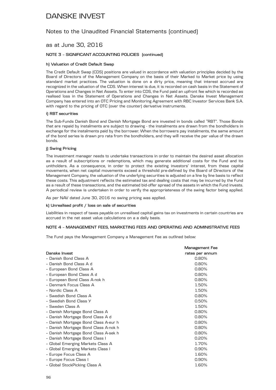### Notes to the Unaudited Financial Statements (continued)

### as at June 30, 2016

#### **NOTE 3 – SIGNIFICANT ACCOUNTING POLICIES (continued)**

#### **h) Valuation of Credit Default Swap**

The Credit Default Swap (CDS) positions are valued in accordance with valuation principles decided by the Board of Directors of the Management Company on the basis of their Marked to Market price by using standard market practices. The valuation is done on a dirty price, meaning that interest accrued are recognized in the valuation of the CDS. When interest is due, it is recorded on cash basis in the Statement of Operations and Changes in Net Assets. To enter into CDS, the Fund paid an upfront fee which is recorded as realised loss in the Statement of Operations and Changes in Net Assets. Danske Invest Management Company has entered into an OTC Pricing and Monitoring Agreement with RBC Investor Services Bank S.A. with regard to the pricing of OTC (over the counter) derivative instruments.

#### **i) RBT securities**

The Sub-Funds Danish Bond and Danish Mortgage Bond are invested in bonds called "RBT". Those Bonds that are repaid by instalments are subject to drawing - the instalments are drawn from the bondholders in exchange for the instalments paid by the borrower. When the borrowers pay instalments, the same amount of the bond series is drawn pro rata from the bondholders, and they will receive the par value of the drawn bonds.

#### **j) Swing Pricing**

The investment manager needs to undertake transactions in order to maintain the desired asset allocation as a result of subscriptions or redemptions, which may generate additional costs for the Fund and its unitholders. As a consequence, in order to protect the existing investors' interest, from these capital movements, when net capital movements exceed a threshold pre-defined by the Board of Directors of the Management Company, the valuation of the underlying securities is adjusted on a line by line basis to reflect these costs. This adjustment reflects the estimated tax and dealing costs that may be incurred by the Fund as a result of these transactions, and the estimated bid-offer spread of the assets in which the Fund invests. A periodical review is undertaken in order to verify the appropriateness of the swing factor being applied.

As per NAV dated June 30, 2016 no swing pricing was applied.

#### **k) Unrealised profit / loss on sale of securities**

Liabilities in respect of taxes payable on unrealised capital gains tax on investments in certain countries are accrued in the net asset value calculations on a a daily basis.

#### **NOTE 4 – MANAGEMENT FEES, MARKETING FEES AND OPERATING AND ADMINISTRATIVE FEES**

The Fund pays the Management Company a Management Fee as outlined below:

|                                      | Management Fee  |
|--------------------------------------|-----------------|
| Danske Invest                        | rates per annum |
| - Danish Bond Class A                | 0.80%           |
| - Danish Bond Class A d              | 0.80%           |
| - European Bond Class A              | 0.80%           |
| - European Bond Class A d            | 0.80%           |
| - European Bond Class A-nok h        | 0.80%           |
| - Denmark Focus Class A              | 1.50%           |
| - Nordic Class A                     | 1.50%           |
| - Swedish Bond Class A               | 0.80%           |
| - Swedish Bond Class Y               | 0.50%           |
| - Sweden Class A                     | 1.50%           |
| - Danish Mortgage Bond Class A       | 0.80%           |
| - Danish Mortgage Bond Class A d     | 0.80%           |
| - Danish Mortgage Bond Class A-eur h | 0.80%           |
| - Danish Mortgage Bond Class A-nok h | 0.80%           |
| - Danish Mortgage Bond Class A-sek h | 0.80%           |
| - Danish Mortgage Bond Class I       | 0.20%           |
| - Global Emerging Markets Class A    | 1.70%           |
| - Global Emerging Markets Class I    | $0.90\%$        |
| - Europe Focus Class A               | 1.60%           |
| - Europe Focus Class I               | 0.90%           |
| - Global StockPicking Class A        | 1.60%           |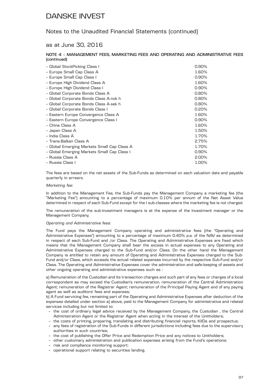### Notes to the Unaudited Financial Statements (continued)

### as at June 30, 2016

#### **NOTE 4 – MANAGEMENT FEES, MARKETING FEES AND OPERATING AND ADMINISTRATIVE FEES (continued)**

| - Global StockPicking Class I               | 0.90% |
|---------------------------------------------|-------|
| - Europe Small Cap Class A                  | 1.60% |
| - Europe Small Cap Class I                  | 0.90% |
| - Europe High Dividend Class A              | 1.60% |
| - Europe High Dividend Class I              | 0.90% |
| - Global Corporate Bonds Class A            | 0.80% |
| - Global Corporate Bonds Class A-nok h      | 0.80% |
| - Global Corporate Bonds Class A-sek h      | 0.80% |
| - Global Corporate Bonds Class I            | 0.20% |
| - Eastern Europe Convergence Class A        | 1.60% |
| - Eastern Europe Convergence Class I        | 0.90% |
| - China Class A                             | 1.60% |
| - Japan Class A                             | 1.50% |
| - India Class A                             | 1.70% |
| - Trans-Balkan Class A                      | 2.75% |
| - Global Emerging Markets Small Cap Class A | 1.70% |
| - Global Emerging Markets Small Cap Class I | 0.90% |
| - Russia Class A                            | 2.00% |
| - Russia Class I                            | 1.00% |

The fees are based on the net assets of the Sub-Funds as determined on each valuation date and payable quarterly in arrears.

#### *Marketing fee:*

In addition to the Management Fee, the Sub-Funds pay the Management Company a marketing fee (the "Marketing Fee") amounting to a percentage of maximum 0.10% per annum of the Net Asset Value determined in respect of each Sub-Fund except for the I sub-classes where the marketing fee is not charged.

The remuneration of the sub-investment managers is at the expense of the Investment manager or the Management Company.

#### *Operating and Administrative fees:*

The Fund pays the Management Company operating and administrative fees (the "Operating and Administrative Expenses") amounting to a percentage of maximum 0.40% p.a. of the NAV as determined in respect of each Sub-Fund and /or Class. The Operating and Administrative Expenses are fixed which means that the Management Company shall bear the excess in actual expenses to any Operating and Administrative Expenses charged to the Sub-Fund and/or Class. On the other hand the Management Company is entitled to retain any amount of Operating and Administrative Expenses charged to the Sub-Fund and/or Class, which exceeds the actual related expenses incurred by the respective Sub-Fund and/or Class. The Operating and Administrative Expenses cover the administration and safe-keeping of assets and other ongoing operating and administrative expenses such as :

a) Remuneration of the Custodian and its transaction charges and such part of any fees or charges of a local correspondent as may exceed the Custodian's remuneration, remuneration of the Central Administration Agent; remuneration of the Registrar Agent; remuneration of the Principal Paying Agent and of any paying agent as well as auditors' fees and expenses;

b) A Fund servicing fee, remaining part of the Operating and Administrative Expenses after deduction of the expenses detailed under section a) above, paid to the Management Company for administrative and related services including but not limited to:

- the cost of ordinary legal advice received by the Management Company, the Custodian , the Central Administration Agent or the Registrar Agent when acting in the interest of the Unitholders;
- the costs of printing, preparing, translating and distributing financial reports, KIIDs and prospectus;
- any fees of registration of the Sub-Funds in different jurisdictions including fees due to the supervisory authorities in such countries;
- the cost of publishing the Offer Price and Redemption Price and any notices to Unitholders;
- other customary administration and publication expenses arising from the Fund's operations;
- risk and compliance monitoring support;
- operational support relating to securities lending.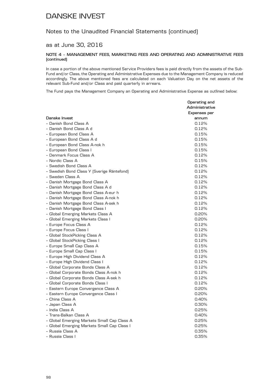### Notes to the Unaudited Financial Statements (continued)

### as at June 30, 2016

#### **NOTE 4 – MANAGEMENT FEES, MARKETING FEES AND OPERATING AND ADMINISTRATIVE FEES (continued)**

In case a portion of the above mentioned Service Providers fees is paid directly from the assets of the Sub-Fund and/or Class, the Operating and Administrative Expenses due to the Management Company is reduced accordingly. The above mentioned fees are calculated on each Valuation Day on the net assets of the relevant Sub-Fund and/or Class and paid quarterly in arrears.

The Fund pays the Management Company an Operating and Administrative Expense as outlined below:

|                                             | Operating and  |
|---------------------------------------------|----------------|
|                                             | Administrative |
|                                             | Expenses per   |
| Danske Invest                               | annum          |
| - Danish Bond Class A                       | 0.12%          |
| - Danish Bond Class A d                     | 0.12%          |
| - European Bond Class A                     | 0.15%          |
| - European Bond Class A d                   | 0.15%          |
| - European Bond Class A-nok h               | 0.15%          |
| - European Bond Class I                     | 0.15%          |
| - Denmark Focus Class A                     | 0.12%          |
| - Nordic Class A                            | 0.15%          |
| - Swedish Bond Class A                      | 0.12%          |
| - Swedish Bond Class Y (Sverige Räntefond)  | 0.12%          |
| - Sweden Class A                            | 0.12%          |
| - Danish Mortgage Bond Class A              | 0.12%          |
| - Danish Mortgage Bond Class A d            | 0.12%          |
| - Danish Mortgage Bond Class A-eur h        | 0.12%          |
| - Danish Mortgage Bond Class A-nok h        | 0.12%          |
| - Danish Mortgage Bond Class A-sek h        | 0.12%          |
| - Danish Mortgage Bond Class I              | 0.12%          |
| - Global Emerging Markets Class A           | 0.20%          |
| - Global Emerging Markets Class I           | 0.20%          |
| - Europe Focus Class A                      | 0.12%          |
| - Europe Focus Class I                      | 0.12%          |
| - Global StockPicking Class A               | 0.12%          |
| - Global StockPicking Class I               | 0.12%          |
| - Europe Small Cap Class A                  | 0.15%          |
| - Europe Small Cap Class I                  | 0.15%          |
| - Europe High Dividend Class A              | 0.12%          |
| - Europe High Dividend Class I              | 0.12%          |
| - Global Corporate Bonds Class A            | 0.12%          |
| - Global Corporate Bonds Class A-nok h      | 0.12%          |
| - Global Corporate Bonds Class A-sek h      | 0.12%          |
| - Global Corporate Bonds Class I            | 0.12%          |
| - Eastern Europe Convergence Class A        | 0.20%          |
| - Eastern Europe Convergence Class I        | 0.20%          |
| - China Class A                             | 0.40%          |
| - Japan Class A                             | 0.30%          |
| - India Class A                             | 0.25%          |
| - Trans-Balkan Class A                      | 0.40%          |
| - Global Emerging Markets Small Cap Class A | 0.25%          |
| - Global Emerging Markets Small Cap Class I | 0.25%          |
| - Russia Class A                            | 0.35%          |
| - Russia Class I                            | 0.35%          |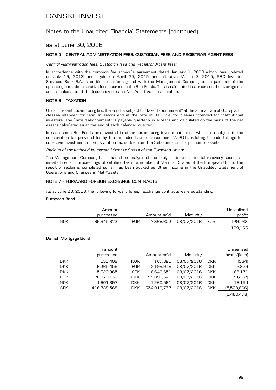### Notes to the Unaudited Financial Statements (continued)

### as at June 30, 2016

#### **NOTE 5 – CENTRAL ADMINISTRATION FEES, CUSTODIAN FEES AND REGISTRAR AGENT FEES**

*Central Administration fees, Custodian fees and Registrar Agent fees:*

In accordance with the common fee schedule agreement dated January 1, 2008 which was updated on July 19, 2013 and again on April 23, 2015 and effective March 3, 2015, RBC Investor Services Bank S.A. is entitled to a fee agreed with the Management Company to be paid out of the operating and administrative fees accrued in the Sub-Funds. This is calculated in arrears on the average net assets calculated at the frequency of each Net Asset Value calculation.

#### **NOTE 6 – TAXATION**

Under present Luxembourg law, the Fund is subject to "Taxe d'abonnement" at the annual rate of 0.05 p.a. for classes intended for retail investors and at the rate of 0.01 p.a. for classes intended for institutional investors. The "Taxe d'abonnement" is payable quarterly in arrears and calculated on the basis of the net assets calculated as at the end of each calendar quarter.

In case some Sub-Funds are invested in other Luxembourg investment funds, which are subject to the subscription tax provided for by the amended Law of December 17, 2010 relating to undertakings for collective investment, no subscription tax is due from the Sub-Funds on the portion of assets.

*Reclaim of tax withheld by certain Member States of the European Union:*

The Management Company has – based on analysis of the likely costs and potential recovery success – initiated reclaim proceedings of withheld tax in a number of Member States of the European Union. The result of reclaims completed so far has been booked as Other Income in the Unaudited Statement of Operations and Changes in Net Assets.

#### **NOTE 7 – FORWARD FOREIGN EXCHANGE CONTRACTS**

As at June 30, 2016, the following forward foreign exchange contracts were outstanding:

#### **European Bond**

| Unrealised |                |             |            | Amount     |     |
|------------|----------------|-------------|------------|------------|-----|
| profit     | Maturity       | Amount sold |            | purchased  |     |
| 129,163    | 08/07/2016 EUR | 7,366,603   | <b>EUR</b> | 69.945.673 | NOK |
| 129,163    |                |             |            |            |     |

#### **Danish Mortgage Bond**

|            | Amount<br>purchased |            | Amount sold | Maturity   |            | Unrealised<br>profit/(loss)     |
|------------|---------------------|------------|-------------|------------|------------|---------------------------------|
| DKK.       | 133.409             | <b>NOK</b> | 167,825     | 08/07/2016 | <b>DKK</b> | (364)                           |
| <b>DKK</b> | 16,365,459          | <b>EUR</b> | 2,199,918   | 08/07/2016 | <b>DKK</b> | 2,379                           |
| <b>DKK</b> | 5,320,965           | <b>SEK</b> | 6,646,651   | 08/07/2016 | <b>DKK</b> | 68,171                          |
| <b>EUR</b> | 26.870.131          | <b>DKK</b> | 199.899.348 | 08/07/2016 | <b>DKK</b> | (38,212)                        |
| <b>NOK</b> | 1,601,697           | <b>DKK</b> | 1,260,561   | 08/07/2016 | <b>DKK</b> | 16,154                          |
| <b>SEK</b> | 416,788,568         | <b>DKK</b> | 334,912,777 | 08/07/2016 | <b>DKK</b> | (5,528,606)                     |
|            |                     |            |             |            |            | $E$ $A$ $D$ $A$ $D$ $D$ $D$ $D$ |

(5,480,478)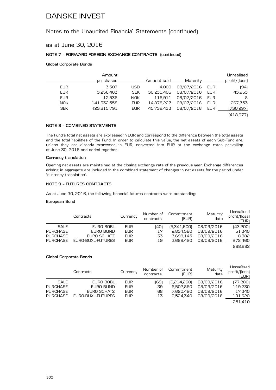### Notes to the Unaudited Financial Statements (continued)

### as at June 30, 2016

### **NOTE 7 – FORWARD FOREIGN EXCHANGE CONTRACTS (continued)**

#### **Global Corporate Bonds**

|            | Amount<br>purchased |            | Amount sold | Maturity   |     | Unrealised<br>profit/(loss) |
|------------|---------------------|------------|-------------|------------|-----|-----------------------------|
| EUR        | 3.507               | USD        | 4.000       | 08/07/2016 | EUR | (94                         |
| <b>EUR</b> | 3,256,463           | <b>SEK</b> | 30,235,405  | 08/07/2016 | EUR | 43,953                      |
| <b>EUR</b> | 12,536              | <b>NOK</b> | 116,911     | 08/07/2016 | EUR | 8                           |
| <b>NOK</b> | 141,332,558         | <b>EUR</b> | 14,878,227  | 08/07/2016 | EUR | 267,753                     |
| <b>SEK</b> | 423,615,791         | <b>EUR</b> | 45.739.433  | 08/07/2016 | EUR | (730,297)                   |

(418,677)

### **NOTE 8 – COMBINED STATEMENTS**

The Fund's total net assets are expressed in EUR and correspond to the difference between the total assets and the total liabilities of the Fund. In order to calculate this value, the net assets of each Sub-Fund are, unless they are already expressed in EUR, converted into EUR at the exchange rates prevailing at June 30, 2016 and added together.

#### **Currency translation**

Opening net assets are maintained at the closing exchange rate of the previous year. Exchange differences arising in aggregate are included in the combined statement of changes in net assets for the period under "currency translation".

#### **NOTE 9 – FUTURES CONTRACTS**

As at June 30, 2016, the following financial futures contracts were outstanding:

#### **European Bond**

|                 | Contracts         | Currency   | Number of<br>contracts | Commitment<br>(EUR) | Maturity<br>date | Unrealised<br>profit/(loss)<br>(EUR) |
|-----------------|-------------------|------------|------------------------|---------------------|------------------|--------------------------------------|
| SALE            | EURO BOBL         | <b>EUR</b> | (40)                   | [5,341,600]         | 08/09/2016       | (43,200)                             |
| <b>PURCHASE</b> | EURO BUND         | <b>EUR</b> | 17                     | 2.834.580           | 08/09/2016       | 51,340                               |
| <b>PURCHASE</b> | EURO SCHATZ       | <b>EUR</b> | 33                     | 3.698.145           | 08/09/2016       | 8.382                                |
| PURCHASE        | EURO-BUXL-FUTURES | <b>EUR</b> | 19                     | 3.689.420           | 08/09/2016       | 272,460                              |
|                 |                   |            |                        |                     |                  | 288.982                              |

#### **Global Corporate Bonds**

|             | Contracts         | Currency   | Number of<br>contracts | Commitment<br>(EUR) | Maturity<br>date | Unrealised<br>profit/(loss)<br>(EUR) |
|-------------|-------------------|------------|------------------------|---------------------|------------------|--------------------------------------|
| <b>SALE</b> | EURO BOBL         | EUR        | (69)                   | [9,214,260]         | 08/09/2016       | [77,280]                             |
| PURCHASE    | EURO BUND         | <b>EUR</b> | 39                     | 6.502.860           | 08/09/2016       | 119,730                              |
| PURCHASE    | EURO SCHATZ       | <b>EUR</b> | 68                     | 7.620.420           | 08/09/2016       | 17,340                               |
| PURCHASE    | EURO-BUXL-FUTURES | <b>EUR</b> | 13                     | 2.524.340           | 08/09/2016       | 191,620                              |
|             |                   |            |                        |                     |                  | 251.410                              |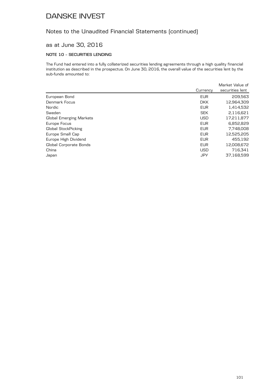### Notes to the Unaudited Financial Statements (continued)

### as at June 30, 2016

### **NOTE 10 – SECURITIES LENDING**

The Fund had entered into a fully collaterized securities lending agreements through a high quality financial institution as described in the prospectus. On June 30, 2016, the overall value of the securities lent by the sub-funds amounted to:

|            | Market Value of |
|------------|-----------------|
| Currency   | securities lent |
| <b>EUR</b> | 209,563         |
| <b>DKK</b> | 12,964,309      |
| <b>EUR</b> | 1,414,532       |
| <b>SEK</b> | 2,116,621       |
| <b>USD</b> | 17,211,877      |
| <b>EUR</b> | 6,852,829       |
| <b>EUR</b> | 7,748,008       |
| <b>EUR</b> | 12,525,205      |
| <b>EUR</b> | 455.192         |
| <b>EUR</b> | 12,008,672      |
| <b>USD</b> | 716,341         |
| JPY        | 37.168.599      |
|            |                 |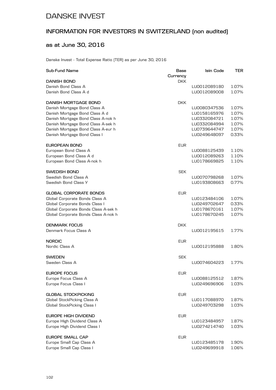## **INFORMATION FOR INVESTORS IN SWITZERLAND (non audited)**

### **as at June 30, 2016**

Danske Invest - Total Expense Ratio (TER) as per June 30, 2016

| Sub-Fund Name                        | Base<br>Currency | Isin Code    | TER.  |
|--------------------------------------|------------------|--------------|-------|
| <b>DANISH BOND</b>                   | <b>DKK</b>       |              |       |
| Danish Bond Class A                  |                  | LU0012089180 | 1.07% |
| Danish Bond Class A d                |                  | LU0012089008 | 1.07% |
| DANISH MORTGAGE BOND                 | DKK              |              |       |
| Danish Mortgage Bond Class A         |                  | LU0080347536 | 1.07% |
| Danish Mortgage Bond Class A d       |                  | LU0158165976 | 1.07% |
| Danish Mortgage Bond Class A-nok h   |                  | LU0332084721 | 1.07% |
| Danish Mortgage Bond Class A-sek h   |                  | LU0332084994 | 1.07% |
| Danish Mortgage Bond Class A-eur h   |                  | LU0739644747 | 1.07% |
| Danish Mortgage Bond Class I         |                  | LU0249648097 | 0.33% |
| <b>EUROPEAN BOND</b>                 | <b>EUR</b>       |              |       |
| European Bond Class A                |                  | LU0088125439 | 1.10% |
| European Bond Class A d              |                  | LU0012089263 | 1.10% |
| European Bond Class A-nok h          |                  | LU0178669825 | 1.10% |
| SWEDISH BOND                         | <b>SEK</b>       |              |       |
| Swedish Bond Class A                 |                  | LU0070798268 | 1.07% |
| Swedish Bond Class Y                 |                  | LU0193808663 | 0.77% |
| GLOBAL CORPORATE BONDS               | <b>EUR</b>       |              |       |
| Global Corporate Bonds Class A       |                  | LU0123484106 | 1.07% |
| Global Corporate Bonds Class I       |                  | LU0249702647 | 0.33% |
| Global Corporate Bonds Class A-sek h |                  | LU0178670161 | 1.07% |
| Global Corporate Bonds Class A-nok h |                  | LU0178670245 | 1.07% |
| <b>DENMARK FOCUS</b>                 | <b>DKK</b>       |              |       |
| Denmark Focus Class A                |                  | LU0012195615 | 1.77% |
| <b>NORDIC</b>                        | <b>EUR</b>       |              |       |
| Nordic Class A                       |                  | LU0012195888 | 1.80% |
| <b>SWEDEN</b>                        | <b>SEK</b>       |              |       |
| Sweden Class A                       |                  | LU0074604223 | 1.77% |
| EUROPE FOCUS                         | EUR              |              |       |
| Europe Focus Class A                 |                  | LU0088125512 | 1.87% |
| Europe Focus Class I                 |                  | LU0249696906 | 1.03% |
| <b>GLOBAL STOCKPICKING</b>           | <b>EUR</b>       |              |       |
| Global StockPicking Class A          |                  | LU0117088970 | 1.87% |
| Global StockPicking Class I          |                  | LU0249703298 | 1.03% |
| EUROPE HIGH DIVIDEND                 | <b>EUR</b>       |              |       |
| Europe High Dividend Class A         |                  | LU0123484957 | 1.87% |
| Europe High Dividend Class I         |                  | LU0274214740 | 1.03% |
| <b>EUROPE SMALL CAP</b>              | <b>EUR</b>       |              |       |
| Europe Small Cap Class A             |                  | LU0123485178 | 1.90% |
| Europe Small Cap Class I             |                  | LU0249699918 | 1.06% |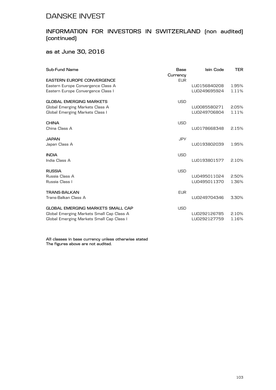### **INFORMATION FOR INVESTORS IN SWITZERLAND (non audited) (continued)**

**as at June 30, 2016**

| Sub-Fund Name                             | Base<br>Currency | Isin Code    | <b>TER</b> |
|-------------------------------------------|------------------|--------------|------------|
| <b>EASTERN EUROPE CONVERGENCE</b>         | <b>EUR</b>       |              |            |
| Eastern Europe Convergence Class A        |                  | LU0156840208 | 1.95%      |
| Eastern Europe Convergence Class I        |                  | LU0249695924 | 1.11%      |
| <b>GLOBAL EMERGING MARKETS</b>            | <b>USD</b>       |              |            |
| Global Emerging Markets Class A           |                  | LU0085580271 | 2.05%      |
| Global Emerging Markets Class I           |                  | LU0249706804 | 1.11%      |
| <b>CHINA</b>                              | <b>USD</b>       |              |            |
| China Class A                             |                  | LU0178668348 | 2.15%      |
| JAPAN                                     | <b>JPY</b>       |              |            |
| Japan Class A                             |                  | LU0193802039 | 1.95%      |
| <b>INDIA</b>                              | <b>USD</b>       |              |            |
| India Class A                             |                  | LU0193801577 | 2.10%      |
| <b>RUSSIA</b>                             | <b>USD</b>       |              |            |
| Russia Class A                            |                  | LU0495011024 | 2.50%      |
| Russia Class I                            |                  | LU0495011370 | 1.36%      |
| <b>TRANS-BALKAN</b>                       | <b>EUR</b>       |              |            |
| Trans-Balkan Class A                      |                  | LU0249704346 | 3.30%      |
| <b>GLOBAL EMERGING MARKETS SMALL CAP</b>  | <b>USD</b>       |              |            |
| Global Emerging Markets Small Cap Class A |                  | LU0292126785 | 2.10%      |
| Global Emerging Markets Small Cap Class I |                  | LU0292127759 | 1.16%      |

**All classes in base currency unless otherwise stated The figures above are not audited.**